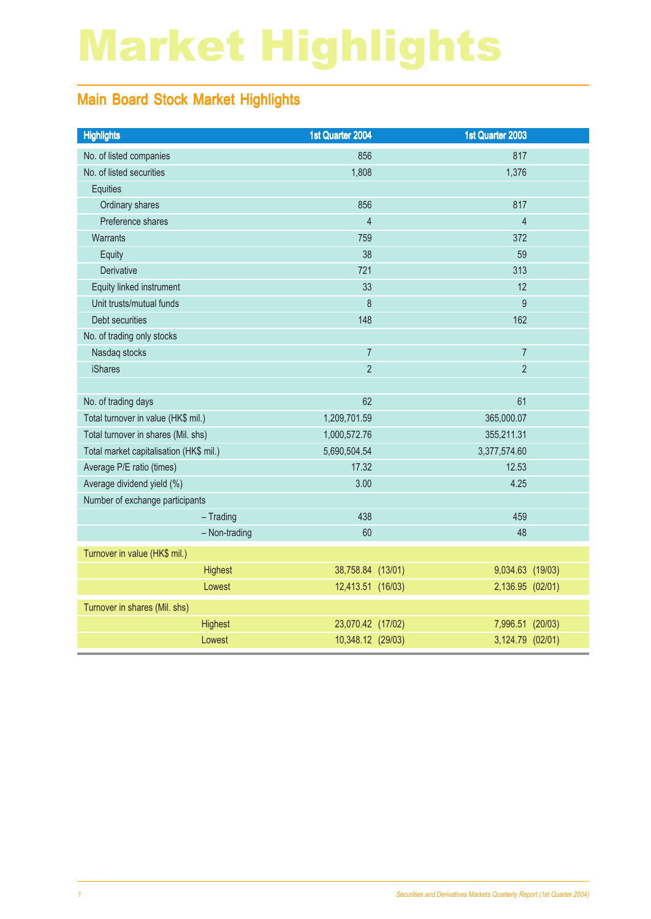# Market Highlights

### Main Board Stock Market Highlights

| <b>Highlights</b>                       | 1st Quarter 2004  | 1st Quarter 2003 |  |
|-----------------------------------------|-------------------|------------------|--|
| No. of listed companies                 | 856               | 817              |  |
| No. of listed securities                | 1,808             | 1,376            |  |
| <b>Equities</b>                         |                   |                  |  |
| Ordinary shares                         | 856               | 817              |  |
| Preference shares                       | $\overline{4}$    | $\overline{4}$   |  |
| Warrants                                | 759               | 372              |  |
| Equity                                  | 38                | 59               |  |
| Derivative                              | 721               | 313              |  |
| Equity linked instrument                | 33                | 12               |  |
| Unit trusts/mutual funds                | 8                 | 9                |  |
| Debt securities                         | 148               | 162              |  |
| No. of trading only stocks              |                   |                  |  |
| Nasdaq stocks                           | $\overline{7}$    | $\overline{7}$   |  |
| <b>iShares</b>                          | $\overline{2}$    | $\overline{2}$   |  |
|                                         |                   |                  |  |
| No. of trading days                     | 62                | 61               |  |
| Total turnover in value (HK\$ mil.)     | 1,209,701.59      | 365,000.07       |  |
| Total turnover in shares (Mil. shs)     | 1,000,572.76      | 355,211.31       |  |
| Total market capitalisation (HK\$ mil.) | 5,690,504.54      | 3,377,574.60     |  |
| Average P/E ratio (times)               | 17.32             | 12.53            |  |
| Average dividend yield (%)              | 3.00              | 4.25             |  |
| Number of exchange participants         |                   |                  |  |
| $-$ Trading                             | 438               | 459              |  |
| - Non-trading                           | 60                | 48               |  |
| Turnover in value (HK\$ mil.)           |                   |                  |  |
| <b>Highest</b>                          | 38,758.84 (13/01) | 9,034.63 (19/03) |  |
| Lowest                                  | 12,413.51 (16/03) | 2,136.95 (02/01) |  |
| Turnover in shares (Mil. shs)           |                   |                  |  |
| Highest                                 | 23,070.42 (17/02) | 7,996.51 (20/03) |  |
| Lowest                                  | 10,348.12 (29/03) | 3,124.79 (02/01) |  |
|                                         |                   |                  |  |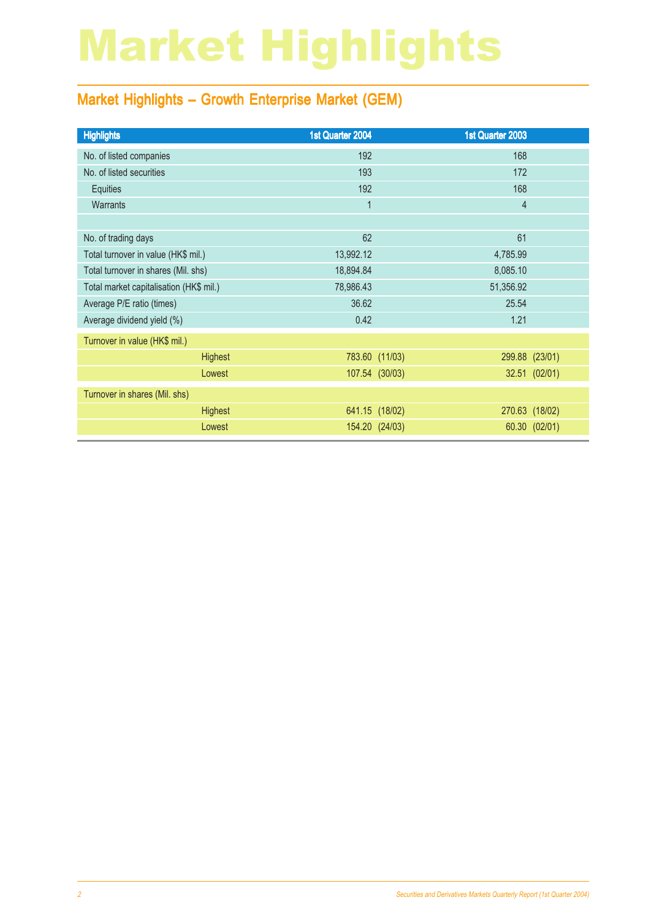# Market Highlights

### Market Highlights – Growth Enterprise Market (GEM)

| <b>Highlights</b>                       | 1st Quarter 2004 | 1st Quarter 2003 |                |
|-----------------------------------------|------------------|------------------|----------------|
| No. of listed companies                 | 192              | 168              |                |
| No. of listed securities                | 193              | 172              |                |
| Equities                                | 192              | 168              |                |
| <b>Warrants</b>                         | $\mathbf 1$      | $\overline{4}$   |                |
|                                         |                  |                  |                |
| No. of trading days                     | 62               | 61               |                |
| Total turnover in value (HK\$ mil.)     | 13,992.12        | 4,785.99         |                |
| Total turnover in shares (Mil. shs)     | 18,894.84        | 8,085.10         |                |
| Total market capitalisation (HK\$ mil.) | 78,986.43        | 51,356.92        |                |
| Average P/E ratio (times)               | 36.62            | 25.54            |                |
| Average dividend yield (%)              | 0.42             | 1.21             |                |
| Turnover in value (HK\$ mil.)           |                  |                  |                |
| <b>Highest</b>                          |                  | 783.60 (11/03)   | 299.88 (23/01) |
| Lowest                                  |                  | 107.54 (30/03)   | 32.51 (02/01)  |
| Turnover in shares (Mil. shs)           |                  |                  |                |
| <b>Highest</b>                          |                  | 641.15 (18/02)   | 270.63 (18/02) |
| Lowest                                  |                  | 154.20 (24/03)   | 60.30 (02/01)  |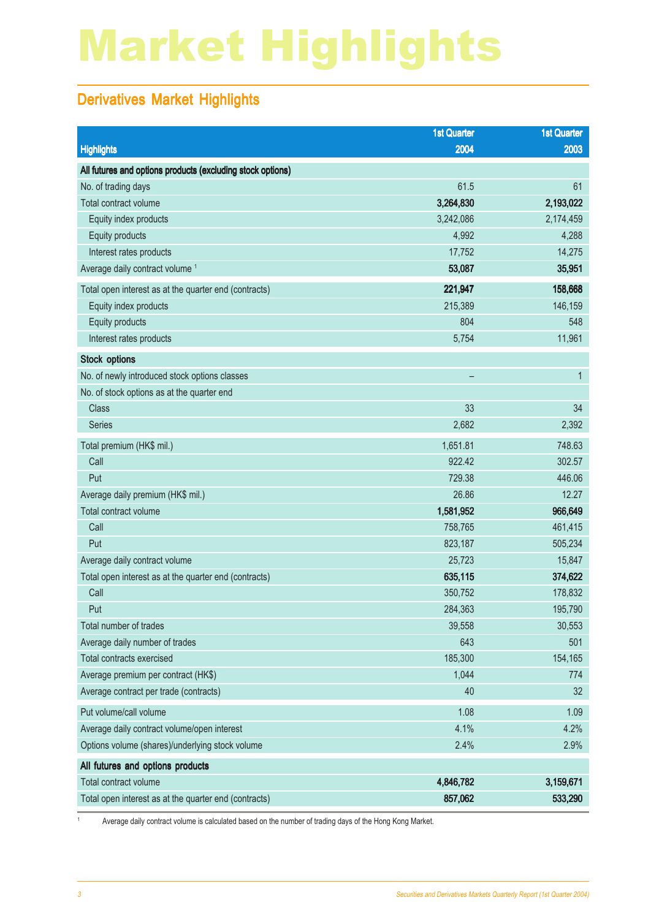# Market Highlights

### Derivatives Market Highlights

|                                                            | <b>1st Quarter</b> | <b>1st Quarter</b> |
|------------------------------------------------------------|--------------------|--------------------|
| <b>Highlights</b>                                          | 2004               | 2003               |
| All futures and options products (excluding stock options) |                    |                    |
| No. of trading days                                        | 61.5               | 61                 |
| Total contract volume                                      | 3,264,830          | 2,193,022          |
| Equity index products                                      | 3,242,086          | 2,174,459          |
| Equity products                                            | 4,992              | 4,288              |
| Interest rates products                                    | 17,752             | 14,275             |
| Average daily contract volume <sup>1</sup>                 | 53,087             | 35,951             |
| Total open interest as at the quarter end (contracts)      | 221,947            | 158,668            |
| Equity index products                                      | 215,389            | 146,159            |
| Equity products                                            | 804                | 548                |
| Interest rates products                                    | 5,754              | 11,961             |
| <b>Stock options</b>                                       |                    |                    |
| No. of newly introduced stock options classes              | -                  | $\mathbf{1}$       |
| No. of stock options as at the quarter end                 |                    |                    |
| <b>Class</b>                                               | 33                 | 34                 |
| <b>Series</b>                                              | 2,682              | 2,392              |
| Total premium (HK\$ mil.)                                  | 1,651.81           | 748.63             |
| Call                                                       | 922.42             | 302.57             |
| Put                                                        | 729.38             | 446.06             |
| Average daily premium (HK\$ mil.)                          | 26.86              | 12.27              |
| Total contract volume                                      | 1,581,952          | 966,649            |
| Call                                                       | 758,765            | 461,415            |
| Put                                                        | 823,187            | 505,234            |
| Average daily contract volume                              | 25,723             | 15,847             |
| Total open interest as at the quarter end (contracts)      | 635,115            | 374,622            |
| Call                                                       | 350,752            | 178,832            |
| Put                                                        | 284,363            | 195,790            |
| Total number of trades                                     | 39,558             | 30,553             |
| Average daily number of trades                             | 643                | 501                |
| Total contracts exercised                                  | 185,300            | 154,165            |
| Average premium per contract (HK\$)                        | 1,044              | 774                |
| Average contract per trade (contracts)                     | 40                 | 32                 |
| Put volume/call volume                                     | 1.08               | 1.09               |
| Average daily contract volume/open interest                | 4.1%               | 4.2%               |
| Options volume (shares)/underlying stock volume            | 2.4%               | 2.9%               |
| All futures and options products                           |                    |                    |
| Total contract volume                                      | 4,846,782          | 3,159,671          |
| Total open interest as at the quarter end (contracts)      | 857,062            | 533,290            |

<sup>1</sup> Average daily contract volume is calculated based on the number of trading days of the Hong Kong Market.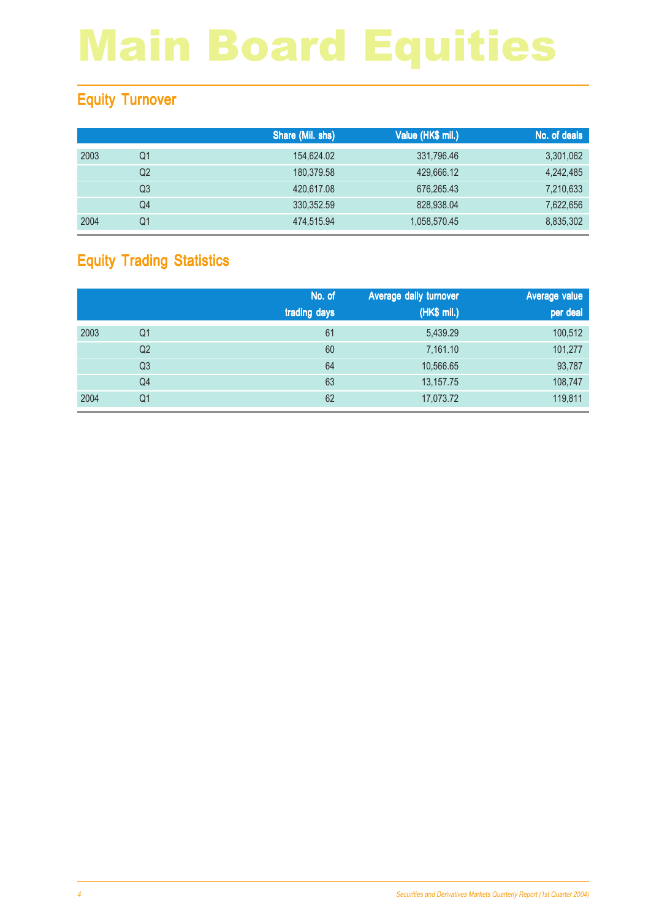### Equity Turnover

|      |                | Share (Mil. shs) | Value (HK\$ mil.) | No. of deals |
|------|----------------|------------------|-------------------|--------------|
| 2003 | Q1             | 154.624.02       | 331,796.46        | 3,301,062    |
|      | Q <sub>2</sub> | 180,379.58       | 429,666.12        | 4,242,485    |
|      | Q3             | 420,617,08       | 676.265.43        | 7,210,633    |
|      | Q4             | 330, 352.59      | 828,938.04        | 7,622,656    |
| 2004 | Q1             | 474,515.94       | 1,058,570.45      | 8,835,302    |

### Equity Trading Statistics

|      |                | No. of<br>trading days | Average daily turnover<br>(HK\$ mil.) | Average value<br>per deal |
|------|----------------|------------------------|---------------------------------------|---------------------------|
| 2003 | Q <sub>1</sub> | 61                     | 5,439.29                              | 100,512                   |
|      | Q <sub>2</sub> | 60                     | 7,161.10                              | 101,277                   |
|      | Q <sub>3</sub> | 64                     | 10,566.65                             | 93,787                    |
|      | Q4             | 63                     | 13,157.75                             | 108,747                   |
| 2004 | Q <sub>1</sub> | 62                     | 17,073.72                             | 119,811                   |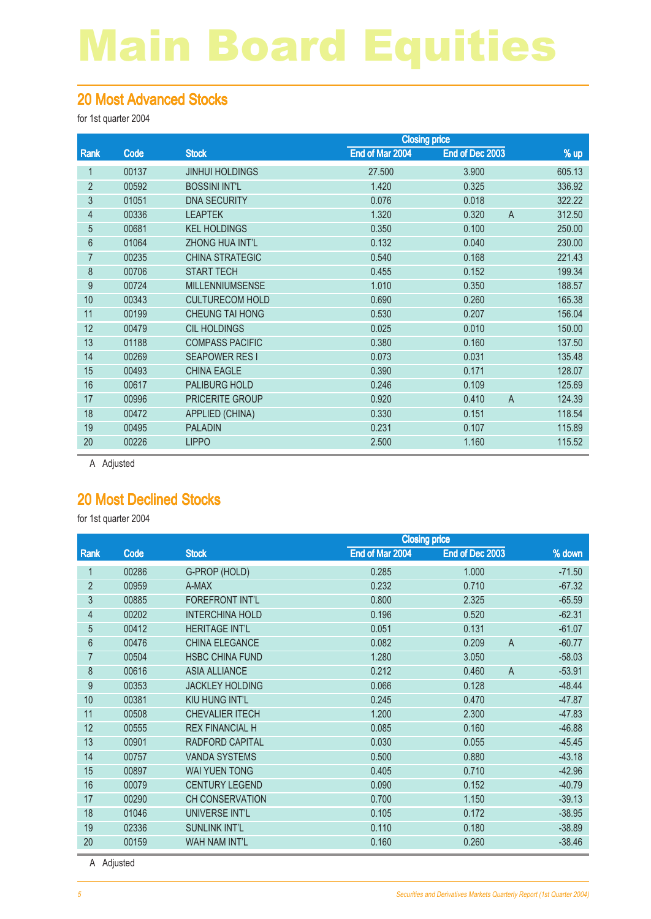#### 20 Most Advanced Stocks

for 1st quarter 2004

|                |       |                        | <b>Closing price</b> |                         |        |
|----------------|-------|------------------------|----------------------|-------------------------|--------|
| Rank           | Code  | <b>Stock</b>           | End of Mar 2004      | End of Dec 2003         | $%$ up |
| 1              | 00137 | <b>JINHUI HOLDINGS</b> | 27.500               | 3.900                   | 605.13 |
| $\overline{2}$ | 00592 | <b>BOSSINI INT'L</b>   | 1.420                | 0.325                   | 336.92 |
| 3              | 01051 | <b>DNA SECURITY</b>    | 0.076                | 0.018                   | 322.22 |
| 4              | 00336 | <b>LEAPTEK</b>         | 1.320                | 0.320<br>$\overline{A}$ | 312.50 |
| 5              | 00681 | <b>KEL HOLDINGS</b>    | 0.350                | 0.100                   | 250.00 |
| 6              | 01064 | <b>ZHONG HUA INT'L</b> | 0.132                | 0.040                   | 230.00 |
| 7              | 00235 | <b>CHINA STRATEGIC</b> | 0.540                | 0.168                   | 221.43 |
| 8              | 00706 | <b>START TECH</b>      | 0.455                | 0.152                   | 199.34 |
| 9              | 00724 | <b>MILLENNIUMSENSE</b> | 1.010                | 0.350                   | 188.57 |
| 10             | 00343 | <b>CULTURECOM HOLD</b> | 0.690                | 0.260                   | 165.38 |
| 11             | 00199 | <b>CHEUNG TAI HONG</b> | 0.530                | 0.207                   | 156.04 |
| 12             | 00479 | <b>CIL HOLDINGS</b>    | 0.025                | 0.010                   | 150.00 |
| 13             | 01188 | <b>COMPASS PACIFIC</b> | 0.380                | 0.160                   | 137.50 |
| 14             | 00269 | <b>SEAPOWER RESI</b>   | 0.073                | 0.031                   | 135.48 |
| 15             | 00493 | <b>CHINA EAGLE</b>     | 0.390                | 0.171                   | 128.07 |
| 16             | 00617 | PALIBURG HOLD          | 0.246                | 0.109                   | 125.69 |
| 17             | 00996 | PRICERITE GROUP        | 0.920                | $\overline{A}$<br>0.410 | 124.39 |
| 18             | 00472 | APPLIED (CHINA)        | 0.330                | 0.151                   | 118.54 |
| 19             | 00495 | <b>PALADIN</b>         | 0.231                | 0.107                   | 115.89 |
| 20             | 00226 | <b>LIPPO</b>           | 2.500                | 1.160                   | 115.52 |
|                |       |                        |                      |                         |        |

A Adjusted

#### 20 Most Declined Stocks

for 1st quarter 2004

|                |       |                        | <b>Closing price</b> |                         |          |  |
|----------------|-------|------------------------|----------------------|-------------------------|----------|--|
| Rank           | Code  | <b>Stock</b>           | End of Mar 2004      | End of Dec 2003         | % down   |  |
| 1              | 00286 | G-PROP (HOLD)          | 0.285                | 1.000                   | $-71.50$ |  |
| $\overline{2}$ | 00959 | A-MAX                  | 0.232                | 0.710                   | $-67.32$ |  |
| 3              | 00885 | <b>FOREFRONT INT'L</b> | 0.800                | 2.325                   | $-65.59$ |  |
| $\overline{4}$ | 00202 | <b>INTERCHINA HOLD</b> | 0.196                | 0.520                   | $-62.31$ |  |
| 5              | 00412 | <b>HERITAGE INT'L</b>  | 0.051                | 0.131                   | $-61.07$ |  |
| 6              | 00476 | <b>CHINA ELEGANCE</b>  | 0.082                | 0.209<br>$\overline{A}$ | $-60.77$ |  |
| 7              | 00504 | <b>HSBC CHINA FUND</b> | 1.280                | 3.050                   | $-58.03$ |  |
| 8              | 00616 | <b>ASIA ALLIANCE</b>   | 0.212                | 0.460<br>$\overline{A}$ | $-53.91$ |  |
| 9              | 00353 | <b>JACKLEY HOLDING</b> | 0.066                | 0.128                   | $-48.44$ |  |
| 10             | 00381 | <b>KIU HUNG INT'L</b>  | 0.245                | 0.470                   | $-47.87$ |  |
| 11             | 00508 | <b>CHEVALIER ITECH</b> | 1.200                | 2.300                   | $-47.83$ |  |
| 12             | 00555 | <b>REX FINANCIAL H</b> | 0.085                | 0.160                   | $-46.88$ |  |
| 13             | 00901 | <b>RADFORD CAPITAL</b> | 0.030                | 0.055                   | $-45.45$ |  |
| 14             | 00757 | <b>VANDA SYSTEMS</b>   | 0.500                | 0.880                   | $-43.18$ |  |
| 15             | 00897 | <b>WAI YUEN TONG</b>   | 0.405                | 0.710                   | $-42.96$ |  |
| 16             | 00079 | <b>CENTURY LEGEND</b>  | 0.090                | 0.152                   | $-40.79$ |  |
| 17             | 00290 | <b>CH CONSERVATION</b> | 0.700                | 1.150                   | $-39.13$ |  |
| 18             | 01046 | UNIVERSE INT'L         | 0.105                | 0.172                   | $-38.95$ |  |
| 19             | 02336 | <b>SUNLINK INT'L</b>   | 0.110                | 0.180                   | $-38.89$ |  |
| 20             | 00159 | <b>WAH NAM INT'L</b>   | 0.160                | 0.260                   | $-38.46$ |  |
|                |       |                        |                      |                         |          |  |

A Adjusted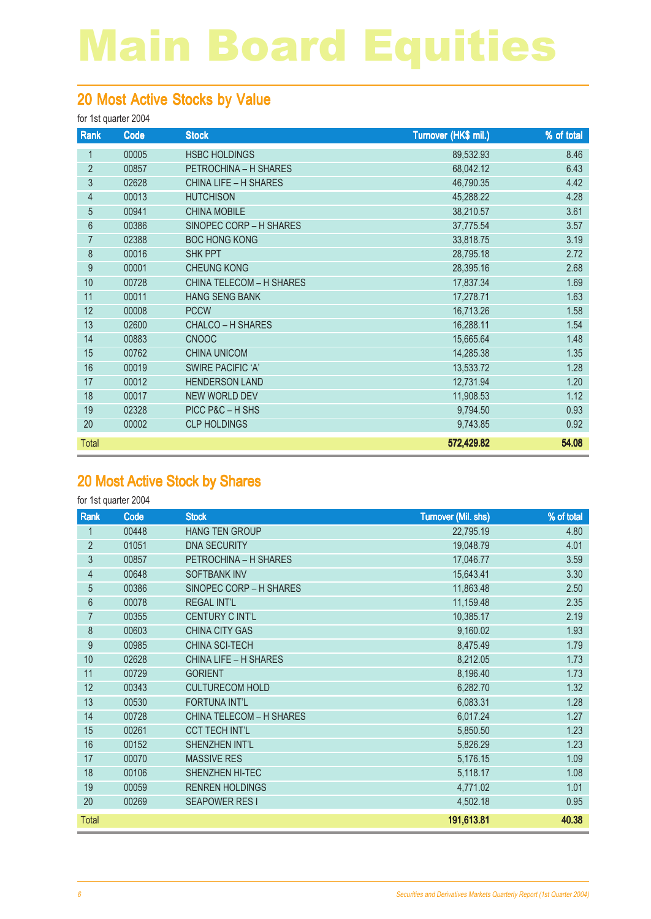### 20 Most Active Stocks by Value

#### for 1st quarter 2004

| Rank           | Code  | <b>Stock</b>                    | Turnover (HK\$ mil.) | % of total |
|----------------|-------|---------------------------------|----------------------|------------|
| 1              | 00005 | <b>HSBC HOLDINGS</b>            | 89,532.93            | 8.46       |
| $\overline{2}$ | 00857 | PETROCHINA - H SHARES           | 68,042.12            | 6.43       |
| 3              | 02628 | CHINA LIFE - H SHARES           | 46,790.35            | 4.42       |
| $\overline{4}$ | 00013 | <b>HUTCHISON</b>                | 45,288.22            | 4.28       |
| 5              | 00941 | <b>CHINA MOBILE</b>             | 38,210.57            | 3.61       |
| 6              | 00386 | SINOPEC CORP - H SHARES         | 37,775.54            | 3.57       |
| $\overline{7}$ | 02388 | <b>BOC HONG KONG</b>            | 33,818.75            | 3.19       |
| 8              | 00016 | <b>SHK PPT</b>                  | 28,795.18            | 2.72       |
| 9              | 00001 | <b>CHEUNG KONG</b>              | 28,395.16            | 2.68       |
| 10             | 00728 | <b>CHINA TELECOM - H SHARES</b> | 17,837.34            | 1.69       |
| 11             | 00011 | <b>HANG SENG BANK</b>           | 17,278.71            | 1.63       |
| 12             | 00008 | <b>PCCW</b>                     | 16,713.26            | 1.58       |
| 13             | 02600 | <b>CHALCO - H SHARES</b>        | 16,288.11            | 1.54       |
| 14             | 00883 | <b>CNOOC</b>                    | 15,665.64            | 1.48       |
| 15             | 00762 | <b>CHINA UNICOM</b>             | 14,285.38            | 1.35       |
| 16             | 00019 | <b>SWIRE PACIFIC 'A'</b>        | 13,533.72            | 1.28       |
| 17             | 00012 | <b>HENDERSON LAND</b>           | 12,731.94            | 1.20       |
| 18             | 00017 | <b>NEW WORLD DEV</b>            | 11,908.53            | 1.12       |
| 19             | 02328 | PICC P&C - H SHS                | 9,794.50             | 0.93       |
| 20             | 00002 | <b>CLP HOLDINGS</b>             | 9,743.85             | 0.92       |
| Total          |       |                                 | 572,429.82           | 54.08      |

### 20 Most Active Stock by Shares

| Rank           | Code  | <b>Stock</b>                    | <b>Turnover (Mil. shs)</b> | % of total |
|----------------|-------|---------------------------------|----------------------------|------------|
| $\mathbf{1}$   | 00448 | <b>HANG TEN GROUP</b>           | 22,795.19                  | 4.80       |
| $\overline{2}$ | 01051 | <b>DNA SECURITY</b>             | 19,048.79                  | 4.01       |
| 3              | 00857 | PETROCHINA - H SHARES           | 17,046.77                  | 3.59       |
| 4              | 00648 | <b>SOFTBANK INV</b>             | 15,643.41                  | 3.30       |
| 5              | 00386 | SINOPEC CORP - H SHARES         | 11,863.48                  | 2.50       |
| 6              | 00078 | <b>REGAL INT'L</b>              | 11,159.48                  | 2.35       |
| 7              | 00355 | CENTURY C INT'L                 | 10,385.17                  | 2.19       |
| 8              | 00603 | <b>CHINA CITY GAS</b>           | 9,160.02                   | 1.93       |
| 9              | 00985 | <b>CHINA SCI-TECH</b>           | 8,475.49                   | 1.79       |
| 10             | 02628 | <b>CHINA LIFE - H SHARES</b>    | 8,212.05                   | 1.73       |
| 11             | 00729 | <b>GORIENT</b>                  | 8,196.40                   | 1.73       |
| 12             | 00343 | <b>CULTURECOM HOLD</b>          | 6,282.70                   | 1.32       |
| 13             | 00530 | <b>FORTUNA INT'L</b>            | 6,083.31                   | 1.28       |
| 14             | 00728 | <b>CHINA TELECOM - H SHARES</b> | 6,017.24                   | 1.27       |
| 15             | 00261 | <b>CCT TECH INT'L</b>           | 5,850.50                   | 1.23       |
| 16             | 00152 | SHENZHEN INT'L                  | 5,826.29                   | 1.23       |
| 17             | 00070 | <b>MASSIVE RES</b>              | 5,176.15                   | 1.09       |
| 18             | 00106 | SHENZHEN HI-TEC                 | 5,118.17                   | 1.08       |
| 19             | 00059 | <b>RENREN HOLDINGS</b>          | 4,771.02                   | 1.01       |
| 20             | 00269 | <b>SEAPOWER RESI</b>            | 4,502.18                   | 0.95       |
| <b>Total</b>   |       |                                 | 191,613.81                 | 40.38      |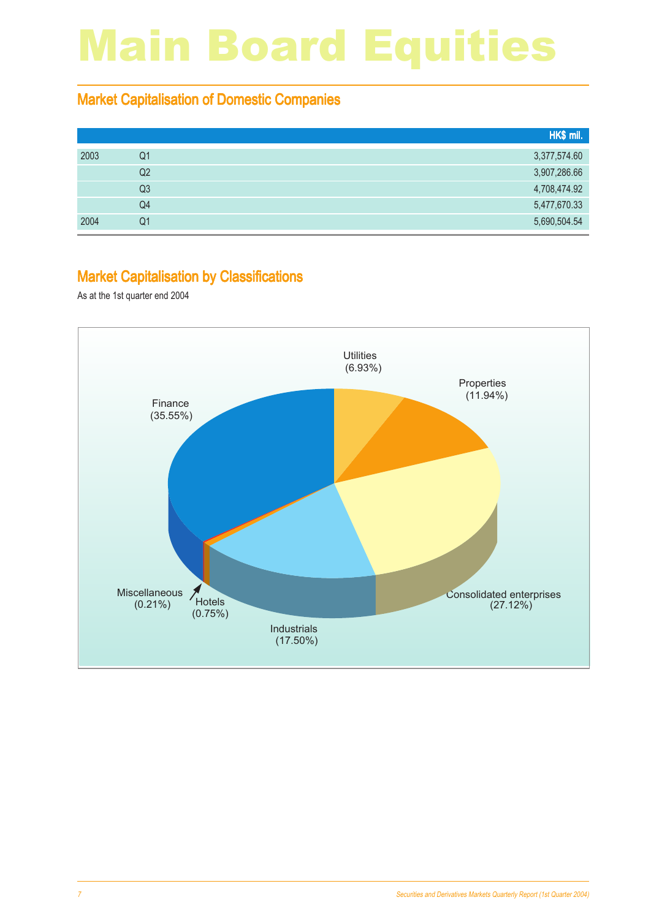#### Market Capitalisation of Domestic Companies

|      |                | HK\$ mil.    |
|------|----------------|--------------|
| 2003 | Q1             | 3,377,574.60 |
|      | Q2             | 3,907,286.66 |
|      | Q <sub>3</sub> | 4,708,474.92 |
|      | Q4             | 5,477,670.33 |
| 2004 | Q1             | 5,690,504.54 |

#### Market Capitalisation by Classifications

As at the 1st quarter end 2004

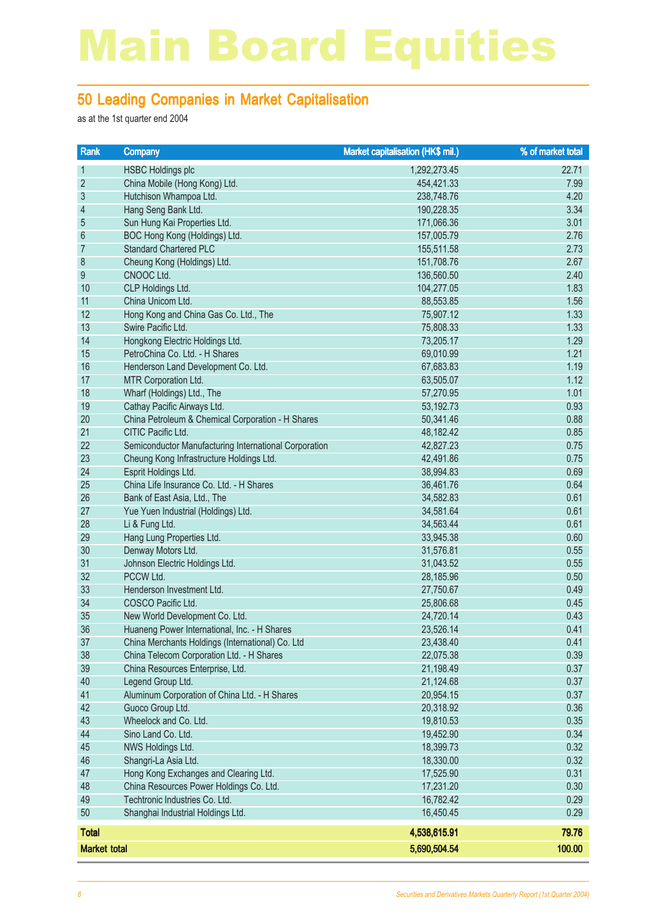#### 50 Leading Companies in Market Capitalisation

as at the 1st quarter end 2004

| Rank                | <b>Company</b>                                        | Market capitalisation (HK\$ mil.) | % of market total |
|---------------------|-------------------------------------------------------|-----------------------------------|-------------------|
| $\mathbf{1}$        | <b>HSBC Holdings plc</b>                              | 1,292,273.45                      | 22.71             |
| $\overline{2}$      | China Mobile (Hong Kong) Ltd.                         | 454,421.33                        | 7.99              |
| $\sqrt{3}$          | Hutchison Whampoa Ltd.                                | 238,748.76                        | 4.20              |
| $\overline{4}$      | Hang Seng Bank Ltd.                                   | 190,228.35                        | 3.34              |
| 5                   | Sun Hung Kai Properties Ltd.                          | 171,066.36                        | 3.01              |
| 6                   | BOC Hong Kong (Holdings) Ltd.                         | 157,005.79                        | 2.76              |
| 7                   | <b>Standard Chartered PLC</b>                         | 155,511.58                        | 2.73              |
| $\bf 8$             | Cheung Kong (Holdings) Ltd.                           | 151,708.76                        | 2.67              |
| 9                   | CNOOC Ltd.                                            | 136,560.50                        | 2.40              |
| 10                  | CLP Holdings Ltd.                                     | 104,277.05                        | 1.83              |
| 11                  | China Unicom Ltd.                                     | 88,553.85                         | 1.56              |
| 12                  | Hong Kong and China Gas Co. Ltd., The                 | 75,907.12                         | 1.33              |
| 13                  | Swire Pacific Ltd.                                    | 75,808.33                         | 1.33              |
| 14                  | Hongkong Electric Holdings Ltd.                       | 73,205.17                         | 1.29              |
| 15                  | PetroChina Co. Ltd. - H Shares                        | 69,010.99                         | 1.21              |
| 16                  | Henderson Land Development Co. Ltd.                   | 67,683.83                         | 1.19              |
| 17                  | MTR Corporation Ltd.                                  | 63,505.07                         | 1.12              |
| 18                  | Wharf (Holdings) Ltd., The                            | 57,270.95                         | 1.01              |
| 19                  | Cathay Pacific Airways Ltd.                           | 53,192.73                         | 0.93              |
| 20                  | China Petroleum & Chemical Corporation - H Shares     | 50,341.46                         | 0.88              |
| 21                  | CITIC Pacific Ltd.                                    | 48,182.42                         | 0.85              |
| 22                  | Semiconductor Manufacturing International Corporation | 42,827.23                         | 0.75              |
| 23                  | Cheung Kong Infrastructure Holdings Ltd.              | 42,491.86                         | 0.75              |
| 24                  | Esprit Holdings Ltd.                                  | 38,994.83                         | 0.69              |
| 25                  | China Life Insurance Co. Ltd. - H Shares              | 36,461.76                         | 0.64              |
| 26                  | Bank of East Asia, Ltd., The                          | 34,582.83                         | 0.61              |
| 27                  | Yue Yuen Industrial (Holdings) Ltd.                   | 34,581.64                         | 0.61              |
| 28                  | Li & Fung Ltd.                                        | 34,563.44                         | 0.61              |
| 29                  | Hang Lung Properties Ltd.                             | 33,945.38                         | 0.60              |
| 30                  | Denway Motors Ltd.                                    | 31,576.81                         | 0.55              |
| 31                  | Johnson Electric Holdings Ltd.                        | 31,043.52                         | 0.55              |
| 32                  | PCCW Ltd.                                             | 28,185.96                         | 0.50              |
| 33                  | Henderson Investment Ltd.                             | 27,750.67                         | 0.49              |
| 34                  | COSCO Pacific Ltd.                                    | 25,806.68                         | 0.45              |
| 35                  | New World Development Co. Ltd.                        | 24,720.14                         | 0.43              |
| 36                  | Huaneng Power International, Inc. - H Shares          | 23,526.14                         | 0.41              |
| 37                  | China Merchants Holdings (International) Co. Ltd      | 23,438.40                         | 0.41              |
| 38                  | China Telecom Corporation Ltd. - H Shares             | 22,075.38                         | 0.39              |
| 39                  | China Resources Enterprise, Ltd.                      | 21,198.49                         | 0.37              |
| 40                  | Legend Group Ltd.                                     | 21,124.68                         | 0.37              |
| 41                  | Aluminum Corporation of China Ltd. - H Shares         | 20,954.15                         | 0.37              |
| 42                  | Guoco Group Ltd.                                      | 20,318.92                         | 0.36              |
| 43                  | Wheelock and Co. Ltd.                                 | 19,810.53                         | 0.35              |
| 44                  | Sino Land Co. Ltd.                                    | 19,452.90                         | 0.34              |
| 45                  | NWS Holdings Ltd.                                     | 18,399.73                         | 0.32              |
| 46                  | Shangri-La Asia Ltd.                                  | 18,330.00                         | 0.32              |
| 47                  | Hong Kong Exchanges and Clearing Ltd.                 | 17,525.90                         | 0.31              |
| 48                  | China Resources Power Holdings Co. Ltd.               | 17,231.20                         | 0.30              |
| 49                  | Techtronic Industries Co. Ltd.                        | 16,782.42                         | 0.29              |
| 50                  | Shanghai Industrial Holdings Ltd.                     | 16,450.45                         | 0.29              |
| <b>Total</b>        |                                                       | 4,538,615.91                      | 79.76             |
| <b>Market total</b> |                                                       | 5,690,504.54                      | 100.00            |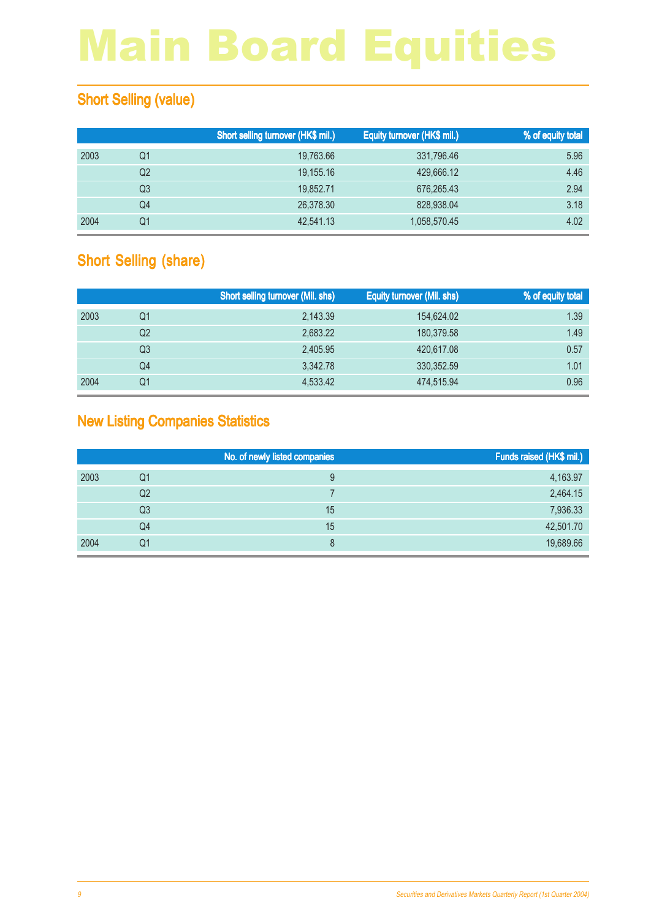### **Short Selling (value)**

|      |                | Short selling turnover (HK\$ mil.) | Equity turnover (HK\$ mil.) | % of equity total |
|------|----------------|------------------------------------|-----------------------------|-------------------|
| 2003 | Q1             | 19,763.66                          | 331,796.46                  | 5.96              |
|      | Q <sub>2</sub> | 19,155.16                          | 429,666.12                  | 4.46              |
|      | Q3             | 19.852.71                          | 676,265.43                  | 2.94              |
|      | Q4             | 26,378.30                          | 828,938.04                  | 3.18              |
| 2004 | Q1             | 42,541.13                          | 1,058,570.45                | 4.02              |

### Short Selling (share)

|      |    | <b>Short selling turnover (Mil. shs)</b> | <b>Equity turnover (Mil. shs)</b> | <b>% of equity total</b> |
|------|----|------------------------------------------|-----------------------------------|--------------------------|
| 2003 | Q1 | 2,143.39                                 | 154,624.02                        | 1.39                     |
|      | Q2 | 2,683.22                                 | 180.379.58                        | 1.49                     |
|      | Q3 | 2,405.95                                 | 420,617.08                        | 0.57                     |
|      | Q4 | 3.342.78                                 | 330, 352.59                       | 1.01                     |
| 2004 | Q1 | 4,533.42                                 | 474,515.94                        | 0.96                     |

### New Listing Companies Statistics

|      |                | No. of newly listed companies | Funds raised (HK\$ mil.) |
|------|----------------|-------------------------------|--------------------------|
| 2003 | Q1             |                               | 4,163.97                 |
|      | Q <sub>2</sub> |                               | 2,464.15                 |
|      | Q3             | 15                            | 7,936.33                 |
|      | Q4             | 15                            | 42,501.70                |
| 2004 | Q1             |                               | 19,689.66                |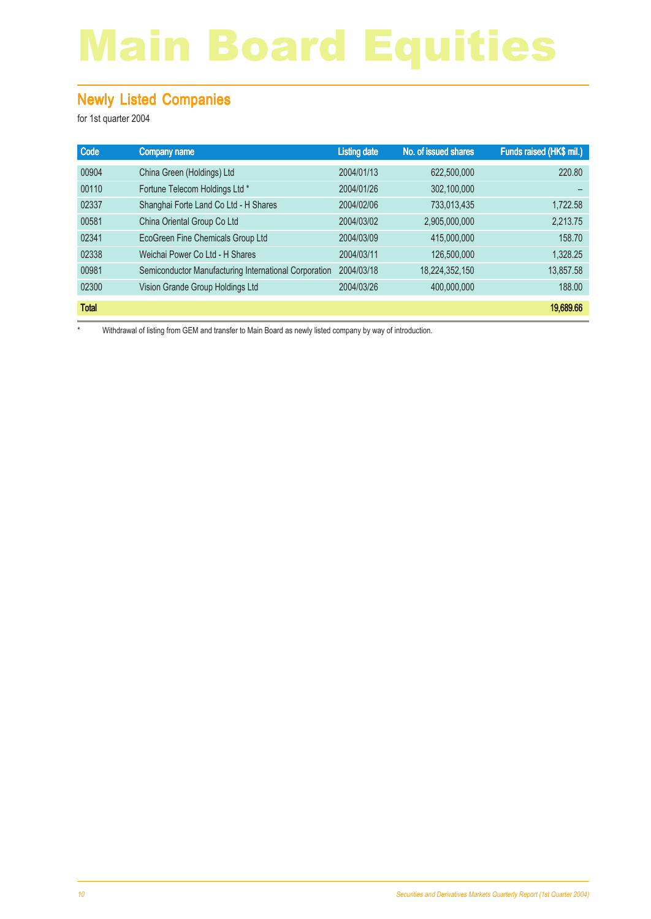#### Newly Listed Companies

for 1st quarter 2004

| Code         | Company name                                          | <b>Listing date</b> | No. of issued shares | Funds raised (HK\$ mil.) |
|--------------|-------------------------------------------------------|---------------------|----------------------|--------------------------|
| 00904        | China Green (Holdings) Ltd                            | 2004/01/13          | 622,500,000          | 220.80                   |
| 00110        | Fortune Telecom Holdings Ltd *                        | 2004/01/26          | 302,100,000          |                          |
| 02337        | Shanghai Forte Land Co Ltd - H Shares                 | 2004/02/06          | 733,013,435          | 1,722.58                 |
| 00581        | China Oriental Group Co Ltd                           | 2004/03/02          | 2,905,000,000        | 2,213.75                 |
| 02341        | EcoGreen Fine Chemicals Group Ltd                     | 2004/03/09          | 415,000,000          | 158.70                   |
| 02338        | Weichai Power Co Ltd - H Shares                       | 2004/03/11          | 126,500,000          | 1,328.25                 |
| 00981        | Semiconductor Manufacturing International Corporation | 2004/03/18          | 18,224,352,150       | 13,857.58                |
| 02300        | Vision Grande Group Holdings Ltd                      | 2004/03/26          | 400,000,000          | 188.00                   |
| <b>Total</b> |                                                       |                     |                      | 19,689.66                |

\* Withdrawal of listing from GEM and transfer to Main Board as newly listed company by way of introduction.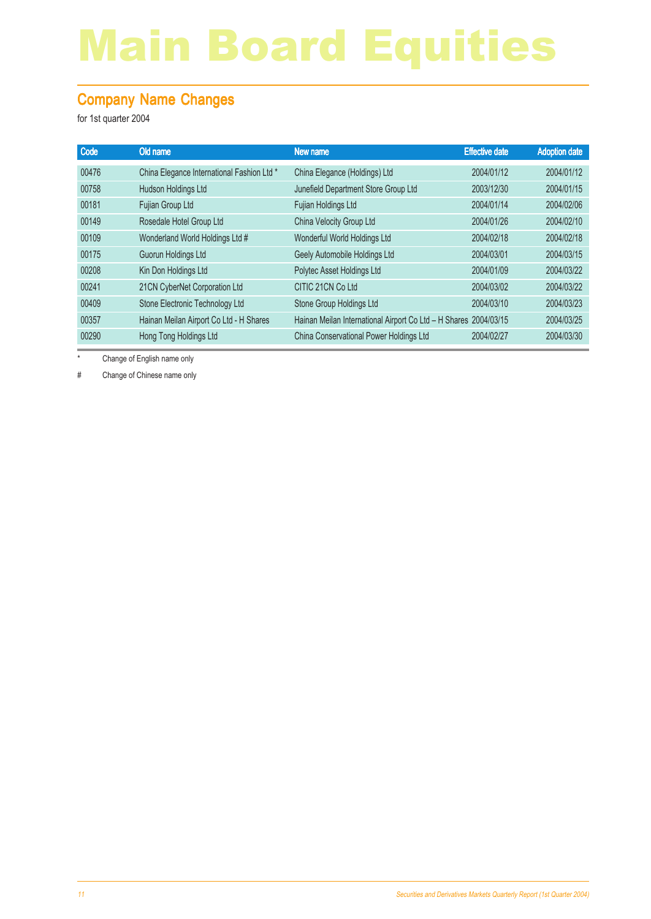### Company Name Changes

for 1st quarter 2004

| Code  | Old name                                   | New name                                                         | <b>Effective date</b> | <b>Adoption date</b> |
|-------|--------------------------------------------|------------------------------------------------------------------|-----------------------|----------------------|
| 00476 | China Elegance International Fashion Ltd * | China Elegance (Holdings) Ltd                                    | 2004/01/12            | 2004/01/12           |
| 00758 | Hudson Holdings Ltd                        | Junefield Department Store Group Ltd                             | 2003/12/30            | 2004/01/15           |
| 00181 | Fujian Group Ltd                           | Fujian Holdings Ltd                                              | 2004/01/14            | 2004/02/06           |
| 00149 | Rosedale Hotel Group Ltd                   | China Velocity Group Ltd                                         | 2004/01/26            | 2004/02/10           |
| 00109 | Wonderland World Holdings Ltd #            | Wonderful World Holdings Ltd                                     | 2004/02/18            | 2004/02/18           |
| 00175 | Guorun Holdings Ltd                        | Geely Automobile Holdings Ltd                                    | 2004/03/01            | 2004/03/15           |
| 00208 | Kin Don Holdings Ltd                       | Polytec Asset Holdings Ltd                                       | 2004/01/09            | 2004/03/22           |
| 00241 | 21CN CyberNet Corporation Ltd              | CITIC 21CN Co Ltd                                                | 2004/03/02            | 2004/03/22           |
| 00409 | Stone Electronic Technology Ltd            | Stone Group Holdings Ltd                                         | 2004/03/10            | 2004/03/23           |
| 00357 | Hainan Meilan Airport Co Ltd - H Shares    | Hainan Meilan International Airport Co Ltd - H Shares 2004/03/15 |                       | 2004/03/25           |
| 00290 | Hong Tong Holdings Ltd                     | China Conservational Power Holdings Ltd                          | 2004/02/27            | 2004/03/30           |

\* Change of English name only

# Change of Chinese name only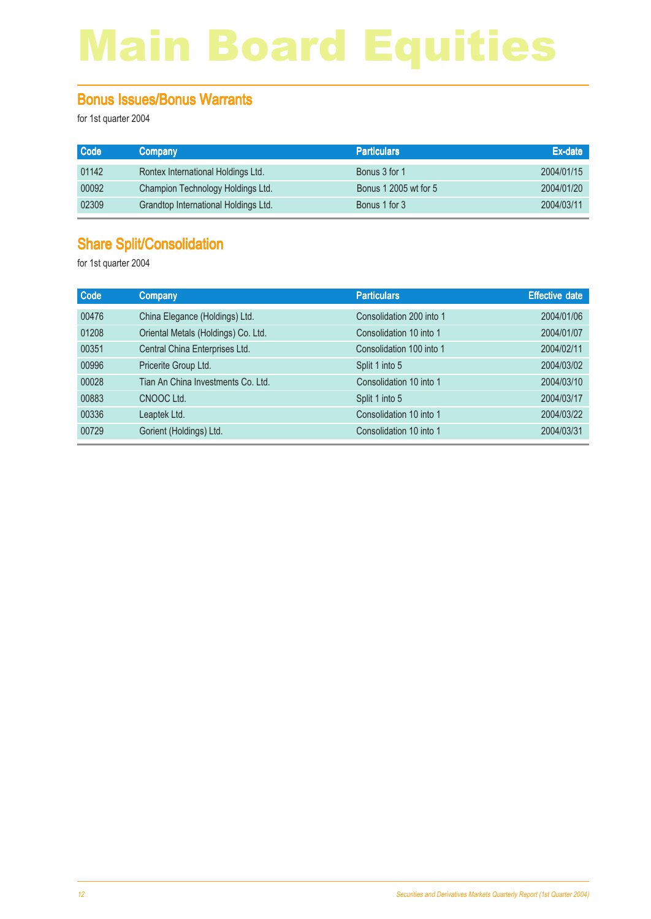#### Bonus Issues/Bonus Warrants

for 1st quarter 2004

| <b>Code</b> | <b>Company</b>                       | <b>Particulars</b>    | Ex-date    |
|-------------|--------------------------------------|-----------------------|------------|
| 01142       | Rontex International Holdings Ltd.   | Bonus 3 for 1         | 2004/01/15 |
| 00092       | Champion Technology Holdings Ltd.    | Bonus 1 2005 wt for 5 | 2004/01/20 |
| 02309       | Grandtop International Holdings Ltd. | Bonus 1 for 3         | 2004/03/11 |

### Share Split/Consolidation

| <b>Company</b>                      | <b>Particulars</b>       | <b>Effective date</b> |
|-------------------------------------|--------------------------|-----------------------|
| China Elegance (Holdings) Ltd.      | Consolidation 200 into 1 | 2004/01/06            |
| Oriental Metals (Holdings) Co. Ltd. | Consolidation 10 into 1  | 2004/01/07            |
| Central China Enterprises Ltd.      | Consolidation 100 into 1 | 2004/02/11            |
| Pricerite Group Ltd.                | Split 1 into 5           | 2004/03/02            |
| Tian An China Investments Co. Ltd.  | Consolidation 10 into 1  | 2004/03/10            |
| CNOOC Ltd.                          | Split 1 into 5           | 2004/03/17            |
| Leaptek Ltd.                        | Consolidation 10 into 1  | 2004/03/22            |
| Gorient (Holdings) Ltd.             | Consolidation 10 into 1  | 2004/03/31            |
|                                     |                          |                       |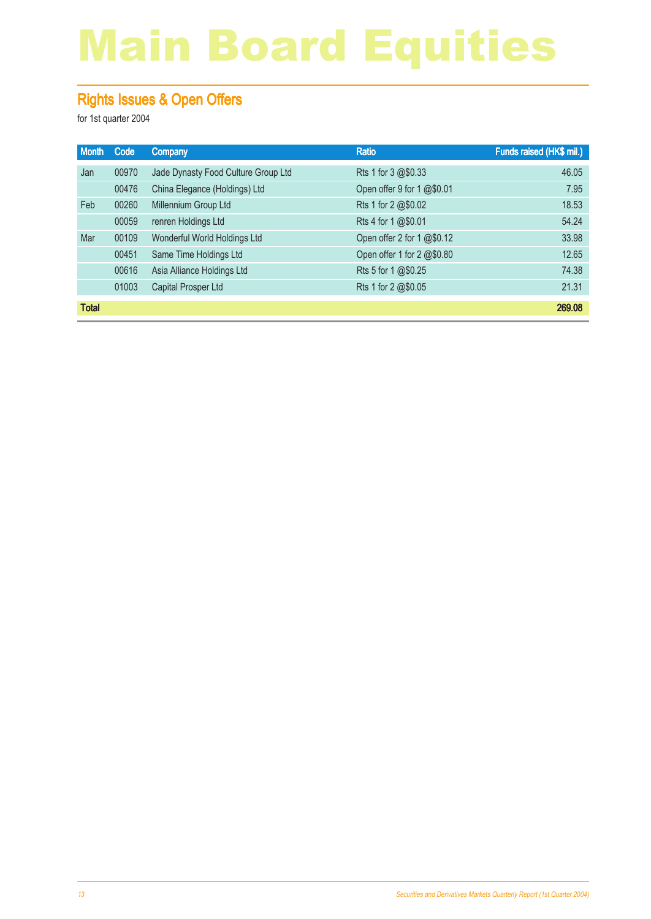### Rights Issues & Open Offers

| <b>Month</b> | Code  | <b>Company</b>                      | <b>Ratio</b>               | Funds raised (HK\$ mil.) |
|--------------|-------|-------------------------------------|----------------------------|--------------------------|
| Jan          | 00970 | Jade Dynasty Food Culture Group Ltd | Rts 1 for 3 @\$0.33        | 46.05                    |
|              | 00476 | China Elegance (Holdings) Ltd       | Open offer 9 for 1 @\$0.01 | 7.95                     |
| Feb          | 00260 | Millennium Group Ltd                | Rts 1 for 2 @\$0.02        | 18.53                    |
|              | 00059 | renren Holdings Ltd                 | Rts 4 for 1 @\$0.01        | 54.24                    |
| Mar          | 00109 | Wonderful World Holdings Ltd        | Open offer 2 for 1 @\$0.12 | 33.98                    |
|              | 00451 | Same Time Holdings Ltd              | Open offer 1 for 2 @\$0.80 | 12.65                    |
|              | 00616 | Asia Alliance Holdings Ltd          | Rts 5 for 1 @\$0.25        | 74.38                    |
|              | 01003 | Capital Prosper Ltd                 | Rts 1 for 2 @\$0.05        | 21.31                    |
| <b>Total</b> |       |                                     |                            | 269.08                   |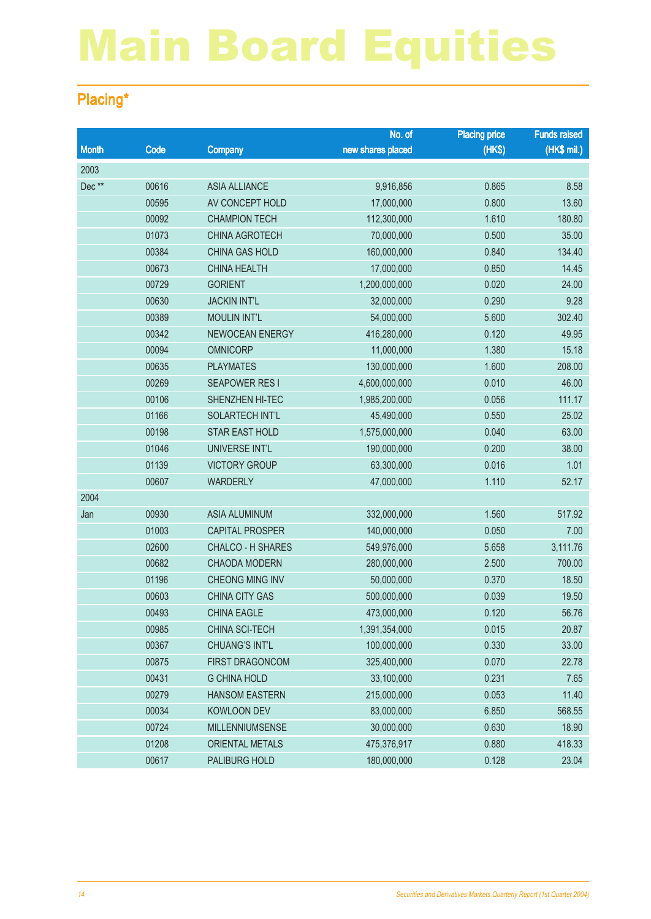### Placing\*

|              |       |                          | No. of            | <b>Placing price</b> | <b>Funds raised</b> |
|--------------|-------|--------------------------|-------------------|----------------------|---------------------|
| <b>Month</b> | Code  | <b>Company</b>           | new shares placed | (HKS)                | (HK\$ mil.)         |
| 2003         |       |                          |                   |                      |                     |
| Dec**        | 00616 | <b>ASIA ALLIANCE</b>     | 9,916,856         | 0.865                | 8.58                |
|              | 00595 | AV CONCEPT HOLD          | 17,000,000        | 0.800                | 13.60               |
|              | 00092 | <b>CHAMPION TECH</b>     | 112,300,000       | 1.610                | 180.80              |
|              | 01073 | <b>CHINA AGROTECH</b>    | 70,000,000        | 0.500                | 35.00               |
|              | 00384 | <b>CHINA GAS HOLD</b>    | 160,000,000       | 0.840                | 134.40              |
|              | 00673 | <b>CHINA HEALTH</b>      | 17,000,000        | 0.850                | 14.45               |
|              | 00729 | <b>GORIENT</b>           | 1,200,000,000     | 0.020                | 24.00               |
|              | 00630 | <b>JACKIN INT'L</b>      | 32,000,000        | 0.290                | 9.28                |
|              | 00389 | <b>MOULIN INT'L</b>      | 54,000,000        | 5.600                | 302.40              |
|              | 00342 | NEWOCEAN ENERGY          | 416,280,000       | 0.120                | 49.95               |
|              | 00094 | <b>OMNICORP</b>          | 11,000,000        | 1.380                | 15.18               |
|              | 00635 | <b>PLAYMATES</b>         | 130,000,000       | 1.600                | 208.00              |
|              | 00269 | <b>SEAPOWER RESI</b>     | 4,600,000,000     | 0.010                | 46.00               |
|              | 00106 | SHENZHEN HI-TEC          | 1,985,200,000     | 0.056                | 111.17              |
|              | 01166 | <b>SOLARTECH INT'L</b>   | 45,490,000        | 0.550                | 25.02               |
|              | 00198 | <b>STAR EAST HOLD</b>    | 1,575,000,000     | 0.040                | 63.00               |
|              | 01046 | UNIVERSE INT'L           | 190,000,000       | 0.200                | 38.00               |
|              | 01139 | <b>VICTORY GROUP</b>     | 63,300,000        | 0.016                | 1.01                |
|              | 00607 | <b>WARDERLY</b>          | 47,000,000        | 1.110                | 52.17               |
| 2004         |       |                          |                   |                      |                     |
| Jan          | 00930 | <b>ASIA ALUMINUM</b>     | 332,000,000       | 1.560                | 517.92              |
|              | 01003 | <b>CAPITAL PROSPER</b>   | 140,000,000       | 0.050                | 7.00                |
|              | 02600 | <b>CHALCO - H SHARES</b> | 549,976,000       | 5.658                | 3,111.76            |
|              | 00682 | <b>CHAODA MODERN</b>     | 280,000,000       | 2.500                | 700.00              |
|              | 01196 | <b>CHEONG MING INV</b>   | 50,000,000        | 0.370                | 18.50               |
|              | 00603 | <b>CHINA CITY GAS</b>    | 500,000,000       | 0.039                | 19.50               |
|              | 00493 | <b>CHINA EAGLE</b>       | 473,000,000       | 0.120                | 56.76               |
|              | 00985 | CHINA SCI-TECH           | 1,391,354,000     | 0.015                | 20.87               |
|              | 00367 | <b>CHUANG'S INT'L</b>    | 100,000,000       | 0.330                | 33.00               |
|              | 00875 | FIRST DRAGONCOM          | 325,400,000       | 0.070                | 22.78               |
|              | 00431 | <b>G CHINA HOLD</b>      | 33,100,000        | 0.231                | 7.65                |
|              | 00279 | <b>HANSOM EASTERN</b>    | 215,000,000       | 0.053                | 11.40               |
|              | 00034 | <b>KOWLOON DEV</b>       | 83,000,000        | 6.850                | 568.55              |
|              | 00724 | <b>MILLENNIUMSENSE</b>   | 30,000,000        | 0.630                | 18.90               |
|              | 01208 | <b>ORIENTAL METALS</b>   | 475,376,917       | 0.880                | 418.33              |
|              | 00617 | PALIBURG HOLD            | 180,000,000       | 0.128                | 23.04               |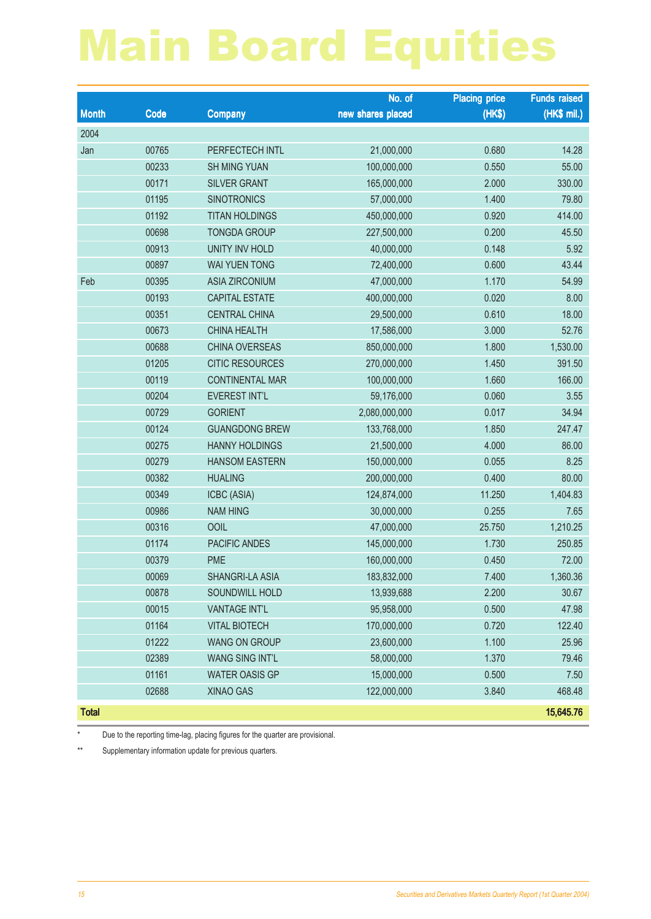|              |       |                        | No. of            | <b>Placing price</b> | <b>Funds raised</b> |
|--------------|-------|------------------------|-------------------|----------------------|---------------------|
| <b>Month</b> | Code  | <b>Company</b>         | new shares placed | (HK\$)               | $(HK$$ mil.)        |
| 2004         |       |                        |                   |                      |                     |
| Jan          | 00765 | PERFECTECH INTL        | 21,000,000        | 0.680                | 14.28               |
|              | 00233 | <b>SH MING YUAN</b>    | 100,000,000       | 0.550                | 55.00               |
|              | 00171 | <b>SILVER GRANT</b>    | 165,000,000       | 2.000                | 330.00              |
|              | 01195 | <b>SINOTRONICS</b>     | 57,000,000        | 1.400                | 79.80               |
|              | 01192 | <b>TITAN HOLDINGS</b>  | 450,000,000       | 0.920                | 414.00              |
|              | 00698 | <b>TONGDA GROUP</b>    | 227,500,000       | 0.200                | 45.50               |
|              | 00913 | <b>UNITY INV HOLD</b>  | 40,000,000        | 0.148                | 5.92                |
|              | 00897 | <b>WAI YUEN TONG</b>   | 72,400,000        | 0.600                | 43.44               |
| Feb          | 00395 | <b>ASIA ZIRCONIUM</b>  | 47,000,000        | 1.170                | 54.99               |
|              | 00193 | CAPITAL ESTATE         | 400,000,000       | 0.020                | 8.00                |
|              | 00351 | <b>CENTRAL CHINA</b>   | 29,500,000        | 0.610                | 18.00               |
|              | 00673 | <b>CHINA HEALTH</b>    | 17,586,000        | 3.000                | 52.76               |
|              | 00688 | <b>CHINA OVERSEAS</b>  | 850,000,000       | 1.800                | 1,530.00            |
|              | 01205 | <b>CITIC RESOURCES</b> | 270,000,000       | 1.450                | 391.50              |
|              | 00119 | <b>CONTINENTAL MAR</b> | 100,000,000       | 1.660                | 166.00              |
|              | 00204 | <b>EVEREST INT'L</b>   | 59,176,000        | 0.060                | 3.55                |
|              | 00729 | <b>GORIENT</b>         | 2,080,000,000     | 0.017                | 34.94               |
|              | 00124 | <b>GUANGDONG BREW</b>  | 133,768,000       | 1.850                | 247.47              |
|              | 00275 | <b>HANNY HOLDINGS</b>  | 21,500,000        | 4.000                | 86.00               |
|              | 00279 | <b>HANSOM EASTERN</b>  | 150,000,000       | 0.055                | 8.25                |
|              | 00382 | <b>HUALING</b>         | 200,000,000       | 0.400                | 80.00               |
|              | 00349 | ICBC (ASIA)            | 124,874,000       | 11.250               | 1,404.83            |
|              | 00986 | <b>NAM HING</b>        | 30,000,000        | 0.255                | 7.65                |
|              | 00316 | <b>OOIL</b>            | 47,000,000        | 25.750               | 1,210.25            |
|              | 01174 | PACIFIC ANDES          | 145,000,000       | 1.730                | 250.85              |
|              | 00379 | <b>PME</b>             | 160,000,000       | 0.450                | 72.00               |
|              | 00069 | SHANGRI-LA ASIA        | 183,832,000       | 7.400                | 1,360.36            |
|              | 00878 | SOUNDWILL HOLD         | 13,939,688        | 2.200                | 30.67               |
|              | 00015 | <b>VANTAGE INT'L</b>   | 95,958,000        | 0.500                | 47.98               |
|              | 01164 | <b>VITAL BIOTECH</b>   | 170,000,000       | 0.720                | 122.40              |
|              | 01222 | <b>WANG ON GROUP</b>   | 23,600,000        | 1.100                | 25.96               |
|              | 02389 | <b>WANG SING INT'L</b> | 58,000,000        | 1.370                | 79.46               |
|              | 01161 | <b>WATER OASIS GP</b>  | 15,000,000        | 0.500                | 7.50                |
|              | 02688 | <b>XINAO GAS</b>       | 122,000,000       | 3.840                | 468.48              |
| <b>Total</b> |       |                        |                   |                      | 15,645.76           |

\* Due to the reporting time-lag, placing figures for the quarter are provisional.

\*\* Supplementary information update for previous quarters.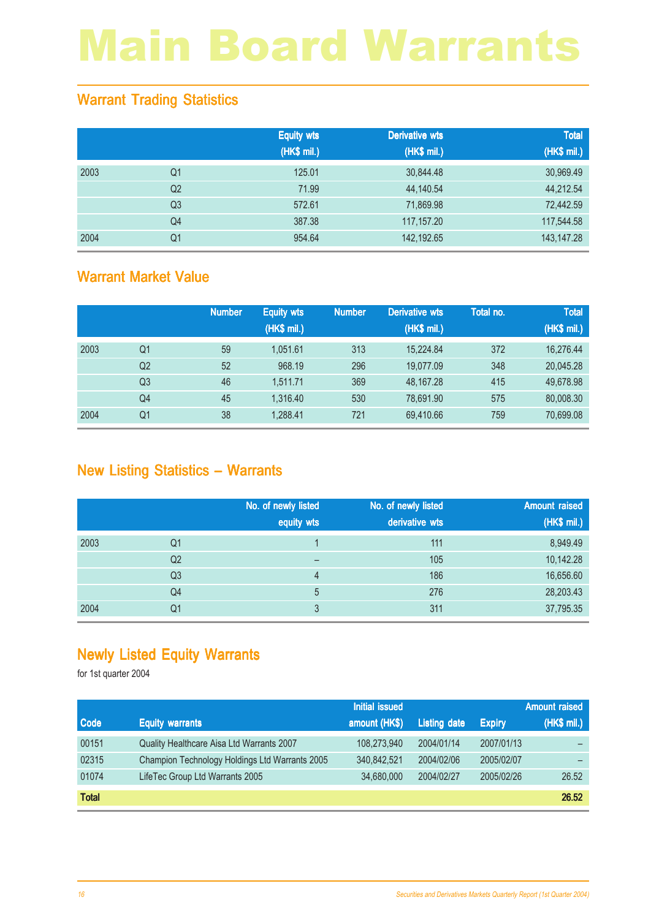### Warrant Trading Statistics

|      |                | <b>Equity wts</b> | <b>Derivative wts</b> | <b>Total</b> |
|------|----------------|-------------------|-----------------------|--------------|
|      |                | (HK\$ mil.)       | (HK\$ mil.)           | (HK\$ mil.)  |
| 2003 | Q <sub>1</sub> | 125.01            | 30,844.48             | 30,969.49    |
|      | Q <sub>2</sub> | 71.99             | 44,140.54             | 44,212.54    |
|      | Q <sub>3</sub> | 572.61            | 71,869.98             | 72,442.59    |
|      | Q <sub>4</sub> | 387.38            | 117,157.20            | 117,544.58   |
| 2004 | Q <sub>1</sub> | 954.64            | 142,192.65            | 143, 147. 28 |

#### Warrant Market Value

|      |                | <b>Number</b> | <b>Equity wts</b><br>(HK\$ mil.) | <b>Number</b> | <b>Derivative wts</b><br>(HK\$ mil.) | Total no. | <b>Total</b><br>(HK\$ mil.) |
|------|----------------|---------------|----------------------------------|---------------|--------------------------------------|-----------|-----------------------------|
| 2003 | Q1             | 59            | 1.051.61                         | 313           | 15.224.84                            | 372       | 16,276.44                   |
|      | Q <sub>2</sub> | 52            | 968.19                           | 296           | 19.077.09                            | 348       | 20,045.28                   |
|      | Q <sub>3</sub> | 46            | 1.511.71                         | 369           | 48.167.28                            | 415       | 49,678.98                   |
|      | Q4             | 45            | 1.316.40                         | 530           | 78.691.90                            | 575       | 80,008.30                   |
| 2004 | Q1             | 38            | 1,288.41                         | 721           | 69,410.66                            | 759       | 70,699.08                   |

### New Listing Statistics – Warrants

|      |                | No. of newly listed<br>equity wts | No. of newly listed<br>derivative wts | <b>Amount raised</b><br>(HK\$ mil.) |
|------|----------------|-----------------------------------|---------------------------------------|-------------------------------------|
| 2003 | Q1             |                                   | 111                                   | 8,949.49                            |
|      | Q <sub>2</sub> |                                   | 105                                   | 10,142.28                           |
|      | Q <sub>3</sub> | 4                                 | 186                                   | 16,656.60                           |
|      | Q4             | 5                                 | 276                                   | 28,203.43                           |
| 2004 | Q1             | 3                                 | 311                                   | 37,795.35                           |

### Newly Listed Equity Warrants

|              |                                                | <b>Initial issued</b> |                     |               | <b>Amount raised</b> |
|--------------|------------------------------------------------|-----------------------|---------------------|---------------|----------------------|
| <b>Code</b>  | <b>Equity warrants</b>                         | amount (HK\$)         | <b>Listing date</b> | <b>Expiry</b> | (HK\$ mil.)          |
| 00151        | Quality Healthcare Aisa Ltd Warrants 2007      | 108,273,940           | 2004/01/14          | 2007/01/13    | —                    |
| 02315        | Champion Technology Holdings Ltd Warrants 2005 | 340.842.521           | 2004/02/06          | 2005/02/07    | —                    |
| 01074        | LifeTec Group Ltd Warrants 2005                | 34,680,000            | 2004/02/27          | 2005/02/26    | 26.52                |
| <b>Total</b> |                                                |                       |                     |               | 26.52                |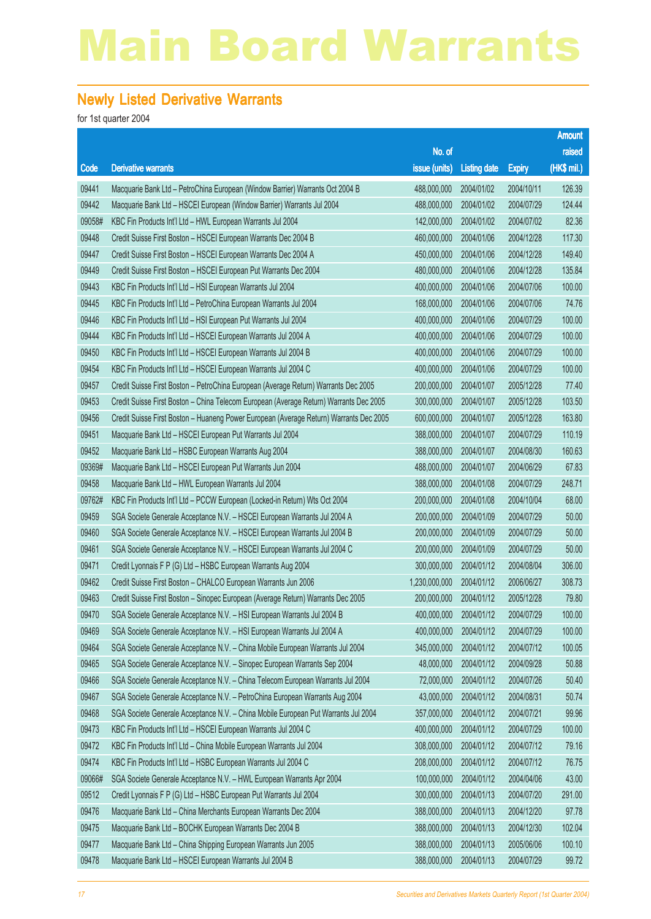#### Newly Listed Derivative Warrants

|        |                                                                                        |               |                     |               | <b>Amount</b> |
|--------|----------------------------------------------------------------------------------------|---------------|---------------------|---------------|---------------|
|        |                                                                                        | No. of        |                     |               | raised        |
| Code   | <b>Derivative warrants</b>                                                             | issue (units) | <b>Listing date</b> | <b>Expiry</b> | (HK\$ mil.)   |
| 09441  | Macquarie Bank Ltd - PetroChina European (Window Barrier) Warrants Oct 2004 B          | 488,000,000   | 2004/01/02          | 2004/10/11    | 126.39        |
| 09442  | Macquarie Bank Ltd - HSCEI European (Window Barrier) Warrants Jul 2004                 | 488,000,000   | 2004/01/02          | 2004/07/29    | 124.44        |
| 09058# | KBC Fin Products Int'l Ltd - HWL European Warrants Jul 2004                            | 142,000,000   | 2004/01/02          | 2004/07/02    | 82.36         |
| 09448  | Credit Suisse First Boston - HSCEI European Warrants Dec 2004 B                        | 460,000,000   | 2004/01/06          | 2004/12/28    | 117.30        |
| 09447  | Credit Suisse First Boston - HSCEI European Warrants Dec 2004 A                        | 450,000,000   | 2004/01/06          | 2004/12/28    | 149.40        |
| 09449  | Credit Suisse First Boston - HSCEI European Put Warrants Dec 2004                      | 480,000,000   | 2004/01/06          | 2004/12/28    | 135.84        |
| 09443  | KBC Fin Products Int'l Ltd - HSI European Warrants Jul 2004                            | 400,000,000   | 2004/01/06          | 2004/07/06    | 100.00        |
| 09445  | KBC Fin Products Int'l Ltd - PetroChina European Warrants Jul 2004                     | 168,000,000   | 2004/01/06          | 2004/07/06    | 74.76         |
| 09446  | KBC Fin Products Int'l Ltd - HSI European Put Warrants Jul 2004                        | 400,000,000   | 2004/01/06          | 2004/07/29    | 100.00        |
| 09444  | KBC Fin Products Int'l Ltd - HSCEI European Warrants Jul 2004 A                        | 400,000,000   | 2004/01/06          | 2004/07/29    | 100.00        |
| 09450  | KBC Fin Products Int'l Ltd - HSCEI European Warrants Jul 2004 B                        | 400,000,000   | 2004/01/06          | 2004/07/29    | 100.00        |
| 09454  | KBC Fin Products Int'l Ltd - HSCEI European Warrants Jul 2004 C                        | 400,000,000   | 2004/01/06          | 2004/07/29    | 100.00        |
| 09457  | Credit Suisse First Boston - PetroChina European (Average Return) Warrants Dec 2005    | 200,000,000   | 2004/01/07          | 2005/12/28    | 77.40         |
| 09453  | Credit Suisse First Boston - China Telecom European (Average Return) Warrants Dec 2005 | 300,000,000   | 2004/01/07          | 2005/12/28    | 103.50        |
| 09456  | Credit Suisse First Boston - Huaneng Power European (Average Return) Warrants Dec 2005 | 600,000,000   | 2004/01/07          | 2005/12/28    | 163.80        |
| 09451  | Macquarie Bank Ltd - HSCEI European Put Warrants Jul 2004                              | 388,000,000   | 2004/01/07          | 2004/07/29    | 110.19        |
| 09452  | Macquarie Bank Ltd - HSBC European Warrants Aug 2004                                   | 388,000,000   | 2004/01/07          | 2004/08/30    | 160.63        |
| 09369# | Macquarie Bank Ltd - HSCEI European Put Warrants Jun 2004                              | 488,000,000   | 2004/01/07          | 2004/06/29    | 67.83         |
| 09458  | Macquarie Bank Ltd - HWL European Warrants Jul 2004                                    | 388,000,000   | 2004/01/08          | 2004/07/29    | 248.71        |
| 09762# | KBC Fin Products Int'l Ltd - PCCW European (Locked-in Return) Wts Oct 2004             | 200,000,000   | 2004/01/08          | 2004/10/04    | 68.00         |
| 09459  | SGA Societe Generale Acceptance N.V. - HSCEI European Warrants Jul 2004 A              | 200,000,000   | 2004/01/09          | 2004/07/29    | 50.00         |
| 09460  | SGA Societe Generale Acceptance N.V. - HSCEI European Warrants Jul 2004 B              | 200,000,000   | 2004/01/09          | 2004/07/29    | 50.00         |
| 09461  | SGA Societe Generale Acceptance N.V. - HSCEI European Warrants Jul 2004 C              | 200,000,000   | 2004/01/09          | 2004/07/29    | 50.00         |
| 09471  | Credit Lyonnais F P (G) Ltd - HSBC European Warrants Aug 2004                          | 300,000,000   | 2004/01/12          | 2004/08/04    | 306.00        |
| 09462  | Credit Suisse First Boston - CHALCO European Warrants Jun 2006                         | 1,230,000,000 | 2004/01/12          | 2006/06/27    | 308.73        |
| 09463  | Credit Suisse First Boston - Sinopec European (Average Return) Warrants Dec 2005       | 200,000,000   | 2004/01/12          | 2005/12/28    | 79.80         |
| 09470  | SGA Societe Generale Acceptance N.V. - HSI European Warrants Jul 2004 B                | 400,000,000   | 2004/01/12          | 2004/07/29    | 100.00        |
| 09469  | SGA Societe Generale Acceptance N.V. - HSI European Warrants Jul 2004 A                | 400,000,000   | 2004/01/12          | 2004/07/29    | 100.00        |
| 09464  | SGA Societe Generale Acceptance N.V. - China Mobile European Warrants Jul 2004         | 345,000,000   | 2004/01/12          | 2004/07/12    | 100.05        |
| 09465  | SGA Societe Generale Acceptance N.V. - Sinopec European Warrants Sep 2004              | 48,000,000    | 2004/01/12          | 2004/09/28    | 50.88         |
| 09466  | SGA Societe Generale Acceptance N.V. - China Telecom European Warrants Jul 2004        | 72,000,000    | 2004/01/12          | 2004/07/26    | 50.40         |
| 09467  | SGA Societe Generale Acceptance N.V. - PetroChina European Warrants Aug 2004           | 43,000,000    | 2004/01/12          | 2004/08/31    | 50.74         |
| 09468  | SGA Societe Generale Acceptance N.V. - China Mobile European Put Warrants Jul 2004     | 357,000,000   | 2004/01/12          | 2004/07/21    | 99.96         |
| 09473  | KBC Fin Products Int'l Ltd - HSCEI European Warrants Jul 2004 C                        | 400,000,000   | 2004/01/12          | 2004/07/29    | 100.00        |
| 09472  | KBC Fin Products Int'l Ltd - China Mobile European Warrants Jul 2004                   | 308,000,000   | 2004/01/12          | 2004/07/12    | 79.16         |
| 09474  | KBC Fin Products Int'l Ltd - HSBC European Warrants Jul 2004 C                         | 208,000,000   | 2004/01/12          | 2004/07/12    | 76.75         |
| 09066# | SGA Societe Generale Acceptance N.V. - HWL European Warrants Apr 2004                  | 100,000,000   | 2004/01/12          | 2004/04/06    | 43.00         |
| 09512  | Credit Lyonnais F P (G) Ltd - HSBC European Put Warrants Jul 2004                      | 300,000,000   | 2004/01/13          | 2004/07/20    | 291.00        |
| 09476  | Macquarie Bank Ltd - China Merchants European Warrants Dec 2004                        | 388,000,000   | 2004/01/13          | 2004/12/20    | 97.78         |
| 09475  | Macquarie Bank Ltd - BOCHK European Warrants Dec 2004 B                                | 388,000,000   | 2004/01/13          | 2004/12/30    | 102.04        |
| 09477  | Macquarie Bank Ltd - China Shipping European Warrants Jun 2005                         | 388,000,000   | 2004/01/13          | 2005/06/06    | 100.10        |
| 09478  | Macquarie Bank Ltd - HSCEI European Warrants Jul 2004 B                                | 388,000,000   | 2004/01/13          | 2004/07/29    | 99.72         |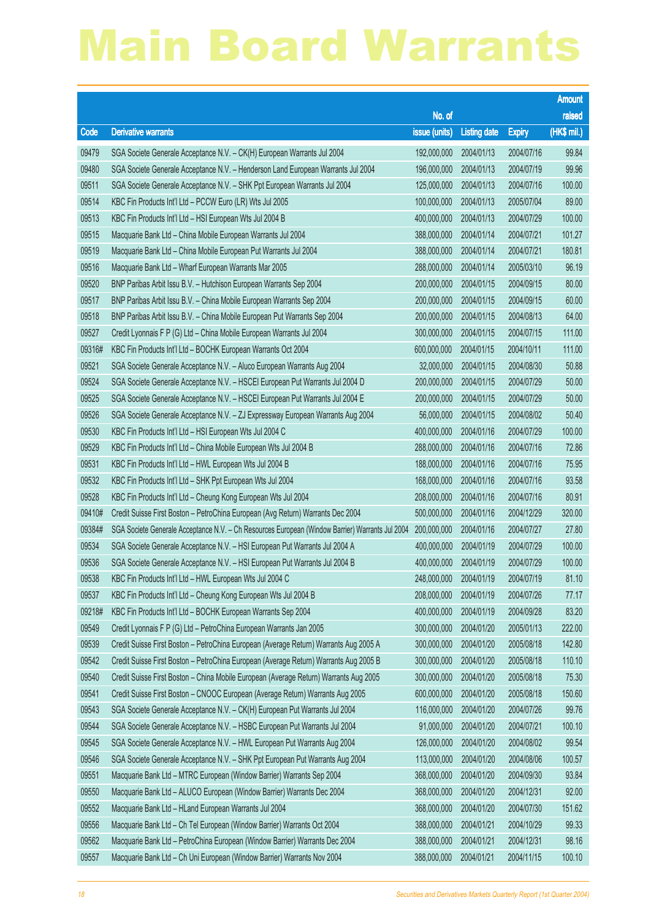|        |                                                                                                 |                        |                     |               | <b>Amount</b> |
|--------|-------------------------------------------------------------------------------------------------|------------------------|---------------------|---------------|---------------|
|        |                                                                                                 | No. of                 |                     |               | raised        |
| Code   | <b>Derivative warrants</b>                                                                      | issue (units)          | <b>Listing date</b> | <b>Expiry</b> | (HK\$ mil.)   |
| 09479  | SGA Societe Generale Acceptance N.V. - CK(H) European Warrants Jul 2004                         | 192,000,000            | 2004/01/13          | 2004/07/16    | 99.84         |
| 09480  | SGA Societe Generale Acceptance N.V. - Henderson Land European Warrants Jul 2004                | 196,000,000            | 2004/01/13          | 2004/07/19    | 99.96         |
| 09511  | SGA Societe Generale Acceptance N.V. - SHK Ppt European Warrants Jul 2004                       | 125,000,000            | 2004/01/13          | 2004/07/16    | 100.00        |
| 09514  | KBC Fin Products Int'l Ltd - PCCW Euro (LR) Wts Jul 2005                                        | 100,000,000            | 2004/01/13          | 2005/07/04    | 89.00         |
| 09513  | KBC Fin Products Int'l Ltd - HSI European Wts Jul 2004 B                                        | 400,000,000            | 2004/01/13          | 2004/07/29    | 100.00        |
| 09515  | Macquarie Bank Ltd - China Mobile European Warrants Jul 2004                                    | 388,000,000            | 2004/01/14          | 2004/07/21    | 101.27        |
| 09519  | Macquarie Bank Ltd - China Mobile European Put Warrants Jul 2004                                | 388,000,000            | 2004/01/14          | 2004/07/21    | 180.81        |
| 09516  | Macquarie Bank Ltd - Wharf European Warrants Mar 2005                                           | 288,000,000            | 2004/01/14          | 2005/03/10    | 96.19         |
| 09520  | BNP Paribas Arbit Issu B.V. - Hutchison European Warrants Sep 2004                              | 200,000,000            | 2004/01/15          | 2004/09/15    | 80.00         |
| 09517  | BNP Paribas Arbit Issu B.V. - China Mobile European Warrants Sep 2004                           | 200,000,000            | 2004/01/15          | 2004/09/15    | 60.00         |
| 09518  | BNP Paribas Arbit Issu B.V. - China Mobile European Put Warrants Sep 2004                       | 200,000,000            | 2004/01/15          | 2004/08/13    | 64.00         |
| 09527  | Credit Lyonnais F P (G) Ltd - China Mobile European Warrants Jul 2004                           | 300,000,000            | 2004/01/15          | 2004/07/15    | 111.00        |
| 09316# | KBC Fin Products Int'l Ltd - BOCHK European Warrants Oct 2004                                   | 600,000,000            | 2004/01/15          | 2004/10/11    | 111.00        |
| 09521  | SGA Societe Generale Acceptance N.V. - Aluco European Warrants Aug 2004                         | 32,000,000             | 2004/01/15          | 2004/08/30    | 50.88         |
| 09524  | SGA Societe Generale Acceptance N.V. - HSCEI European Put Warrants Jul 2004 D                   | 200,000,000            | 2004/01/15          | 2004/07/29    | 50.00         |
| 09525  | SGA Societe Generale Acceptance N.V. - HSCEI European Put Warrants Jul 2004 E                   | 200,000,000            | 2004/01/15          | 2004/07/29    | 50.00         |
| 09526  | SGA Societe Generale Acceptance N.V. - ZJ Expressway European Warrants Aug 2004                 | 56,000,000             | 2004/01/15          | 2004/08/02    | 50.40         |
| 09530  | KBC Fin Products Int'l Ltd - HSI European Wts Jul 2004 C                                        | 400,000,000            | 2004/01/16          | 2004/07/29    | 100.00        |
| 09529  | KBC Fin Products Int'l Ltd - China Mobile European Wts Jul 2004 B                               | 288,000,000            | 2004/01/16          | 2004/07/16    | 72.86         |
| 09531  | KBC Fin Products Int'l Ltd - HWL European Wts Jul 2004 B                                        | 188,000,000            | 2004/01/16          | 2004/07/16    | 75.95         |
| 09532  | KBC Fin Products Int'l Ltd - SHK Ppt European Wts Jul 2004                                      | 168,000,000            | 2004/01/16          | 2004/07/16    | 93.58         |
| 09528  | KBC Fin Products Int'l Ltd - Cheung Kong European Wts Jul 2004                                  | 208,000,000            | 2004/01/16          | 2004/07/16    | 80.91         |
| 09410# | Credit Suisse First Boston - PetroChina European (Avg Return) Warrants Dec 2004                 | 500,000,000            | 2004/01/16          | 2004/12/29    | 320.00        |
| 09384# | SGA Societe Generale Acceptance N.V. - Ch Resources European (Window Barrier) Warrants Jul 2004 | 200,000,000            | 2004/01/16          | 2004/07/27    | 27.80         |
| 09534  | SGA Societe Generale Acceptance N.V. - HSI European Put Warrants Jul 2004 A                     | 400,000,000            | 2004/01/19          | 2004/07/29    | 100.00        |
| 09536  | SGA Societe Generale Acceptance N.V. - HSI European Put Warrants Jul 2004 B                     | 400,000,000            | 2004/01/19          | 2004/07/29    | 100.00        |
| 09538  | KBC Fin Products Int'l Ltd - HWL European Wts Jul 2004 C                                        | 248,000,000 2004/01/19 |                     | 2004/07/19    | 81.10         |
| 09537  | KBC Fin Products Int'l Ltd - Cheung Kong European Wts Jul 2004 B                                | 208,000,000            | 2004/01/19          | 2004/07/26    | 77.17         |
| 09218# | KBC Fin Products Int'l Ltd - BOCHK European Warrants Sep 2004                                   | 400,000,000            | 2004/01/19          | 2004/09/28    | 83.20         |
| 09549  | Credit Lyonnais F P (G) Ltd - PetroChina European Warrants Jan 2005                             | 300,000,000            | 2004/01/20          | 2005/01/13    | 222.00        |
| 09539  | Credit Suisse First Boston - PetroChina European (Average Return) Warrants Aug 2005 A           | 300,000,000            | 2004/01/20          | 2005/08/18    | 142.80        |
| 09542  | Credit Suisse First Boston - PetroChina European (Average Return) Warrants Aug 2005 B           | 300,000,000            | 2004/01/20          | 2005/08/18    | 110.10        |
| 09540  | Credit Suisse First Boston - China Mobile European (Average Return) Warrants Aug 2005           | 300,000,000            | 2004/01/20          | 2005/08/18    | 75.30         |
| 09541  | Credit Suisse First Boston - CNOOC European (Average Return) Warrants Aug 2005                  | 600,000,000            | 2004/01/20          | 2005/08/18    | 150.60        |
| 09543  | SGA Societe Generale Acceptance N.V. - CK(H) European Put Warrants Jul 2004                     | 116,000,000            | 2004/01/20          | 2004/07/26    | 99.76         |
| 09544  | SGA Societe Generale Acceptance N.V. - HSBC European Put Warrants Jul 2004                      | 91,000,000             | 2004/01/20          | 2004/07/21    | 100.10        |
| 09545  | SGA Societe Generale Acceptance N.V. - HWL European Put Warrants Aug 2004                       | 126,000,000            | 2004/01/20          | 2004/08/02    | 99.54         |
| 09546  | SGA Societe Generale Acceptance N.V. - SHK Ppt European Put Warrants Aug 2004                   | 113,000,000            | 2004/01/20          | 2004/08/06    | 100.57        |
| 09551  | Macquarie Bank Ltd - MTRC European (Window Barrier) Warrants Sep 2004                           | 368,000,000            | 2004/01/20          | 2004/09/30    | 93.84         |
| 09550  | Macquarie Bank Ltd - ALUCO European (Window Barrier) Warrants Dec 2004                          | 368,000,000            | 2004/01/20          | 2004/12/31    | 92.00         |
| 09552  | Macquarie Bank Ltd - HLand European Warrants Jul 2004                                           | 368,000,000            | 2004/01/20          | 2004/07/30    | 151.62        |
| 09556  | Macquarie Bank Ltd - Ch Tel European (Window Barrier) Warrants Oct 2004                         | 388,000,000            | 2004/01/21          | 2004/10/29    | 99.33         |
| 09562  | Macquarie Bank Ltd - PetroChina European (Window Barrier) Warrants Dec 2004                     | 388,000,000            | 2004/01/21          | 2004/12/31    | 98.16         |
| 09557  | Macquarie Bank Ltd - Ch Uni European (Window Barrier) Warrants Nov 2004                         | 388,000,000            | 2004/01/21          | 2004/11/15    | 100.10        |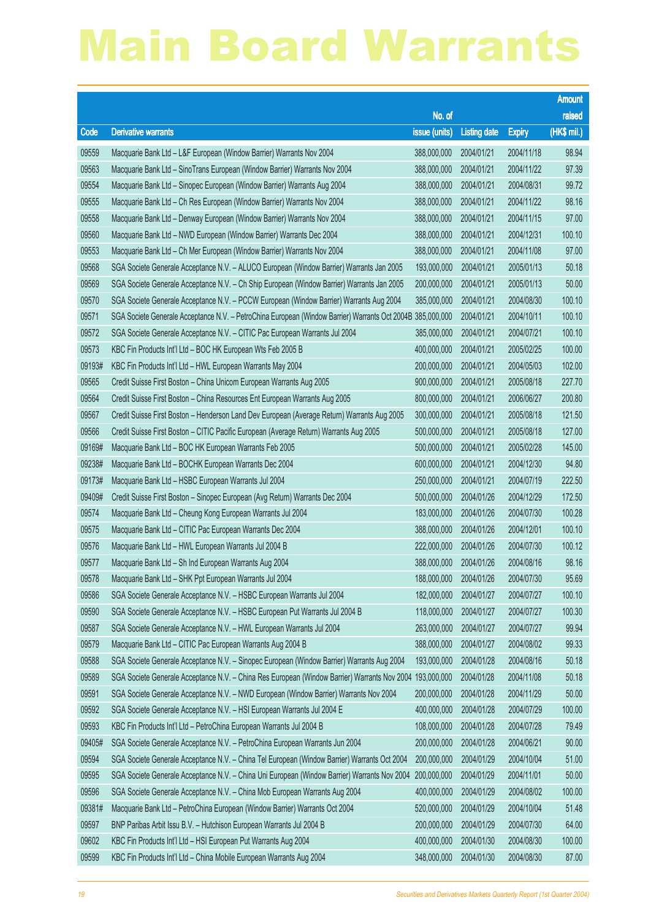|        |                                                                                                            |                        |                     |               | <b>Amount</b> |
|--------|------------------------------------------------------------------------------------------------------------|------------------------|---------------------|---------------|---------------|
|        |                                                                                                            | No. of                 |                     |               | raised        |
| Code   | <b>Derivative warrants</b>                                                                                 | issue (units)          | <b>Listing date</b> | <b>Expiry</b> | (HK\$ mil.)   |
| 09559  | Macquarie Bank Ltd - L&F European (Window Barrier) Warrants Nov 2004                                       | 388,000,000            | 2004/01/21          | 2004/11/18    | 98.94         |
| 09563  | Macquarie Bank Ltd - SinoTrans European (Window Barrier) Warrants Nov 2004                                 | 388,000,000            | 2004/01/21          | 2004/11/22    | 97.39         |
| 09554  | Macquarie Bank Ltd - Sinopec European (Window Barrier) Warrants Aug 2004                                   | 388,000,000            | 2004/01/21          | 2004/08/31    | 99.72         |
| 09555  | Macquarie Bank Ltd - Ch Res European (Window Barrier) Warrants Nov 2004                                    | 388,000,000            | 2004/01/21          | 2004/11/22    | 98.16         |
| 09558  | Macquarie Bank Ltd - Denway European (Window Barrier) Warrants Nov 2004                                    | 388,000,000            | 2004/01/21          | 2004/11/15    | 97.00         |
| 09560  | Macquarie Bank Ltd - NWD European (Window Barrier) Warrants Dec 2004                                       | 388,000,000            | 2004/01/21          | 2004/12/31    | 100.10        |
| 09553  | Macquarie Bank Ltd - Ch Mer European (Window Barrier) Warrants Nov 2004                                    | 388,000,000            | 2004/01/21          | 2004/11/08    | 97.00         |
| 09568  | SGA Societe Generale Acceptance N.V. - ALUCO European (Window Barrier) Warrants Jan 2005                   | 193,000,000            | 2004/01/21          | 2005/01/13    | 50.18         |
| 09569  | SGA Societe Generale Acceptance N.V. - Ch Ship European (Window Barrier) Warrants Jan 2005                 | 200,000,000            | 2004/01/21          | 2005/01/13    | 50.00         |
| 09570  | SGA Societe Generale Acceptance N.V. - PCCW European (Window Barrier) Warrants Aug 2004                    | 385,000,000            | 2004/01/21          | 2004/08/30    | 100.10        |
| 09571  | SGA Societe Generale Acceptance N.V. - PetroChina European (Window Barrier) Warrants Oct 2004B 385,000,000 |                        | 2004/01/21          | 2004/10/11    | 100.10        |
| 09572  | SGA Societe Generale Acceptance N.V. - CITIC Pac European Warrants Jul 2004                                | 385,000,000            | 2004/01/21          | 2004/07/21    | 100.10        |
| 09573  | KBC Fin Products Int'l Ltd - BOC HK European Wts Feb 2005 B                                                | 400,000,000            | 2004/01/21          | 2005/02/25    | 100.00        |
| 09193# | KBC Fin Products Int'l Ltd - HWL European Warrants May 2004                                                | 200,000,000            | 2004/01/21          | 2004/05/03    | 102.00        |
| 09565  | Credit Suisse First Boston - China Unicom European Warrants Aug 2005                                       | 900,000,000            | 2004/01/21          | 2005/08/18    | 227.70        |
| 09564  | Credit Suisse First Boston - China Resources Ent European Warrants Aug 2005                                | 800,000,000            | 2004/01/21          | 2006/06/27    | 200.80        |
| 09567  | Credit Suisse First Boston - Henderson Land Dev European (Average Return) Warrants Aug 2005                | 300,000,000            | 2004/01/21          | 2005/08/18    | 121.50        |
| 09566  | Credit Suisse First Boston - CITIC Pacific European (Average Return) Warrants Aug 2005                     | 500,000,000            | 2004/01/21          | 2005/08/18    | 127.00        |
| 09169# | Macquarie Bank Ltd - BOC HK European Warrants Feb 2005                                                     | 500,000,000            | 2004/01/21          | 2005/02/28    | 145.00        |
| 09238# | Macquarie Bank Ltd - BOCHK European Warrants Dec 2004                                                      | 600,000,000            | 2004/01/21          | 2004/12/30    | 94.80         |
| 09173# | Macquarie Bank Ltd - HSBC European Warrants Jul 2004                                                       | 250,000,000            | 2004/01/21          | 2004/07/19    | 222.50        |
| 09409# | Credit Suisse First Boston - Sinopec European (Avg Return) Warrants Dec 2004                               | 500,000,000            | 2004/01/26          | 2004/12/29    | 172.50        |
| 09574  | Macquarie Bank Ltd - Cheung Kong European Warrants Jul 2004                                                | 183,000,000            | 2004/01/26          | 2004/07/30    | 100.28        |
| 09575  | Macquarie Bank Ltd - CITIC Pac European Warrants Dec 2004                                                  | 388,000,000            | 2004/01/26          | 2004/12/01    | 100.10        |
| 09576  | Macquarie Bank Ltd - HWL European Warrants Jul 2004 B                                                      | 222,000,000            | 2004/01/26          | 2004/07/30    | 100.12        |
| 09577  | Macquarie Bank Ltd - Sh Ind European Warrants Aug 2004                                                     | 388,000,000            | 2004/01/26          | 2004/08/16    | 98.16         |
| 09578  | Macquarie Bank Ltd - SHK Ppt European Warrants Jul 2004                                                    | 188,000,000 2004/01/26 |                     | 2004/07/30    | 95.69         |
| 09586  | SGA Societe Generale Acceptance N.V. - HSBC European Warrants Jul 2004                                     | 182,000,000            | 2004/01/27          | 2004/07/27    | 100.10        |
| 09590  | SGA Societe Generale Acceptance N.V. - HSBC European Put Warrants Jul 2004 B                               | 118,000,000            | 2004/01/27          | 2004/07/27    | 100.30        |
| 09587  | SGA Societe Generale Acceptance N.V. - HWL European Warrants Jul 2004                                      | 263,000,000            | 2004/01/27          | 2004/07/27    | 99.94         |
| 09579  | Macquarie Bank Ltd - CITIC Pac European Warrants Aug 2004 B                                                | 388,000,000            | 2004/01/27          | 2004/08/02    | 99.33         |
| 09588  | SGA Societe Generale Acceptance N.V. - Sinopec European (Window Barrier) Warrants Aug 2004                 | 193,000,000            | 2004/01/28          | 2004/08/16    | 50.18         |
| 09589  | SGA Societe Generale Acceptance N.V. - China Res European (Window Barrier) Warrants Nov 2004 193,000,000   |                        | 2004/01/28          | 2004/11/08    | 50.18         |
| 09591  | SGA Societe Generale Acceptance N.V. - NWD European (Window Barrier) Warrants Nov 2004                     | 200,000,000            | 2004/01/28          | 2004/11/29    | 50.00         |
| 09592  | SGA Societe Generale Acceptance N.V. - HSI European Warrants Jul 2004 E                                    | 400,000,000            | 2004/01/28          | 2004/07/29    | 100.00        |
| 09593  | KBC Fin Products Int'l Ltd - PetroChina European Warrants Jul 2004 B                                       | 108,000,000            | 2004/01/28          | 2004/07/28    | 79.49         |
| 09405# | SGA Societe Generale Acceptance N.V. - PetroChina European Warrants Jun 2004                               | 200,000,000            | 2004/01/28          | 2004/06/21    | 90.00         |
| 09594  | SGA Societe Generale Acceptance N.V. - China Tel European (Window Barrier) Warrants Oct 2004               | 200,000,000            | 2004/01/29          | 2004/10/04    | 51.00         |
| 09595  | SGA Societe Generale Acceptance N.V. – China Uni European (Window Barrier) Warrants Nov 2004               | 200,000,000            | 2004/01/29          | 2004/11/01    | 50.00         |
| 09596  | SGA Societe Generale Acceptance N.V. - China Mob European Warrants Aug 2004                                | 400,000,000            | 2004/01/29          | 2004/08/02    | 100.00        |
| 09381# | Macquarie Bank Ltd - PetroChina European (Window Barrier) Warrants Oct 2004                                | 520,000,000            | 2004/01/29          | 2004/10/04    | 51.48         |
| 09597  | BNP Paribas Arbit Issu B.V. - Hutchison European Warrants Jul 2004 B                                       | 200,000,000            | 2004/01/29          | 2004/07/30    | 64.00         |
| 09602  | KBC Fin Products Int'l Ltd - HSI European Put Warrants Aug 2004                                            | 400,000,000            | 2004/01/30          | 2004/08/30    | 100.00        |
| 09599  | KBC Fin Products Int'l Ltd - China Mobile European Warrants Aug 2004                                       | 348,000,000            | 2004/01/30          | 2004/08/30    | 87.00         |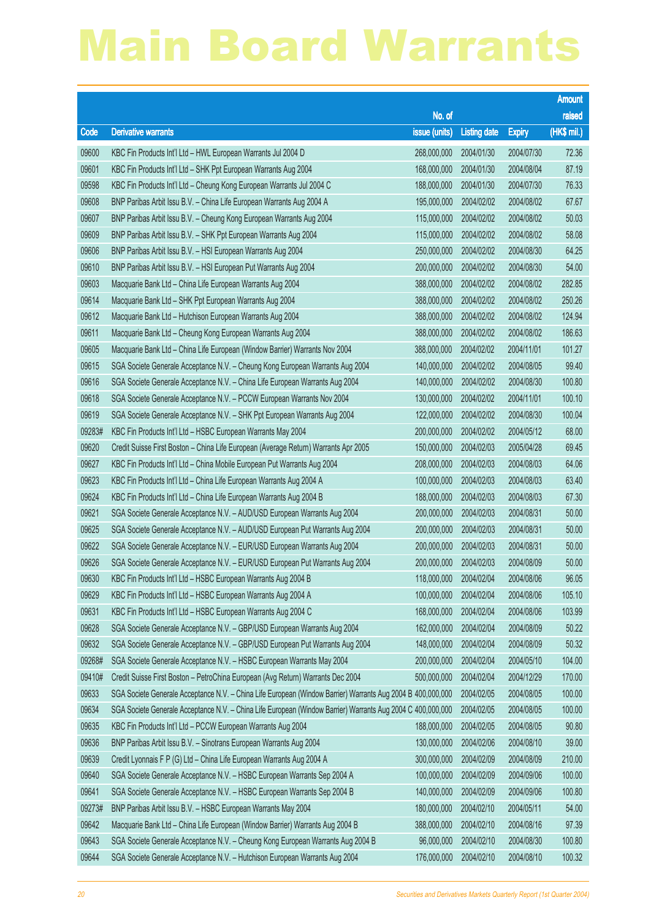|        |                                                                                                             |                        |                     |               | <b>Amount</b> |
|--------|-------------------------------------------------------------------------------------------------------------|------------------------|---------------------|---------------|---------------|
|        |                                                                                                             | No. of                 |                     |               | raised        |
| Code   | <b>Derivative warrants</b>                                                                                  | issue (units)          | <b>Listing date</b> | <b>Expiry</b> | (HK\$ mil.)   |
| 09600  | KBC Fin Products Int'l Ltd - HWL European Warrants Jul 2004 D                                               | 268,000,000            | 2004/01/30          | 2004/07/30    | 72.36         |
| 09601  | KBC Fin Products Int'l Ltd - SHK Ppt European Warrants Aug 2004                                             | 168,000,000            | 2004/01/30          | 2004/08/04    | 87.19         |
| 09598  | KBC Fin Products Int'l Ltd - Cheung Kong European Warrants Jul 2004 C                                       | 188,000,000            | 2004/01/30          | 2004/07/30    | 76.33         |
| 09608  | BNP Paribas Arbit Issu B.V. - China Life European Warrants Aug 2004 A                                       | 195,000,000            | 2004/02/02          | 2004/08/02    | 67.67         |
| 09607  | BNP Paribas Arbit Issu B.V. - Cheung Kong European Warrants Aug 2004                                        | 115,000,000            | 2004/02/02          | 2004/08/02    | 50.03         |
| 09609  | BNP Paribas Arbit Issu B.V. - SHK Ppt European Warrants Aug 2004                                            | 115,000,000            | 2004/02/02          | 2004/08/02    | 58.08         |
| 09606  | BNP Paribas Arbit Issu B.V. - HSI European Warrants Aug 2004                                                | 250,000,000            | 2004/02/02          | 2004/08/30    | 64.25         |
| 09610  | BNP Paribas Arbit Issu B.V. - HSI European Put Warrants Aug 2004                                            | 200,000,000            | 2004/02/02          | 2004/08/30    | 54.00         |
| 09603  | Macquarie Bank Ltd - China Life European Warrants Aug 2004                                                  | 388,000,000            | 2004/02/02          | 2004/08/02    | 282.85        |
| 09614  | Macquarie Bank Ltd - SHK Ppt European Warrants Aug 2004                                                     | 388,000,000            | 2004/02/02          | 2004/08/02    | 250.26        |
| 09612  | Macquarie Bank Ltd - Hutchison European Warrants Aug 2004                                                   | 388,000,000            | 2004/02/02          | 2004/08/02    | 124.94        |
| 09611  | Macquarie Bank Ltd - Cheung Kong European Warrants Aug 2004                                                 | 388,000,000            | 2004/02/02          | 2004/08/02    | 186.63        |
| 09605  | Macquarie Bank Ltd - China Life European (Window Barrier) Warrants Nov 2004                                 | 388,000,000            | 2004/02/02          | 2004/11/01    | 101.27        |
| 09615  | SGA Societe Generale Acceptance N.V. - Cheung Kong European Warrants Aug 2004                               | 140,000,000            | 2004/02/02          | 2004/08/05    | 99.40         |
| 09616  | SGA Societe Generale Acceptance N.V. - China Life European Warrants Aug 2004                                | 140,000,000            | 2004/02/02          | 2004/08/30    | 100.80        |
| 09618  | SGA Societe Generale Acceptance N.V. - PCCW European Warrants Nov 2004                                      | 130,000,000            | 2004/02/02          | 2004/11/01    | 100.10        |
| 09619  | SGA Societe Generale Acceptance N.V. - SHK Ppt European Warrants Aug 2004                                   | 122,000,000            | 2004/02/02          | 2004/08/30    | 100.04        |
| 09283# | KBC Fin Products Int'l Ltd - HSBC European Warrants May 2004                                                | 200,000,000            | 2004/02/02          | 2004/05/12    | 68.00         |
| 09620  | Credit Suisse First Boston - China Life European (Average Return) Warrants Apr 2005                         | 150,000,000            | 2004/02/03          | 2005/04/28    | 69.45         |
| 09627  | KBC Fin Products Int'l Ltd - China Mobile European Put Warrants Aug 2004                                    | 208,000,000            | 2004/02/03          | 2004/08/03    | 64.06         |
| 09623  | KBC Fin Products Int'l Ltd - China Life European Warrants Aug 2004 A                                        | 100,000,000            | 2004/02/03          | 2004/08/03    | 63.40         |
| 09624  | KBC Fin Products Int'l Ltd - China Life European Warrants Aug 2004 B                                        | 188,000,000            | 2004/02/03          | 2004/08/03    | 67.30         |
| 09621  | SGA Societe Generale Acceptance N.V. - AUD/USD European Warrants Aug 2004                                   | 200,000,000            | 2004/02/03          | 2004/08/31    | 50.00         |
| 09625  | SGA Societe Generale Acceptance N.V. - AUD/USD European Put Warrants Aug 2004                               | 200,000,000            | 2004/02/03          | 2004/08/31    | 50.00         |
| 09622  | SGA Societe Generale Acceptance N.V. - EUR/USD European Warrants Aug 2004                                   | 200,000,000            | 2004/02/03          | 2004/08/31    | 50.00         |
| 09626  | SGA Societe Generale Acceptance N.V. - EUR/USD European Put Warrants Aug 2004                               | 200,000,000            | 2004/02/03          | 2004/08/09    | 50.00         |
| 09630  | KBC Fin Products Int'l Ltd - HSBC European Warrants Aug 2004 B                                              | 118,000,000 2004/02/04 |                     | 2004/08/06    | 96.05         |
| 09629  | KBC Fin Products Int'l Ltd - HSBC European Warrants Aug 2004 A                                              | 100,000,000            | 2004/02/04          | 2004/08/06    | 105.10        |
| 09631  | KBC Fin Products Int'l Ltd - HSBC European Warrants Aug 2004 C                                              | 168,000,000            | 2004/02/04          | 2004/08/06    | 103.99        |
| 09628  | SGA Societe Generale Acceptance N.V. - GBP/USD European Warrants Aug 2004                                   | 162,000,000            | 2004/02/04          | 2004/08/09    | 50.22         |
| 09632  | SGA Societe Generale Acceptance N.V. - GBP/USD European Put Warrants Aug 2004                               | 148,000,000            | 2004/02/04          | 2004/08/09    | 50.32         |
| 09268# | SGA Societe Generale Acceptance N.V. - HSBC European Warrants May 2004                                      | 200,000,000            | 2004/02/04          | 2004/05/10    | 104.00        |
| 09410# | Credit Suisse First Boston - PetroChina European (Avg Return) Warrants Dec 2004                             | 500,000,000            | 2004/02/04          | 2004/12/29    | 170.00        |
| 09633  | SGA Societe Generale Acceptance N.V. - China Life European (Window Barrier) Warrants Aug 2004 B 400,000,000 |                        | 2004/02/05          | 2004/08/05    | 100.00        |
| 09634  | SGA Societe Generale Acceptance N.V. - China Life European (Window Barrier) Warrants Aug 2004 C 400,000,000 |                        | 2004/02/05          | 2004/08/05    | 100.00        |
| 09635  | KBC Fin Products Int'l Ltd - PCCW European Warrants Aug 2004                                                | 188,000,000            | 2004/02/05          | 2004/08/05    | 90.80         |
| 09636  | BNP Paribas Arbit Issu B.V. - Sinotrans European Warrants Aug 2004                                          | 130,000,000            | 2004/02/06          | 2004/08/10    | 39.00         |
| 09639  | Credit Lyonnais F P (G) Ltd - China Life European Warrants Aug 2004 A                                       | 300,000,000            | 2004/02/09          | 2004/08/09    | 210.00        |
| 09640  | SGA Societe Generale Acceptance N.V. - HSBC European Warrants Sep 2004 A                                    | 100,000,000            | 2004/02/09          | 2004/09/06    | 100.00        |
| 09641  | SGA Societe Generale Acceptance N.V. - HSBC European Warrants Sep 2004 B                                    | 140,000,000            | 2004/02/09          | 2004/09/06    | 100.80        |
| 09273# | BNP Paribas Arbit Issu B.V. - HSBC European Warrants May 2004                                               | 180,000,000            | 2004/02/10          | 2004/05/11    | 54.00         |
| 09642  | Macquarie Bank Ltd - China Life European (Window Barrier) Warrants Aug 2004 B                               | 388,000,000            | 2004/02/10          | 2004/08/16    | 97.39         |
| 09643  | SGA Societe Generale Acceptance N.V. - Cheung Kong European Warrants Aug 2004 B                             | 96,000,000             | 2004/02/10          | 2004/08/30    | 100.80        |
| 09644  | SGA Societe Generale Acceptance N.V. - Hutchison European Warrants Aug 2004                                 | 176,000,000            | 2004/02/10          | 2004/08/10    | 100.32        |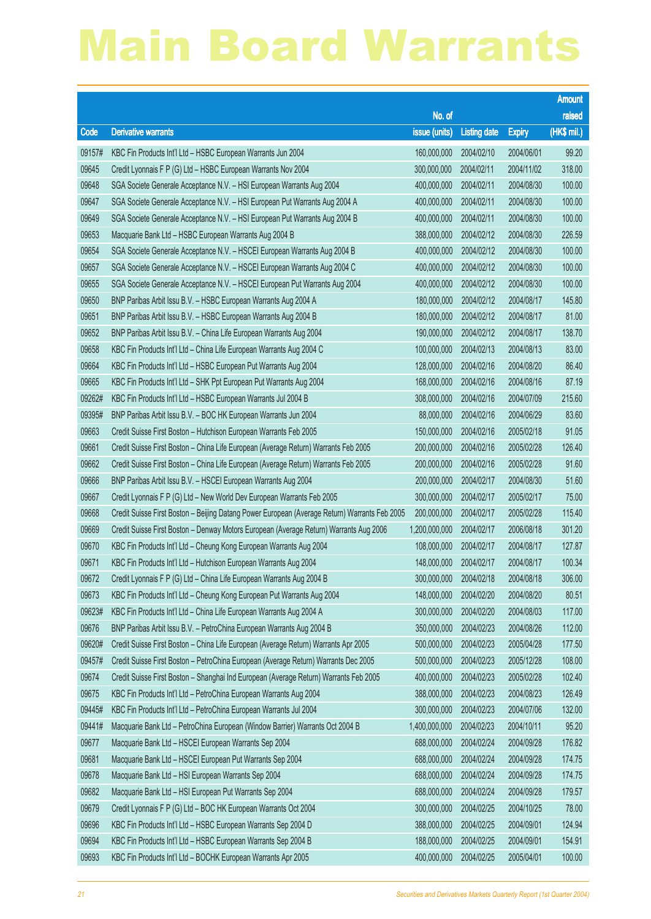|        |                                                                                               |                        |                     |               | <b>Amount</b> |
|--------|-----------------------------------------------------------------------------------------------|------------------------|---------------------|---------------|---------------|
|        |                                                                                               | No. of                 |                     |               | raised        |
| Code   | <b>Derivative warrants</b>                                                                    | issue (units)          | <b>Listing date</b> | <b>Expiry</b> | (HK\$ mil.)   |
| 09157# | KBC Fin Products Int'l Ltd - HSBC European Warrants Jun 2004                                  | 160,000,000            | 2004/02/10          | 2004/06/01    | 99.20         |
| 09645  | Credit Lyonnais F P (G) Ltd - HSBC European Warrants Nov 2004                                 | 300,000,000            | 2004/02/11          | 2004/11/02    | 318.00        |
| 09648  | SGA Societe Generale Acceptance N.V. - HSI European Warrants Aug 2004                         | 400,000,000            | 2004/02/11          | 2004/08/30    | 100.00        |
| 09647  | SGA Societe Generale Acceptance N.V. - HSI European Put Warrants Aug 2004 A                   | 400,000,000            | 2004/02/11          | 2004/08/30    | 100.00        |
| 09649  | SGA Societe Generale Acceptance N.V. - HSI European Put Warrants Aug 2004 B                   | 400,000,000            | 2004/02/11          | 2004/08/30    | 100.00        |
| 09653  | Macquarie Bank Ltd - HSBC European Warrants Aug 2004 B                                        | 388,000,000            | 2004/02/12          | 2004/08/30    | 226.59        |
| 09654  | SGA Societe Generale Acceptance N.V. - HSCEI European Warrants Aug 2004 B                     | 400,000,000            | 2004/02/12          | 2004/08/30    | 100.00        |
| 09657  | SGA Societe Generale Acceptance N.V. - HSCEI European Warrants Aug 2004 C                     | 400,000,000            | 2004/02/12          | 2004/08/30    | 100.00        |
| 09655  | SGA Societe Generale Acceptance N.V. - HSCEI European Put Warrants Aug 2004                   | 400,000,000            | 2004/02/12          | 2004/08/30    | 100.00        |
| 09650  | BNP Paribas Arbit Issu B.V. - HSBC European Warrants Aug 2004 A                               | 180,000,000            | 2004/02/12          | 2004/08/17    | 145.80        |
| 09651  | BNP Paribas Arbit Issu B.V. - HSBC European Warrants Aug 2004 B                               | 180,000,000            | 2004/02/12          | 2004/08/17    | 81.00         |
| 09652  | BNP Paribas Arbit Issu B.V. - China Life European Warrants Aug 2004                           | 190,000,000            | 2004/02/12          | 2004/08/17    | 138.70        |
| 09658  | KBC Fin Products Int'l Ltd - China Life European Warrants Aug 2004 C                          | 100,000,000            | 2004/02/13          | 2004/08/13    | 83.00         |
| 09664  | KBC Fin Products Int'l Ltd - HSBC European Put Warrants Aug 2004                              | 128,000,000            | 2004/02/16          | 2004/08/20    | 86.40         |
| 09665  | KBC Fin Products Int'l Ltd - SHK Ppt European Put Warrants Aug 2004                           | 168,000,000            | 2004/02/16          | 2004/08/16    | 87.19         |
| 09262# | KBC Fin Products Int'l Ltd - HSBC European Warrants Jul 2004 B                                | 308,000,000            | 2004/02/16          | 2004/07/09    | 215.60        |
| 09395# | BNP Paribas Arbit Issu B.V. - BOC HK European Warrants Jun 2004                               | 88,000,000             | 2004/02/16          | 2004/06/29    | 83.60         |
| 09663  | Credit Suisse First Boston - Hutchison European Warrants Feb 2005                             | 150,000,000            | 2004/02/16          | 2005/02/18    | 91.05         |
| 09661  | Credit Suisse First Boston - China Life European (Average Return) Warrants Feb 2005           | 200,000,000            | 2004/02/16          | 2005/02/28    | 126.40        |
| 09662  | Credit Suisse First Boston – China Life European (Average Return) Warrants Feb 2005           | 200,000,000            | 2004/02/16          | 2005/02/28    | 91.60         |
| 09666  | BNP Paribas Arbit Issu B.V. - HSCEI European Warrants Aug 2004                                | 200,000,000            | 2004/02/17          | 2004/08/30    | 51.60         |
| 09667  | Credit Lyonnais F P (G) Ltd - New World Dev European Warrants Feb 2005                        | 300,000,000            | 2004/02/17          | 2005/02/17    | 75.00         |
| 09668  | Credit Suisse First Boston - Beijing Datang Power European (Average Return) Warrants Feb 2005 | 200,000,000            | 2004/02/17          | 2005/02/28    | 115.40        |
| 09669  | Credit Suisse First Boston - Denway Motors European (Average Return) Warrants Aug 2006        | 1,200,000,000          | 2004/02/17          | 2006/08/18    | 301.20        |
| 09670  | KBC Fin Products Int'l Ltd - Cheung Kong European Warrants Aug 2004                           | 108,000,000            | 2004/02/17          | 2004/08/17    | 127.87        |
| 09671  | KBC Fin Products Int'l Ltd - Hutchison European Warrants Aug 2004                             | 148,000,000            | 2004/02/17          | 2004/08/17    | 100.34        |
| 09672  | Credit Lyonnais F P (G) Ltd - China Life European Warrants Aug 2004 B                         | 300,000,000 2004/02/18 |                     | 2004/08/18    | 306.00        |
| 09673  | KBC Fin Products Int'l Ltd - Cheung Kong European Put Warrants Aug 2004                       | 148,000,000            | 2004/02/20          | 2004/08/20    | 80.51         |
| 09623# | KBC Fin Products Int'l Ltd - China Life European Warrants Aug 2004 A                          | 300,000,000            | 2004/02/20          | 2004/08/03    | 117.00        |
| 09676  | BNP Paribas Arbit Issu B.V. - PetroChina European Warrants Aug 2004 B                         | 350,000,000            | 2004/02/23          | 2004/08/26    | 112.00        |
| 09620# | Credit Suisse First Boston - China Life European (Average Return) Warrants Apr 2005           | 500,000,000            | 2004/02/23          | 2005/04/28    | 177.50        |
| 09457# | Credit Suisse First Boston - PetroChina European (Average Return) Warrants Dec 2005           | 500,000,000            | 2004/02/23          | 2005/12/28    | 108.00        |
| 09674  | Credit Suisse First Boston - Shanghai Ind European (Average Return) Warrants Feb 2005         | 400,000,000            | 2004/02/23          | 2005/02/28    | 102.40        |
| 09675  | KBC Fin Products Int'l Ltd - PetroChina European Warrants Aug 2004                            | 388,000,000            | 2004/02/23          | 2004/08/23    | 126.49        |
| 09445# | KBC Fin Products Int'l Ltd - PetroChina European Warrants Jul 2004                            | 300,000,000            | 2004/02/23          | 2004/07/06    | 132.00        |
| 09441# | Macquarie Bank Ltd - PetroChina European (Window Barrier) Warrants Oct 2004 B                 | 1,400,000,000          | 2004/02/23          | 2004/10/11    | 95.20         |
| 09677  | Macquarie Bank Ltd - HSCEI European Warrants Sep 2004                                         | 688,000,000            | 2004/02/24          | 2004/09/28    | 176.82        |
| 09681  | Macquarie Bank Ltd - HSCEI European Put Warrants Sep 2004                                     | 688,000,000            | 2004/02/24          | 2004/09/28    | 174.75        |
| 09678  | Macquarie Bank Ltd - HSI European Warrants Sep 2004                                           | 688,000,000            | 2004/02/24          | 2004/09/28    | 174.75        |
| 09682  | Macquarie Bank Ltd - HSI European Put Warrants Sep 2004                                       | 688,000,000            | 2004/02/24          | 2004/09/28    | 179.57        |
| 09679  | Credit Lyonnais F P (G) Ltd - BOC HK European Warrants Oct 2004                               | 300,000,000            | 2004/02/25          | 2004/10/25    | 78.00         |
| 09696  | KBC Fin Products Int'l Ltd - HSBC European Warrants Sep 2004 D                                | 388,000,000            | 2004/02/25          | 2004/09/01    | 124.94        |
| 09694  | KBC Fin Products Int'l Ltd - HSBC European Warrants Sep 2004 B                                | 188,000,000            | 2004/02/25          | 2004/09/01    | 154.91        |
| 09693  | KBC Fin Products Int'l Ltd - BOCHK European Warrants Apr 2005                                 | 400,000,000            | 2004/02/25          | 2005/04/01    | 100.00        |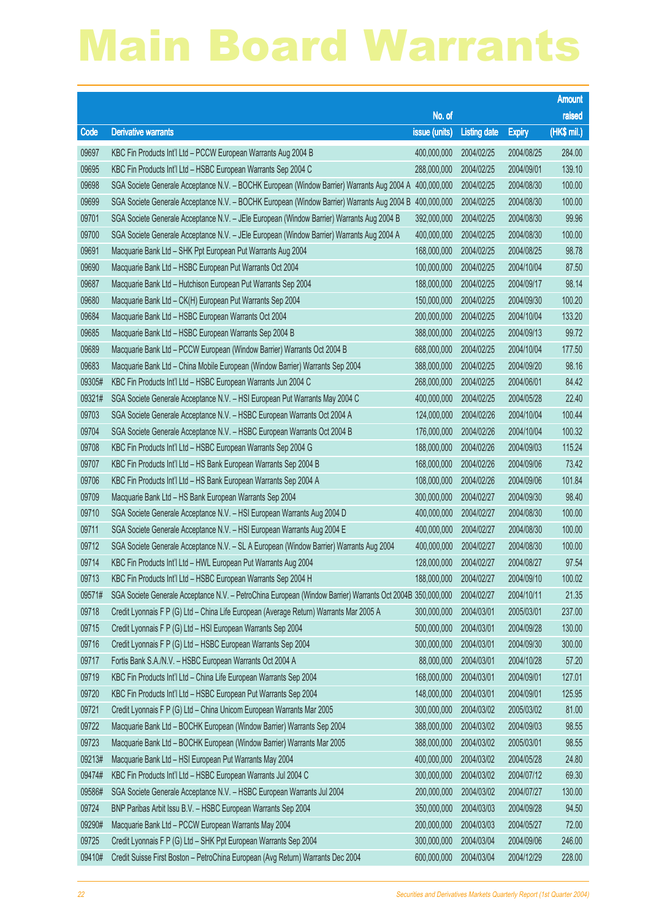|        |                                                                                                            |                        |                     |               | <b>Amount</b> |
|--------|------------------------------------------------------------------------------------------------------------|------------------------|---------------------|---------------|---------------|
|        |                                                                                                            | No. of                 |                     |               | raised        |
| Code   | <b>Derivative warrants</b>                                                                                 | issue (units)          | <b>Listing date</b> | <b>Expiry</b> | (HK\$ mil.)   |
| 09697  | KBC Fin Products Int'l Ltd - PCCW European Warrants Aug 2004 B                                             | 400,000,000            | 2004/02/25          | 2004/08/25    | 284.00        |
| 09695  | KBC Fin Products Int'l Ltd - HSBC European Warrants Sep 2004 C                                             | 288,000,000            | 2004/02/25          | 2004/09/01    | 139.10        |
| 09698  | SGA Societe Generale Acceptance N.V. - BOCHK European (Window Barrier) Warrants Aug 2004 A 400,000,000     |                        | 2004/02/25          | 2004/08/30    | 100.00        |
| 09699  | SGA Societe Generale Acceptance N.V. - BOCHK European (Window Barrier) Warrants Aug 2004 B                 | 400,000,000            | 2004/02/25          | 2004/08/30    | 100.00        |
| 09701  | SGA Societe Generale Acceptance N.V. - JEle European (Window Barrier) Warrants Aug 2004 B                  | 392,000,000            | 2004/02/25          | 2004/08/30    | 99.96         |
| 09700  | SGA Societe Generale Acceptance N.V. - JEle European (Window Barrier) Warrants Aug 2004 A                  | 400,000,000            | 2004/02/25          | 2004/08/30    | 100.00        |
| 09691  | Macquarie Bank Ltd - SHK Ppt European Put Warrants Aug 2004                                                | 168,000,000            | 2004/02/25          | 2004/08/25    | 98.78         |
| 09690  | Macquarie Bank Ltd - HSBC European Put Warrants Oct 2004                                                   | 100,000,000            | 2004/02/25          | 2004/10/04    | 87.50         |
| 09687  | Macquarie Bank Ltd - Hutchison European Put Warrants Sep 2004                                              | 188,000,000            | 2004/02/25          | 2004/09/17    | 98.14         |
| 09680  | Macquarie Bank Ltd - CK(H) European Put Warrants Sep 2004                                                  | 150,000,000            | 2004/02/25          | 2004/09/30    | 100.20        |
| 09684  | Macquarie Bank Ltd - HSBC European Warrants Oct 2004                                                       | 200,000,000            | 2004/02/25          | 2004/10/04    | 133.20        |
| 09685  | Macquarie Bank Ltd - HSBC European Warrants Sep 2004 B                                                     | 388,000,000            | 2004/02/25          | 2004/09/13    | 99.72         |
| 09689  | Macquarie Bank Ltd - PCCW European (Window Barrier) Warrants Oct 2004 B                                    | 688,000,000            | 2004/02/25          | 2004/10/04    | 177.50        |
| 09683  | Macquarie Bank Ltd - China Mobile European (Window Barrier) Warrants Sep 2004                              | 388,000,000            | 2004/02/25          | 2004/09/20    | 98.16         |
| 09305# | KBC Fin Products Int'l Ltd - HSBC European Warrants Jun 2004 C                                             | 268,000,000            | 2004/02/25          | 2004/06/01    | 84.42         |
| 09321# | SGA Societe Generale Acceptance N.V. - HSI European Put Warrants May 2004 C                                | 400,000,000            | 2004/02/25          | 2004/05/28    | 22.40         |
| 09703  | SGA Societe Generale Acceptance N.V. - HSBC European Warrants Oct 2004 A                                   | 124,000,000            | 2004/02/26          | 2004/10/04    | 100.44        |
| 09704  | SGA Societe Generale Acceptance N.V. - HSBC European Warrants Oct 2004 B                                   | 176,000,000            | 2004/02/26          | 2004/10/04    | 100.32        |
| 09708  | KBC Fin Products Int'l Ltd - HSBC European Warrants Sep 2004 G                                             | 188,000,000            | 2004/02/26          | 2004/09/03    | 115.24        |
| 09707  | KBC Fin Products Int'l Ltd - HS Bank European Warrants Sep 2004 B                                          | 168,000,000            | 2004/02/26          | 2004/09/06    | 73.42         |
| 09706  | KBC Fin Products Int'l Ltd - HS Bank European Warrants Sep 2004 A                                          | 108,000,000            | 2004/02/26          | 2004/09/06    | 101.84        |
| 09709  | Macquarie Bank Ltd - HS Bank European Warrants Sep 2004                                                    | 300,000,000            | 2004/02/27          | 2004/09/30    | 98.40         |
| 09710  | SGA Societe Generale Acceptance N.V. - HSI European Warrants Aug 2004 D                                    | 400,000,000            | 2004/02/27          | 2004/08/30    | 100.00        |
| 09711  | SGA Societe Generale Acceptance N.V. - HSI European Warrants Aug 2004 E                                    | 400,000,000            | 2004/02/27          | 2004/08/30    | 100.00        |
| 09712  | SGA Societe Generale Acceptance N.V. - SL A European (Window Barrier) Warrants Aug 2004                    | 400,000,000            | 2004/02/27          | 2004/08/30    | 100.00        |
| 09714  | KBC Fin Products Int'l Ltd - HWL European Put Warrants Aug 2004                                            | 128,000,000            | 2004/02/27          | 2004/08/27    | 97.54         |
| 09713  | KBC Fin Products Int'l Ltd - HSBC European Warrants Sep 2004 H                                             | 188,000,000 2004/02/27 |                     | 2004/09/10    | 100.02        |
| 09571# | SGA Societe Generale Acceptance N.V. - PetroChina European (Window Barrier) Warrants Oct 2004B 350,000,000 |                        | 2004/02/27          | 2004/10/11    | 21.35         |
| 09718  | Credit Lyonnais F P (G) Ltd - China Life European (Average Return) Warrants Mar 2005 A                     | 300,000,000            | 2004/03/01          | 2005/03/01    | 237.00        |
| 09715  | Credit Lyonnais F P (G) Ltd - HSI European Warrants Sep 2004                                               | 500,000,000            | 2004/03/01          | 2004/09/28    | 130.00        |
| 09716  | Credit Lyonnais F P (G) Ltd - HSBC European Warrants Sep 2004                                              | 300,000,000            | 2004/03/01          | 2004/09/30    | 300.00        |
| 09717  | Fortis Bank S.A./N.V. - HSBC European Warrants Oct 2004 A                                                  | 88,000,000             | 2004/03/01          | 2004/10/28    | 57.20         |
| 09719  | KBC Fin Products Int'l Ltd - China Life European Warrants Sep 2004                                         | 168,000,000            | 2004/03/01          | 2004/09/01    | 127.01        |
| 09720  | KBC Fin Products Int'l Ltd - HSBC European Put Warrants Sep 2004                                           | 148,000,000            | 2004/03/01          | 2004/09/01    | 125.95        |
| 09721  | Credit Lyonnais F P (G) Ltd - China Unicom European Warrants Mar 2005                                      | 300,000,000            | 2004/03/02          | 2005/03/02    | 81.00         |
| 09722  | Macquarie Bank Ltd - BOCHK European (Window Barrier) Warrants Sep 2004                                     | 388,000,000            | 2004/03/02          | 2004/09/03    | 98.55         |
| 09723  | Macquarie Bank Ltd - BOCHK European (Window Barrier) Warrants Mar 2005                                     | 388,000,000            | 2004/03/02          | 2005/03/01    | 98.55         |
| 09213# | Macquarie Bank Ltd - HSI European Put Warrants May 2004                                                    | 400,000,000            | 2004/03/02          | 2004/05/28    | 24.80         |
| 09474# | KBC Fin Products Int'l Ltd - HSBC European Warrants Jul 2004 C                                             | 300,000,000            | 2004/03/02          | 2004/07/12    | 69.30         |
| 09586# | SGA Societe Generale Acceptance N.V. - HSBC European Warrants Jul 2004                                     | 200,000,000            | 2004/03/02          | 2004/07/27    | 130.00        |
| 09724  | BNP Paribas Arbit Issu B.V. - HSBC European Warrants Sep 2004                                              | 350,000,000            | 2004/03/03          | 2004/09/28    | 94.50         |
| 09290# | Macquarie Bank Ltd - PCCW European Warrants May 2004                                                       | 200,000,000            | 2004/03/03          | 2004/05/27    | 72.00         |
| 09725  | Credit Lyonnais F P (G) Ltd - SHK Ppt European Warrants Sep 2004                                           | 300,000,000            | 2004/03/04          | 2004/09/06    | 246.00        |
| 09410# | Credit Suisse First Boston - PetroChina European (Avg Return) Warrants Dec 2004                            | 600,000,000            | 2004/03/04          | 2004/12/29    | 228.00        |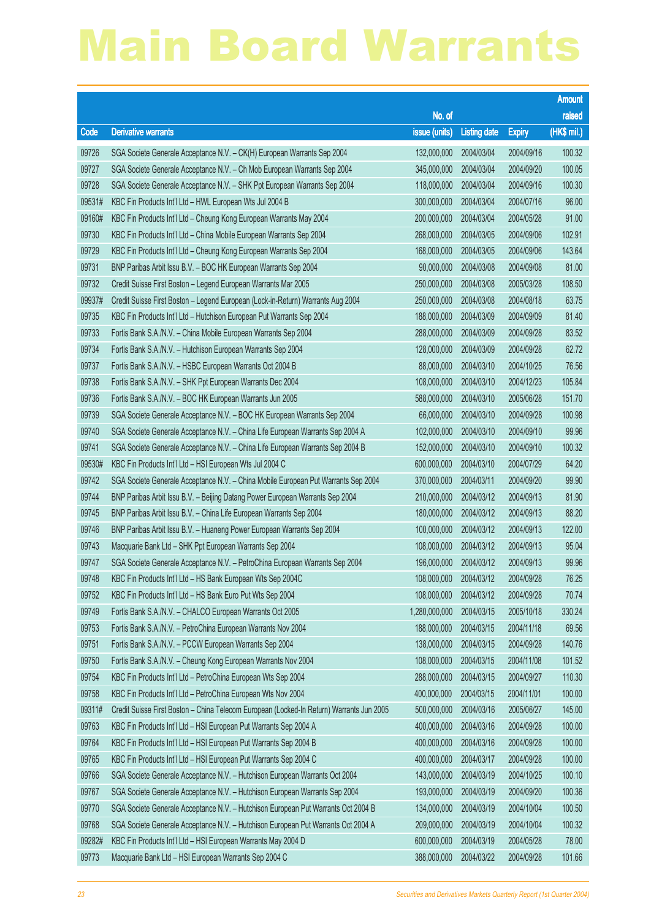|        |                                                                                          |                        |                     |               | <b>Amount</b> |
|--------|------------------------------------------------------------------------------------------|------------------------|---------------------|---------------|---------------|
|        |                                                                                          | No. of                 |                     |               | raised        |
| Code   | <b>Derivative warrants</b>                                                               | issue (units)          | <b>Listing date</b> | <b>Expiry</b> | (HK\$ mil.)   |
| 09726  | SGA Societe Generale Acceptance N.V. - CK(H) European Warrants Sep 2004                  | 132,000,000            | 2004/03/04          | 2004/09/16    | 100.32        |
| 09727  | SGA Societe Generale Acceptance N.V. - Ch Mob European Warrants Sep 2004                 | 345,000,000            | 2004/03/04          | 2004/09/20    | 100.05        |
| 09728  | SGA Societe Generale Acceptance N.V. - SHK Ppt European Warrants Sep 2004                | 118,000,000            | 2004/03/04          | 2004/09/16    | 100.30        |
| 09531# | KBC Fin Products Int'l Ltd - HWL European Wts Jul 2004 B                                 | 300,000,000            | 2004/03/04          | 2004/07/16    | 96.00         |
| 09160# | KBC Fin Products Int'l Ltd - Cheung Kong European Warrants May 2004                      | 200,000,000            | 2004/03/04          | 2004/05/28    | 91.00         |
| 09730  | KBC Fin Products Int'l Ltd - China Mobile European Warrants Sep 2004                     | 268,000,000            | 2004/03/05          | 2004/09/06    | 102.91        |
| 09729  | KBC Fin Products Int'l Ltd - Cheung Kong European Warrants Sep 2004                      | 168,000,000            | 2004/03/05          | 2004/09/06    | 143.64        |
| 09731  | BNP Paribas Arbit Issu B.V. - BOC HK European Warrants Sep 2004                          | 90,000,000             | 2004/03/08          | 2004/09/08    | 81.00         |
| 09732  | Credit Suisse First Boston - Legend European Warrants Mar 2005                           | 250,000,000            | 2004/03/08          | 2005/03/28    | 108.50        |
| 09937# | Credit Suisse First Boston - Legend European (Lock-in-Return) Warrants Aug 2004          | 250,000,000            | 2004/03/08          | 2004/08/18    | 63.75         |
| 09735  | KBC Fin Products Int'l Ltd - Hutchison European Put Warrants Sep 2004                    | 188,000,000            | 2004/03/09          | 2004/09/09    | 81.40         |
| 09733  | Fortis Bank S.A./N.V. - China Mobile European Warrants Sep 2004                          | 288,000,000            | 2004/03/09          | 2004/09/28    | 83.52         |
| 09734  | Fortis Bank S.A./N.V. - Hutchison European Warrants Sep 2004                             | 128,000,000            | 2004/03/09          | 2004/09/28    | 62.72         |
| 09737  | Fortis Bank S.A./N.V. - HSBC European Warrants Oct 2004 B                                | 88,000,000             | 2004/03/10          | 2004/10/25    | 76.56         |
| 09738  | Fortis Bank S.A./N.V. - SHK Ppt European Warrants Dec 2004                               | 108,000,000            | 2004/03/10          | 2004/12/23    | 105.84        |
| 09736  | Fortis Bank S.A./N.V. - BOC HK European Warrants Jun 2005                                | 588,000,000            | 2004/03/10          | 2005/06/28    | 151.70        |
| 09739  | SGA Societe Generale Acceptance N.V. - BOC HK European Warrants Sep 2004                 | 66,000,000             | 2004/03/10          | 2004/09/28    | 100.98        |
| 09740  | SGA Societe Generale Acceptance N.V. - China Life European Warrants Sep 2004 A           | 102,000,000            | 2004/03/10          | 2004/09/10    | 99.96         |
| 09741  | SGA Societe Generale Acceptance N.V. - China Life European Warrants Sep 2004 B           | 152,000,000            | 2004/03/10          | 2004/09/10    | 100.32        |
| 09530# | KBC Fin Products Int'l Ltd - HSI European Wts Jul 2004 C                                 | 600,000,000            | 2004/03/10          | 2004/07/29    | 64.20         |
| 09742  | SGA Societe Generale Acceptance N.V. - China Mobile European Put Warrants Sep 2004       | 370,000,000            | 2004/03/11          | 2004/09/20    | 99.90         |
| 09744  | BNP Paribas Arbit Issu B.V. - Beijing Datang Power European Warrants Sep 2004            | 210,000,000            | 2004/03/12          | 2004/09/13    | 81.90         |
| 09745  | BNP Paribas Arbit Issu B.V. - China Life European Warrants Sep 2004                      | 180,000,000            | 2004/03/12          | 2004/09/13    | 88.20         |
| 09746  | BNP Paribas Arbit Issu B.V. - Huaneng Power European Warrants Sep 2004                   | 100,000,000            | 2004/03/12          | 2004/09/13    | 122.00        |
| 09743  | Macquarie Bank Ltd - SHK Ppt European Warrants Sep 2004                                  | 108,000,000            | 2004/03/12          | 2004/09/13    | 95.04         |
| 09747  | SGA Societe Generale Acceptance N.V. - PetroChina European Warrants Sep 2004             | 196,000,000            | 2004/03/12          | 2004/09/13    | 99.96         |
| 09748  | KBC Fin Products Int'l Ltd - HS Bank European Wts Sep 2004C                              | 108,000,000 2004/03/12 |                     | 2004/09/28    | 76.25         |
| 09752  | KBC Fin Products Int'l Ltd - HS Bank Euro Put Wts Sep 2004                               | 108,000,000            | 2004/03/12          | 2004/09/28    | 70.74         |
| 09749  | Fortis Bank S.A./N.V. - CHALCO European Warrants Oct 2005                                | 1,280,000,000          | 2004/03/15          | 2005/10/18    | 330.24        |
| 09753  | Fortis Bank S.A./N.V. - PetroChina European Warrants Nov 2004                            | 188,000,000            | 2004/03/15          | 2004/11/18    | 69.56         |
| 09751  | Fortis Bank S.A./N.V. - PCCW European Warrants Sep 2004                                  | 138,000,000            | 2004/03/15          | 2004/09/28    | 140.76        |
| 09750  | Fortis Bank S.A./N.V. - Cheung Kong European Warrants Nov 2004                           | 108,000,000            | 2004/03/15          | 2004/11/08    | 101.52        |
| 09754  | KBC Fin Products Int'l Ltd - PetroChina European Wts Sep 2004                            | 288,000,000            | 2004/03/15          | 2004/09/27    | 110.30        |
| 09758  | KBC Fin Products Int'l Ltd - PetroChina European Wts Nov 2004                            | 400,000,000            | 2004/03/15          | 2004/11/01    | 100.00        |
| 09311# | Credit Suisse First Boston - China Telecom European (Locked-In Return) Warrants Jun 2005 | 500,000,000            | 2004/03/16          | 2005/06/27    | 145.00        |
| 09763  | KBC Fin Products Int'l Ltd - HSI European Put Warrants Sep 2004 A                        | 400,000,000            | 2004/03/16          | 2004/09/28    | 100.00        |
| 09764  | KBC Fin Products Int'l Ltd - HSI European Put Warrants Sep 2004 B                        | 400,000,000            | 2004/03/16          | 2004/09/28    | 100.00        |
| 09765  | KBC Fin Products Int'l Ltd - HSI European Put Warrants Sep 2004 C                        | 400,000,000            | 2004/03/17          | 2004/09/28    | 100.00        |
| 09766  | SGA Societe Generale Acceptance N.V. - Hutchison European Warrants Oct 2004              | 143,000,000            | 2004/03/19          | 2004/10/25    | 100.10        |
| 09767  | SGA Societe Generale Acceptance N.V. - Hutchison European Warrants Sep 2004              | 193,000,000            | 2004/03/19          | 2004/09/20    | 100.36        |
| 09770  | SGA Societe Generale Acceptance N.V. - Hutchison European Put Warrants Oct 2004 B        | 134,000,000            | 2004/03/19          | 2004/10/04    | 100.50        |
| 09768  | SGA Societe Generale Acceptance N.V. - Hutchison European Put Warrants Oct 2004 A        | 209,000,000            | 2004/03/19          | 2004/10/04    | 100.32        |
| 09282# | KBC Fin Products Int'l Ltd - HSI European Warrants May 2004 D                            | 600,000,000            | 2004/03/19          | 2004/05/28    | 78.00         |
| 09773  | Macquarie Bank Ltd - HSI European Warrants Sep 2004 C                                    | 388,000,000            | 2004/03/22          | 2004/09/28    | 101.66        |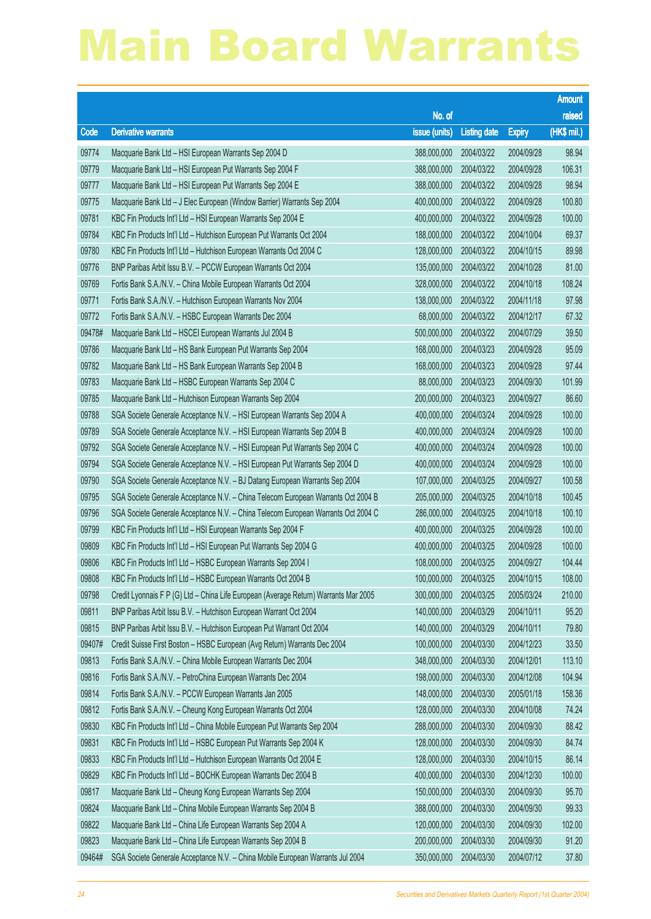|        |                                                                                      |               |                     |               | <b>Amount</b> |
|--------|--------------------------------------------------------------------------------------|---------------|---------------------|---------------|---------------|
|        |                                                                                      | No. of        |                     |               | raised        |
| Code   | <b>Derivative warrants</b>                                                           | issue (units) | <b>Listing date</b> | <b>Expiry</b> | (HK\$ mil.)   |
| 09774  | Macquarie Bank Ltd - HSI European Warrants Sep 2004 D                                | 388,000,000   | 2004/03/22          | 2004/09/28    | 98.94         |
| 09779  | Macquarie Bank Ltd - HSI European Put Warrants Sep 2004 F                            | 388,000,000   | 2004/03/22          | 2004/09/28    | 106.31        |
| 09777  | Macquarie Bank Ltd - HSI European Put Warrants Sep 2004 E                            | 388,000,000   | 2004/03/22          | 2004/09/28    | 98.94         |
| 09775  | Macquarie Bank Ltd - J Elec European (Window Barrier) Warrants Sep 2004              | 400,000,000   | 2004/03/22          | 2004/09/28    | 100.80        |
| 09781  | KBC Fin Products Int'l Ltd - HSI European Warrants Sep 2004 E                        | 400,000,000   | 2004/03/22          | 2004/09/28    | 100.00        |
| 09784  | KBC Fin Products Int'l Ltd - Hutchison European Put Warrants Oct 2004                | 188,000,000   | 2004/03/22          | 2004/10/04    | 69.37         |
| 09780  | KBC Fin Products Int'l Ltd - Hutchison European Warrants Oct 2004 C                  | 128,000,000   | 2004/03/22          | 2004/10/15    | 89.98         |
| 09776  | BNP Paribas Arbit Issu B.V. - PCCW European Warrants Oct 2004                        | 135,000,000   | 2004/03/22          | 2004/10/28    | 81.00         |
| 09769  | Fortis Bank S.A./N.V. - China Mobile European Warrants Oct 2004                      | 328,000,000   | 2004/03/22          | 2004/10/18    | 108.24        |
| 09771  | Fortis Bank S.A./N.V. - Hutchison European Warrants Nov 2004                         | 138,000,000   | 2004/03/22          | 2004/11/18    | 97.98         |
| 09772  | Fortis Bank S.A./N.V. - HSBC European Warrants Dec 2004                              | 68,000,000    | 2004/03/22          | 2004/12/17    | 67.32         |
| 09478# | Macquarie Bank Ltd - HSCEI European Warrants Jul 2004 B                              | 500,000,000   | 2004/03/22          | 2004/07/29    | 39.50         |
| 09786  | Macquarie Bank Ltd - HS Bank European Put Warrants Sep 2004                          | 168,000,000   | 2004/03/23          | 2004/09/28    | 95.09         |
| 09782  | Macquarie Bank Ltd - HS Bank European Warrants Sep 2004 B                            | 168,000,000   | 2004/03/23          | 2004/09/28    | 97.44         |
| 09783  | Macquarie Bank Ltd - HSBC European Warrants Sep 2004 C                               | 88,000,000    | 2004/03/23          | 2004/09/30    | 101.99        |
| 09785  | Macquarie Bank Ltd - Hutchison European Warrants Sep 2004                            | 200,000,000   | 2004/03/23          | 2004/09/27    | 86.60         |
| 09788  | SGA Societe Generale Acceptance N.V. - HSI European Warrants Sep 2004 A              | 400,000,000   | 2004/03/24          | 2004/09/28    | 100.00        |
| 09789  | SGA Societe Generale Acceptance N.V. - HSI European Warrants Sep 2004 B              | 400,000,000   | 2004/03/24          | 2004/09/28    | 100.00        |
| 09792  | SGA Societe Generale Acceptance N.V. - HSI European Put Warrants Sep 2004 C          | 400,000,000   | 2004/03/24          | 2004/09/28    | 100.00        |
| 09794  | SGA Societe Generale Acceptance N.V. - HSI European Put Warrants Sep 2004 D          | 400,000,000   | 2004/03/24          | 2004/09/28    | 100.00        |
| 09790  | SGA Societe Generale Acceptance N.V. - BJ Datang European Warrants Sep 2004          | 107,000,000   | 2004/03/25          | 2004/09/27    | 100.58        |
| 09795  | SGA Societe Generale Acceptance N.V. - China Telecom European Warrants Oct 2004 B    | 205,000,000   | 2004/03/25          | 2004/10/18    | 100.45        |
| 09796  | SGA Societe Generale Acceptance N.V. - China Telecom European Warrants Oct 2004 C    | 286,000,000   | 2004/03/25          | 2004/10/18    | 100.10        |
| 09799  | KBC Fin Products Int'l Ltd - HSI European Warrants Sep 2004 F                        | 400,000,000   | 2004/03/25          | 2004/09/28    | 100.00        |
| 09809  | KBC Fin Products Int'l Ltd - HSI European Put Warrants Sep 2004 G                    | 400,000,000   | 2004/03/25          | 2004/09/28    | 100.00        |
| 09806  | KBC Fin Products Int'l Ltd - HSBC European Warrants Sep 2004 I                       | 108,000,000   | 2004/03/25          | 2004/09/27    | 104.44        |
| 09808  | KBC Fin Products Int'l Ltd - HSBC European Warrants Oct 2004 B                       | 100,000,000   | 2004/03/25          | 2004/10/15    | 108.00        |
| 09798  | Credit Lyonnais F P (G) Ltd - China Life European (Average Return) Warrants Mar 2005 | 300,000,000   | 2004/03/25          | 2005/03/24    | 210.00        |
| 09811  | BNP Paribas Arbit Issu B.V. - Hutchison European Warrant Oct 2004                    | 140,000,000   | 2004/03/29          | 2004/10/11    | 95.20         |
| 09815  | BNP Paribas Arbit Issu B.V. - Hutchison European Put Warrant Oct 2004                | 140,000,000   | 2004/03/29          | 2004/10/11    | 79.80         |
| 09407# | Credit Suisse First Boston - HSBC European (Avg Return) Warrants Dec 2004            | 100,000,000   | 2004/03/30          | 2004/12/23    | 33.50         |
| 09813  | Fortis Bank S.A./N.V. - China Mobile European Warrants Dec 2004                      | 348,000,000   | 2004/03/30          | 2004/12/01    | 113.10        |
| 09816  | Fortis Bank S.A./N.V. - PetroChina European Warrants Dec 2004                        | 198,000,000   | 2004/03/30          | 2004/12/08    | 104.94        |
| 09814  | Fortis Bank S.A./N.V. - PCCW European Warrants Jan 2005                              | 148,000,000   | 2004/03/30          | 2005/01/18    | 158.36        |
| 09812  | Fortis Bank S.A./N.V. - Cheung Kong European Warrants Oct 2004                       | 128,000,000   | 2004/03/30          | 2004/10/08    | 74.24         |
| 09830  | KBC Fin Products Int'l Ltd - China Mobile European Put Warrants Sep 2004             | 288,000,000   | 2004/03/30          | 2004/09/30    | 88.42         |
| 09831  | KBC Fin Products Int'l Ltd - HSBC European Put Warrants Sep 2004 K                   | 128,000,000   | 2004/03/30          | 2004/09/30    | 84.74         |
| 09833  | KBC Fin Products Int'l Ltd - Hutchison European Warrants Oct 2004 E                  | 128,000,000   | 2004/03/30          | 2004/10/15    | 86.14         |
| 09829  | KBC Fin Products Int'l Ltd - BOCHK European Warrants Dec 2004 B                      | 400,000,000   | 2004/03/30          | 2004/12/30    | 100.00        |
| 09817  | Macquarie Bank Ltd - Cheung Kong European Warrants Sep 2004                          | 150,000,000   | 2004/03/30          | 2004/09/30    | 95.70         |
| 09824  | Macquarie Bank Ltd - China Mobile European Warrants Sep 2004 B                       | 388,000,000   | 2004/03/30          | 2004/09/30    | 99.33         |
| 09822  | Macquarie Bank Ltd - China Life European Warrants Sep 2004 A                         | 120,000,000   | 2004/03/30          | 2004/09/30    | 102.00        |
| 09823  | Macquarie Bank Ltd - China Life European Warrants Sep 2004 B                         | 200,000,000   | 2004/03/30          | 2004/09/30    | 91.20         |
| 09464# | SGA Societe Generale Acceptance N.V. - China Mobile European Warrants Jul 2004       | 350,000,000   | 2004/03/30          | 2004/07/12    | 37.80         |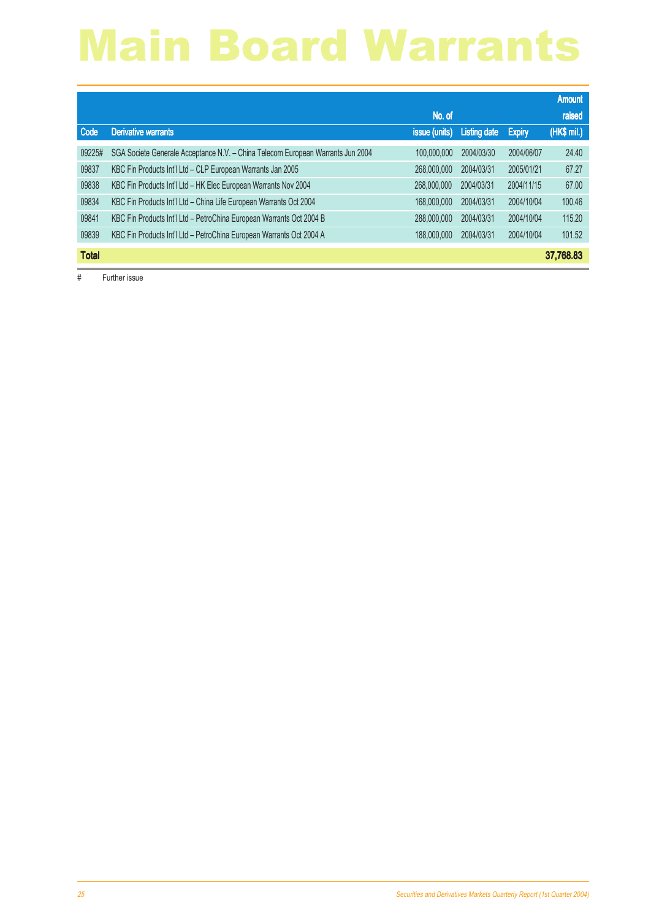|              |                                                                                 |               |              |               | <b>Amount</b> |
|--------------|---------------------------------------------------------------------------------|---------------|--------------|---------------|---------------|
|              |                                                                                 | No. of        |              |               | raised        |
| Code         | <b>Derivative warrants</b>                                                      | issue (units) | Listing date | <b>Expiry</b> | (HK\$ mil.)   |
| 09225#       | SGA Societe Generale Acceptance N.V. - China Telecom European Warrants Jun 2004 | 100,000,000   | 2004/03/30   | 2004/06/07    | 24.40         |
| 09837        | KBC Fin Products Int'l Ltd - CLP European Warrants Jan 2005                     | 268,000,000   | 2004/03/31   | 2005/01/21    | 67.27         |
| 09838        | KBC Fin Products Int'l Ltd - HK Elec European Warrants Nov 2004                 | 268,000,000   | 2004/03/31   | 2004/11/15    | 67.00         |
| 09834        | KBC Fin Products Int'l Ltd - China Life European Warrants Oct 2004              | 168,000,000   | 2004/03/31   | 2004/10/04    | 100.46        |
| 09841        | KBC Fin Products Int'l Ltd - PetroChina European Warrants Oct 2004 B            | 288,000,000   | 2004/03/31   | 2004/10/04    | 115.20        |
| 09839        | KBC Fin Products Int'l Ltd - PetroChina European Warrants Oct 2004 A            | 188,000,000   | 2004/03/31   | 2004/10/04    | 101.52        |
| <b>Total</b> |                                                                                 |               |              |               | 37,768.83     |

# Further issue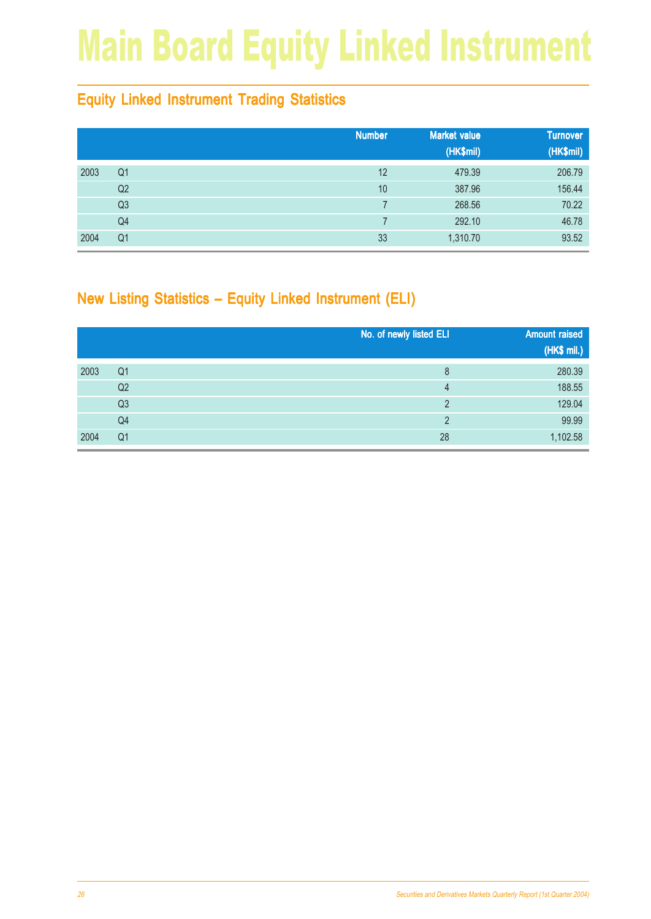# Main Board Equity Linked Instrument

### Equity Linked Instrument Trading Statistics

|      |                | <b>Number</b> | <b>Market value</b><br>(HK\$mil) | <b>Turnover</b><br>(HK\$mil) |
|------|----------------|---------------|----------------------------------|------------------------------|
| 2003 | Q <sub>1</sub> | 12            | 479.39                           | 206.79                       |
|      | Q2             | 10            | 387.96                           | 156.44                       |
|      | Q3             |               | 268.56                           | 70.22                        |
|      | Q4             |               | 292.10                           | 46.78                        |
| 2004 | Q <sub>1</sub> | 33            | 1,310.70                         | 93.52                        |

### New Listing Statistics – Equity Linked Instrument (ELI)

|      |                | No. of newly listed ELI | <b>Amount raised</b><br>(HK\$ mil.) |
|------|----------------|-------------------------|-------------------------------------|
| 2003 | Q <sub>1</sub> | 8                       | 280.39                              |
|      | Q2             | 4                       | 188.55                              |
|      | Q <sub>3</sub> | っ                       | 129.04                              |
|      | Q4             | っ                       | 99.99                               |
| 2004 | Q <sub>1</sub> | 28                      | 1,102.58                            |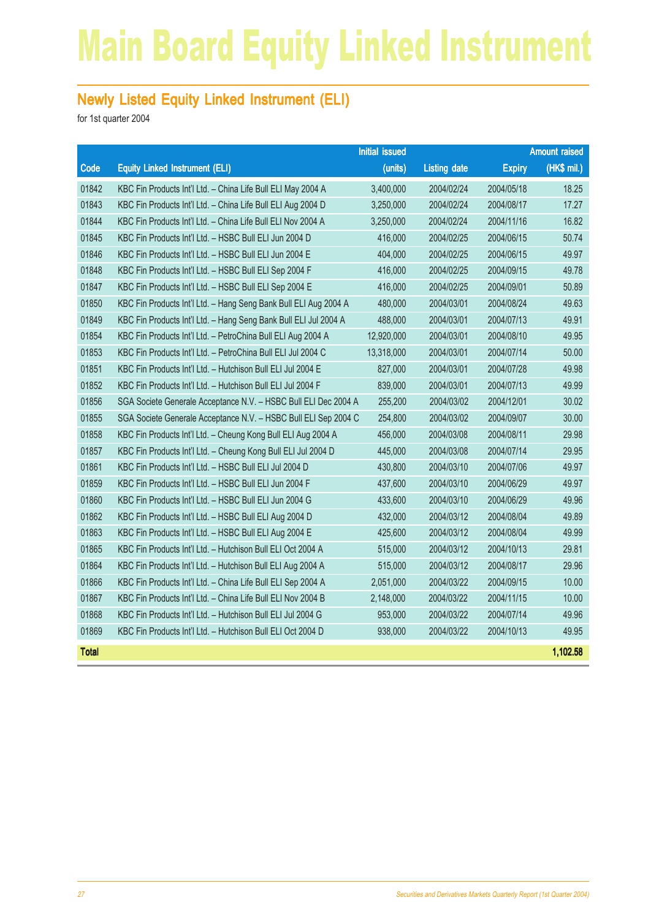### Main Board Equity Linked Instrument

#### Newly Listed Equity Linked Instrument (ELI)

|              |                                                                  | <b>Initial issued</b> |                     |               | <b>Amount raised</b> |
|--------------|------------------------------------------------------------------|-----------------------|---------------------|---------------|----------------------|
| Code         | <b>Equity Linked Instrument (ELI)</b>                            | (units)               | <b>Listing date</b> | <b>Expiry</b> | $(HK$$ mil.)         |
| 01842        | KBC Fin Products Int'l Ltd. - China Life Bull ELI May 2004 A     | 3,400,000             | 2004/02/24          | 2004/05/18    | 18.25                |
| 01843        | KBC Fin Products Int'l Ltd. - China Life Bull ELI Aug 2004 D     | 3,250,000             | 2004/02/24          | 2004/08/17    | 17.27                |
| 01844        | KBC Fin Products Int'l Ltd. - China Life Bull ELI Nov 2004 A     | 3,250,000             | 2004/02/24          | 2004/11/16    | 16.82                |
| 01845        | KBC Fin Products Int'l Ltd. - HSBC Bull ELI Jun 2004 D           | 416,000               | 2004/02/25          | 2004/06/15    | 50.74                |
| 01846        | KBC Fin Products Int'l Ltd. - HSBC Bull ELI Jun 2004 E           | 404,000               | 2004/02/25          | 2004/06/15    | 49.97                |
| 01848        | KBC Fin Products Int'l Ltd. - HSBC Bull ELI Sep 2004 F           | 416,000               | 2004/02/25          | 2004/09/15    | 49.78                |
| 01847        | KBC Fin Products Int'l Ltd. - HSBC Bull ELI Sep 2004 E           | 416,000               | 2004/02/25          | 2004/09/01    | 50.89                |
| 01850        | KBC Fin Products Int'l Ltd. - Hang Seng Bank Bull ELI Aug 2004 A | 480,000               | 2004/03/01          | 2004/08/24    | 49.63                |
| 01849        | KBC Fin Products Int'l Ltd. - Hang Seng Bank Bull ELI Jul 2004 A | 488,000               | 2004/03/01          | 2004/07/13    | 49.91                |
| 01854        | KBC Fin Products Int'l Ltd. - PetroChina Bull ELI Aug 2004 A     | 12,920,000            | 2004/03/01          | 2004/08/10    | 49.95                |
| 01853        | KBC Fin Products Int'l Ltd. - PetroChina Bull ELI Jul 2004 C     | 13,318,000            | 2004/03/01          | 2004/07/14    | 50.00                |
| 01851        | KBC Fin Products Int'l Ltd. - Hutchison Bull ELI Jul 2004 E      | 827,000               | 2004/03/01          | 2004/07/28    | 49.98                |
| 01852        | KBC Fin Products Int'l Ltd. - Hutchison Bull ELI Jul 2004 F      | 839,000               | 2004/03/01          | 2004/07/13    | 49.99                |
| 01856        | SGA Societe Generale Acceptance N.V. - HSBC Bull ELI Dec 2004 A  | 255,200               | 2004/03/02          | 2004/12/01    | 30.02                |
| 01855        | SGA Societe Generale Acceptance N.V. - HSBC Bull ELI Sep 2004 C  | 254,800               | 2004/03/02          | 2004/09/07    | 30.00                |
| 01858        | KBC Fin Products Int'l Ltd. - Cheung Kong Bull ELI Aug 2004 A    | 456,000               | 2004/03/08          | 2004/08/11    | 29.98                |
| 01857        | KBC Fin Products Int'l Ltd. - Cheung Kong Bull ELI Jul 2004 D    | 445,000               | 2004/03/08          | 2004/07/14    | 29.95                |
| 01861        | KBC Fin Products Int'l Ltd. - HSBC Bull ELI Jul 2004 D           | 430,800               | 2004/03/10          | 2004/07/06    | 49.97                |
| 01859        | KBC Fin Products Int'l Ltd. - HSBC Bull ELI Jun 2004 F           | 437,600               | 2004/03/10          | 2004/06/29    | 49.97                |
| 01860        | KBC Fin Products Int'l Ltd. - HSBC Bull ELI Jun 2004 G           | 433,600               | 2004/03/10          | 2004/06/29    | 49.96                |
| 01862        | KBC Fin Products Int'l Ltd. - HSBC Bull ELI Aug 2004 D           | 432,000               | 2004/03/12          | 2004/08/04    | 49.89                |
| 01863        | KBC Fin Products Int'l Ltd. - HSBC Bull ELI Aug 2004 E           | 425,600               | 2004/03/12          | 2004/08/04    | 49.99                |
| 01865        | KBC Fin Products Int'l Ltd. - Hutchison Bull ELI Oct 2004 A      | 515,000               | 2004/03/12          | 2004/10/13    | 29.81                |
| 01864        | KBC Fin Products Int'l Ltd. - Hutchison Bull ELI Aug 2004 A      | 515,000               | 2004/03/12          | 2004/08/17    | 29.96                |
| 01866        | KBC Fin Products Int'l Ltd. - China Life Bull ELI Sep 2004 A     | 2,051,000             | 2004/03/22          | 2004/09/15    | 10.00                |
| 01867        | KBC Fin Products Int'l Ltd. - China Life Bull ELI Nov 2004 B     | 2,148,000             | 2004/03/22          | 2004/11/15    | 10.00                |
| 01868        | KBC Fin Products Int'l Ltd. - Hutchison Bull ELI Jul 2004 G      | 953,000               | 2004/03/22          | 2004/07/14    | 49.96                |
| 01869        | KBC Fin Products Int'l Ltd. - Hutchison Bull ELI Oct 2004 D      | 938,000               | 2004/03/22          | 2004/10/13    | 49.95                |
| <b>Total</b> |                                                                  |                       |                     |               | 1,102.58             |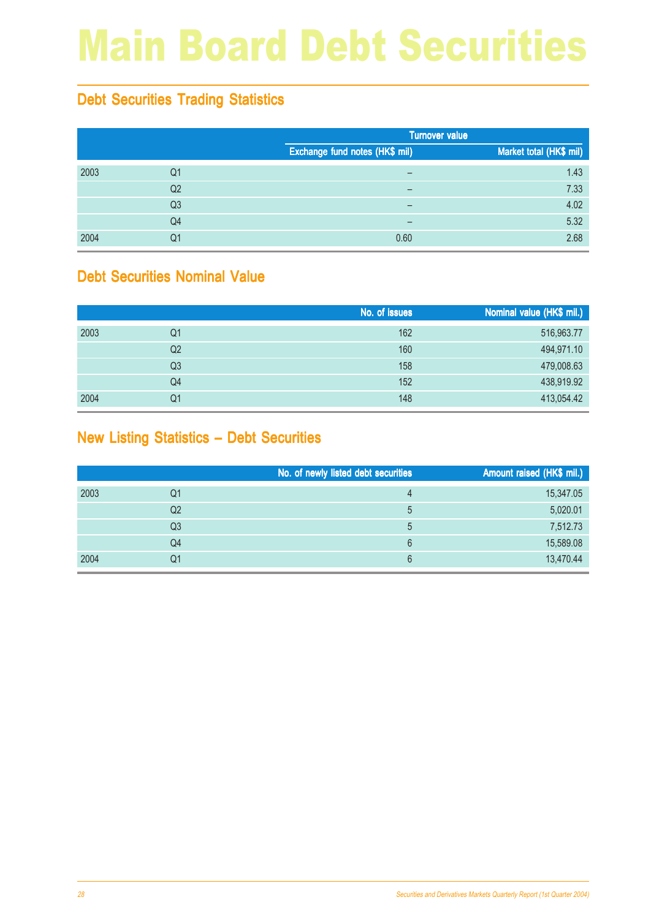# Main Board Debt Securities

### Debt Securities Trading Statistics

|      |                | <b>Turnover value</b>          |                         |
|------|----------------|--------------------------------|-------------------------|
|      |                | Exchange fund notes (HK\$ mil) | Market total (HK\$ mil) |
| 2003 | Q1             | -                              | 1.43                    |
|      | Q <sub>2</sub> | $\overline{\phantom{0}}$       | 7.33                    |
|      | Q <sub>3</sub> | $\qquad \qquad$                | 4.02                    |
|      | Q <sub>4</sub> | $\overline{\phantom{0}}$       | 5.32                    |
| 2004 | Q1             | 0.60                           | 2.68                    |

#### Debt Securities Nominal Value

|      |                | No. of issues | Nominal value (HK\$ mil.) |
|------|----------------|---------------|---------------------------|
| 2003 | Q1             | 162           | 516,963.77                |
|      | Q2             | 160           | 494,971.10                |
|      | Q <sub>3</sub> | 158           | 479,008.63                |
|      | Q4             | 152           | 438,919.92                |
| 2004 | Q1             | 148           | 413,054.42                |

### New Listing Statistics – Debt Securities

|      |                | No. of newly listed debt securities | Amount raised (HK\$ mil.) |
|------|----------------|-------------------------------------|---------------------------|
| 2003 | Q1             | 4                                   | 15,347.05                 |
|      | Q2             | 5                                   | 5,020.01                  |
|      | Q <sub>3</sub> | 5                                   | 7,512.73                  |
|      | Q4             | 6                                   | 15,589.08                 |
| 2004 | Q1             | 6                                   | 13,470.44                 |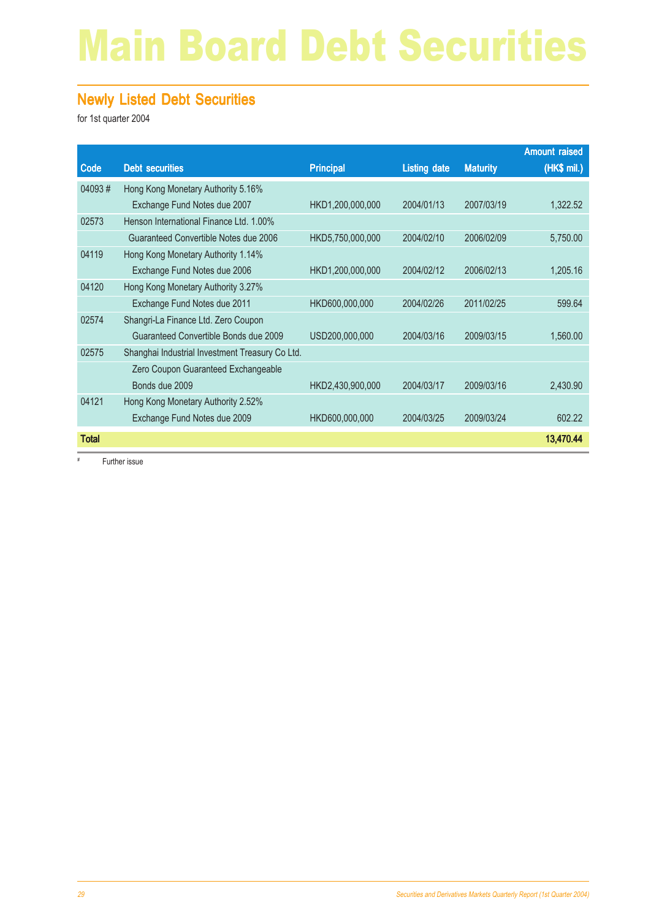# Main Board Debt Securities

#### Newly Listed Debt Securities

for 1st quarter 2004

|              |                                                 |                  |                     |                 | <b>Amount raised</b> |
|--------------|-------------------------------------------------|------------------|---------------------|-----------------|----------------------|
| Code         | <b>Debt securities</b>                          | <b>Principal</b> | <b>Listing date</b> | <b>Maturity</b> | (HK\$ mil.)          |
| 04093#       | Hong Kong Monetary Authority 5.16%              |                  |                     |                 |                      |
|              | Exchange Fund Notes due 2007                    | HKD1,200,000,000 | 2004/01/13          | 2007/03/19      | 1,322.52             |
| 02573        | Henson International Finance Ltd. 1.00%         |                  |                     |                 |                      |
|              | Guaranteed Convertible Notes due 2006           | HKD5,750,000,000 | 2004/02/10          | 2006/02/09      | 5,750.00             |
| 04119        | Hong Kong Monetary Authority 1.14%              |                  |                     |                 |                      |
|              | Exchange Fund Notes due 2006                    | HKD1,200,000,000 | 2004/02/12          | 2006/02/13      | 1,205.16             |
| 04120        | Hong Kong Monetary Authority 3.27%              |                  |                     |                 |                      |
|              | Exchange Fund Notes due 2011                    | HKD600,000,000   | 2004/02/26          | 2011/02/25      | 599.64               |
| 02574        | Shangri-La Finance Ltd. Zero Coupon             |                  |                     |                 |                      |
|              | Guaranteed Convertible Bonds due 2009           | USD200,000,000   | 2004/03/16          | 2009/03/15      | 1,560.00             |
| 02575        | Shanghai Industrial Investment Treasury Co Ltd. |                  |                     |                 |                      |
|              | Zero Coupon Guaranteed Exchangeable             |                  |                     |                 |                      |
|              | Bonds due 2009                                  | HKD2,430,900,000 | 2004/03/17          | 2009/03/16      | 2,430.90             |
| 04121        | Hong Kong Monetary Authority 2.52%              |                  |                     |                 |                      |
|              | Exchange Fund Notes due 2009                    | HKD600,000,000   | 2004/03/25          | 2009/03/24      | 602.22               |
| <b>Total</b> |                                                 |                  |                     |                 | 13,470.44            |

# Further issue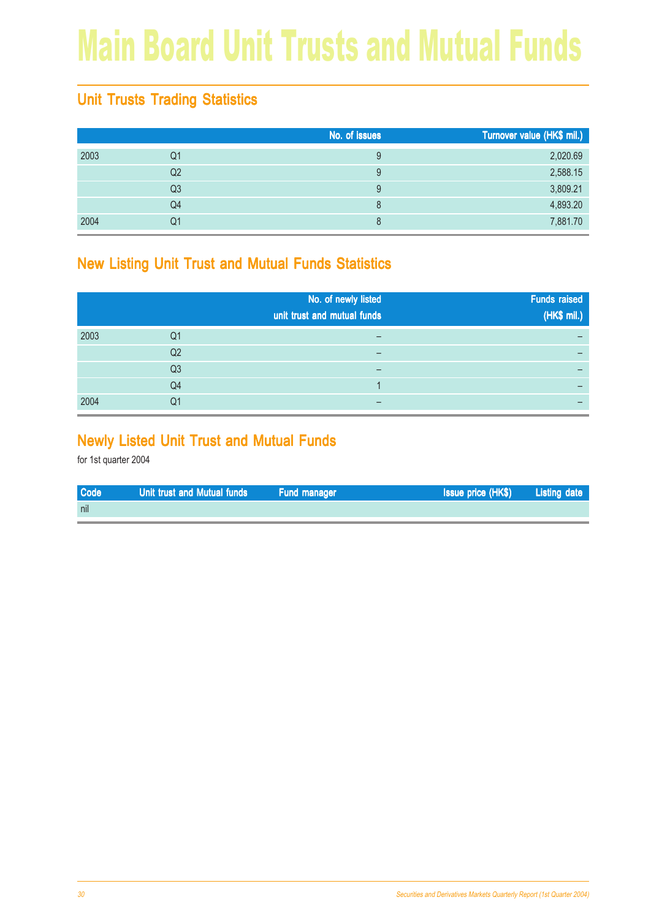# Main Board Unit Trusts and Mutual Funds

### Unit Trusts Trading Statistics

|      |                | No. of issues | Turnover value (HK\$ mil.) |
|------|----------------|---------------|----------------------------|
| 2003 | Q1             | 9             | 2,020.69                   |
|      | Q2             | 9             | 2,588.15                   |
|      | Q <sub>3</sub> | 9             | 3,809.21                   |
|      | Q4             | 8             | 4,893.20                   |
| 2004 | Q1             | 8             | 7,881.70                   |

#### New Listing Unit Trust and Mutual Funds Statistics

|      |                | No. of newly listed<br>unit trust and mutual funds | <b>Funds raised</b><br>(HK\$ mil.) |
|------|----------------|----------------------------------------------------|------------------------------------|
| 2003 | Q1             |                                                    |                                    |
|      | Q <sub>2</sub> | -                                                  |                                    |
|      | Q <sub>3</sub> |                                                    |                                    |
|      | Q4             |                                                    |                                    |
| 2004 | Q1             |                                                    |                                    |

#### Newly Listed Unit Trust and Mutual Funds

| <b>Code</b> | Unit trust and Mutual funds | <b>Eund manager</b> | <b>Issue price (HK\$)</b> Listing date |  |
|-------------|-----------------------------|---------------------|----------------------------------------|--|
| nil         |                             |                     |                                        |  |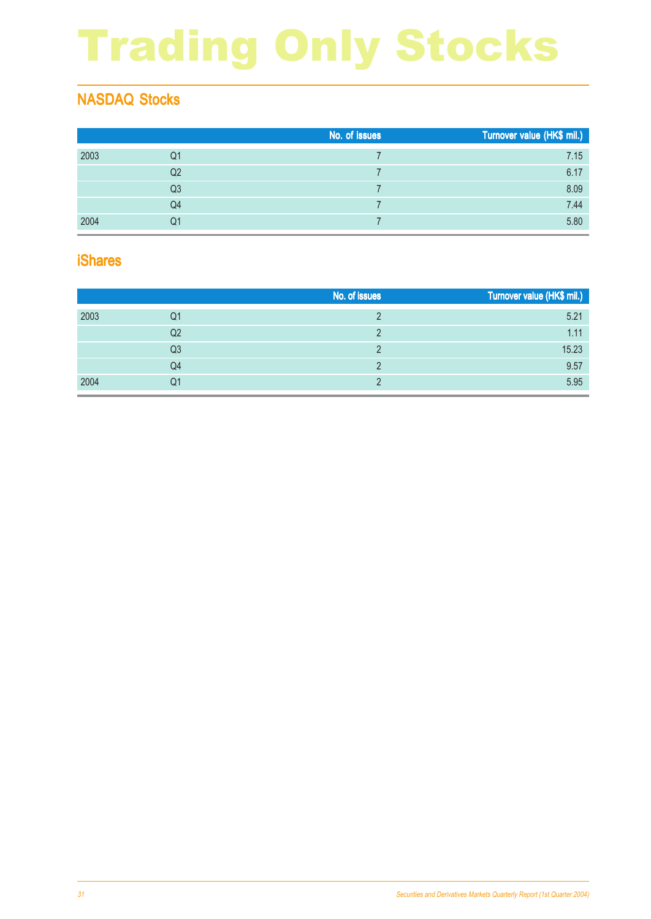# Trading Only Stocks

### NASDAQ Stocks

|      |    | No. of issues | Turnover value (HK\$ mil.) |
|------|----|---------------|----------------------------|
| 2003 | Q1 |               | 7.15                       |
|      | Q2 |               | 6.17                       |
|      | Q3 |               | 8.09                       |
|      | Q4 |               | 7.44                       |
| 2004 | Q1 |               | 5.80                       |

#### iShares

|      |    | No. of issues | Turnover value (HK\$ mil.) |
|------|----|---------------|----------------------------|
| 2003 | Q1 |               | 5.21                       |
|      | Q2 |               | 1.11                       |
|      | Q3 |               | 15.23                      |
|      | Q4 |               | 9.57                       |
| 2004 | Q1 |               | 5.95                       |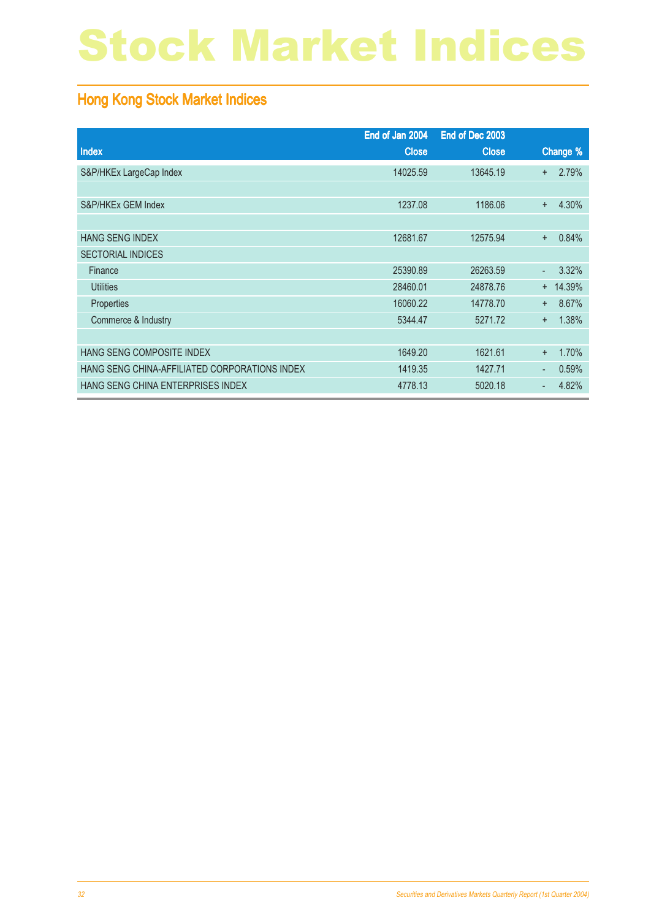# Stock Market Indices

### Hong Kong Stock Market Indices

|                                               | End of Jan 2004 | End of Dec 2003 |           |            |
|-----------------------------------------------|-----------------|-----------------|-----------|------------|
| Index                                         | <b>Close</b>    | <b>Close</b>    |           | Change %   |
| S&P/HKEx LargeCap Index                       | 14025.59        | 13645.19        | $+$       | 2.79%      |
|                                               |                 |                 |           |            |
| S&P/HKEx GEM Index                            | 1237.08         | 1186.06         | $\ddot{}$ | 4.30%      |
|                                               |                 |                 |           |            |
| <b>HANG SENG INDEX</b>                        | 12681.67        | 12575.94        | $\ddot{}$ | 0.84%      |
| <b>SECTORIAL INDICES</b>                      |                 |                 |           |            |
| Finance                                       | 25390.89        | 26263.59        | ω,        | 3.32%      |
| <b>Utilities</b>                              | 28460.01        | 24878.76        |           | $+ 14.39%$ |
| Properties                                    | 16060.22        | 14778.70        | $+$       | 8.67%      |
| Commerce & Industry                           | 5344.47         | 5271.72         | $+$       | 1.38%      |
|                                               |                 |                 |           |            |
| HANG SENG COMPOSITE INDEX                     | 1649.20         | 1621.61         | $\ddot{}$ | 1.70%      |
| HANG SENG CHINA-AFFILIATED CORPORATIONS INDEX | 1419.35         | 1427.71         | ٠         | 0.59%      |
| HANG SENG CHINA ENTERPRISES INDEX             | 4778.13         | 5020.18         | ٠         | 4.82%      |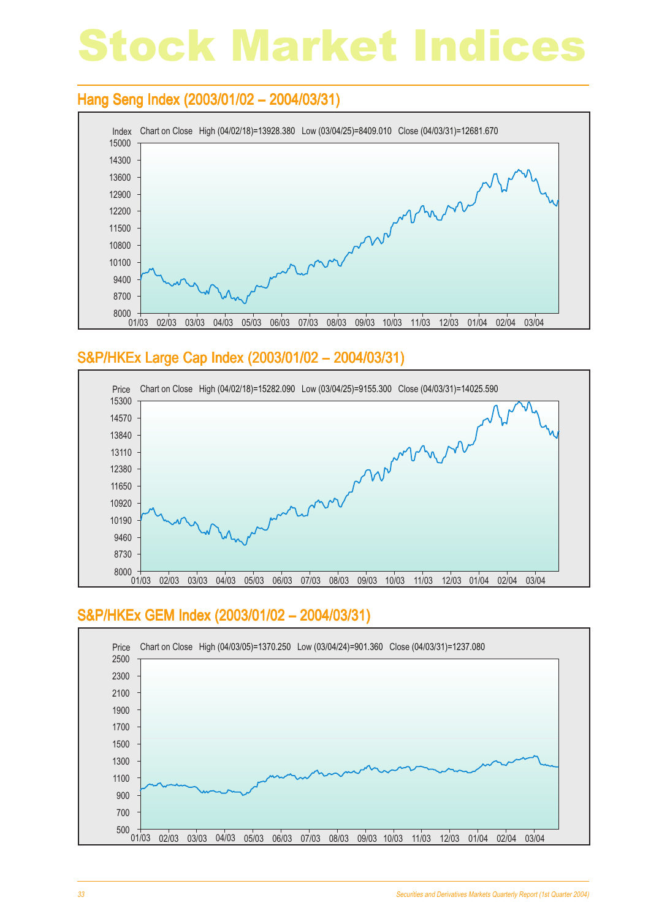# Stock Market Indices

#### Hang Seng Index (2003/01/02 – 2004/03/31)



#### S&P/HKEx Large Cap Index (2003/01/02 - 2004/03/31)



#### S&P/HKEx GEM Index (2003/01/02 - 2004/03/31)

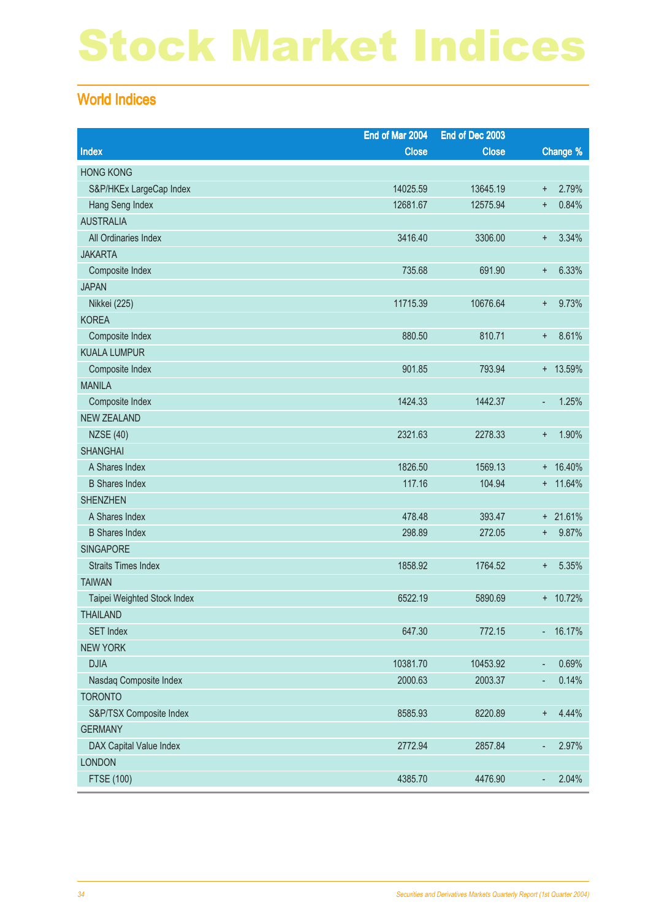# Stock Market Indices

#### World Indices

|                             | End of Mar 2004 | End of Dec 2003 |                |             |
|-----------------------------|-----------------|-----------------|----------------|-------------|
| Index                       | <b>Close</b>    | <b>Close</b>    |                | Change %    |
| <b>HONG KONG</b>            |                 |                 |                |             |
| S&P/HKEx LargeCap Index     | 14025.59        | 13645.19        | $\ddot{}$      | 2.79%       |
| Hang Seng Index             | 12681.67        | 12575.94        | $\ddot{}$      | 0.84%       |
| <b>AUSTRALIA</b>            |                 |                 |                |             |
| All Ordinaries Index        | 3416.40         | 3306.00         | $\ddot{}$      | 3.34%       |
| <b>JAKARTA</b>              |                 |                 |                |             |
| Composite Index             | 735.68          | 691.90          | $\ddot{}$      | 6.33%       |
| <b>JAPAN</b>                |                 |                 |                |             |
| <b>Nikkei</b> (225)         | 11715.39        | 10676.64        | $\ddot{}$      | 9.73%       |
| <b>KOREA</b>                |                 |                 |                |             |
| Composite Index             | 880.50          | 810.71          | $\ddot{}$      | 8.61%       |
| <b>KUALA LUMPUR</b>         |                 |                 |                |             |
| Composite Index             | 901.85          | 793.94          |                | + 13.59%    |
| <b>MANILA</b>               |                 |                 |                |             |
| Composite Index             | 1424.33         | 1442.37         | ÷,             | 1.25%       |
| <b>NEW ZEALAND</b>          |                 |                 |                |             |
| <b>NZSE (40)</b>            | 2321.63         | 2278.33         | $\ddot{}$      | 1.90%       |
| <b>SHANGHAI</b>             |                 |                 |                |             |
| A Shares Index              | 1826.50         | 1569.13         |                | $+ 16.40%$  |
| <b>B Shares Index</b>       | 117.16          | 104.94          |                | $+ 11.64\%$ |
| <b>SHENZHEN</b>             |                 |                 |                |             |
| A Shares Index              | 478.48          | 393.47          |                | $+ 21.61%$  |
| <b>B</b> Shares Index       | 298.89          | 272.05          | $\ddot{}$      | 9.87%       |
| <b>SINGAPORE</b>            |                 |                 |                |             |
| <b>Straits Times Index</b>  | 1858.92         | 1764.52         | $\pm$          | 5.35%       |
| <b>TAIWAN</b>               |                 |                 |                |             |
| Taipei Weighted Stock Index | 6522.19         | 5890.69         |                | + 10.72%    |
| <b>THAILAND</b>             |                 |                 |                |             |
| <b>SET Index</b>            | 647.30          | 772.15          |                | $-16.17%$   |
| <b>NEW YORK</b>             |                 |                 |                |             |
| <b>DJIA</b>                 | 10381.70        | 10453.92        | ٠              | 0.69%       |
| Nasdaq Composite Index      | 2000.63         | 2003.37         | $\blacksquare$ | 0.14%       |
| <b>TORONTO</b>              |                 |                 |                |             |
| S&P/TSX Composite Index     | 8585.93         | 8220.89         | $\ddot{}$      | 4.44%       |
| <b>GERMANY</b>              |                 |                 |                |             |
| DAX Capital Value Index     | 2772.94         | 2857.84         | ÷              | 2.97%       |
| <b>LONDON</b>               |                 |                 |                |             |
| FTSE (100)                  | 4385.70         | 4476.90         | $\blacksquare$ | 2.04%       |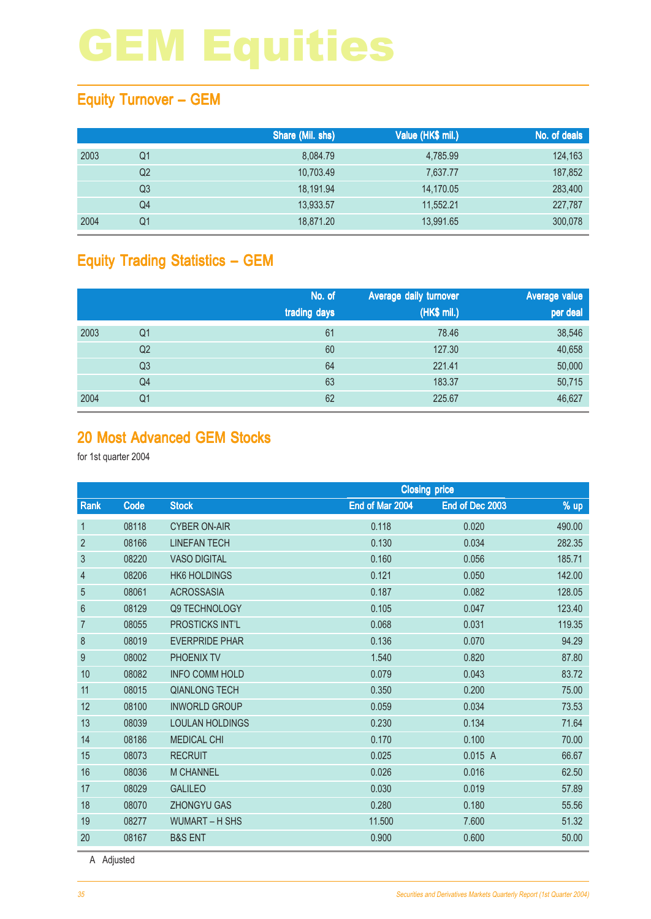### Equity Turnover – GEM

|      |                | Share (Mil. shs) | Value (HK\$ mil.) | No. of deals |
|------|----------------|------------------|-------------------|--------------|
| 2003 | Q1             | 8,084.79         | 4,785.99          | 124,163      |
|      | Q <sub>2</sub> | 10.703.49        | 7,637.77          | 187,852      |
|      | Q3             | 18.191.94        | 14,170.05         | 283,400      |
|      | Q4             | 13,933.57        | 11,552.21         | 227,787      |
| 2004 | Q1             | 18,871.20        | 13,991.65         | 300,078      |

### Equity Trading Statistics – GEM

|      |                | No. of<br>trading days | Average daily turnover<br>(HK\$ mil.) | Average value<br>per deal |
|------|----------------|------------------------|---------------------------------------|---------------------------|
| 2003 | Q1             | 61                     | 78.46                                 | 38,546                    |
|      | Q <sub>2</sub> | 60                     | 127.30                                | 40,658                    |
|      | Q <sub>3</sub> | 64                     | 221.41                                | 50,000                    |
|      | Q4             | 63                     | 183.37                                | 50,715                    |
| 2004 | Q <sub>1</sub> | 62                     | 225.67                                | 46,627                    |

#### 20 Most Advanced GEM Stocks

for 1st quarter 2004

|                |             |                        | <b>Closing price</b> |                 |        |  |
|----------------|-------------|------------------------|----------------------|-----------------|--------|--|
| Rank           | <b>Code</b> | <b>Stock</b>           | End of Mar 2004      | End of Dec 2003 | % up   |  |
| $\mathbf{1}$   | 08118       | <b>CYBER ON-AIR</b>    | 0.118                | 0.020           | 490.00 |  |
| $\overline{2}$ | 08166       | <b>LINEFAN TECH</b>    | 0.130                | 0.034           | 282.35 |  |
| 3              | 08220       | <b>VASO DIGITAL</b>    | 0.160                | 0.056           | 185.71 |  |
| 4              | 08206       | <b>HK6 HOLDINGS</b>    | 0.121                | 0.050           | 142.00 |  |
| 5              | 08061       | <b>ACROSSASIA</b>      | 0.187                | 0.082           | 128.05 |  |
| 6              | 08129       | Q9 TECHNOLOGY          | 0.105                | 0.047           | 123.40 |  |
| $\overline{7}$ | 08055       | <b>PROSTICKS INT'L</b> | 0.068                | 0.031           | 119.35 |  |
| 8              | 08019       | <b>EVERPRIDE PHAR</b>  | 0.136                | 0.070           | 94.29  |  |
| 9              | 08002       | PHOENIX TV             | 1.540                | 0.820           | 87.80  |  |
| 10             | 08082       | <b>INFO COMM HOLD</b>  | 0.079                | 0.043           | 83.72  |  |
| 11             | 08015       | <b>QIANLONG TECH</b>   | 0.350                | 0.200           | 75.00  |  |
| 12             | 08100       | <b>INWORLD GROUP</b>   | 0.059                | 0.034           | 73.53  |  |
| 13             | 08039       | <b>LOULAN HOLDINGS</b> | 0.230                | 0.134           | 71.64  |  |
| 14             | 08186       | <b>MEDICAL CHI</b>     | 0.170                | 0.100           | 70.00  |  |
| 15             | 08073       | <b>RECRUIT</b>         | 0.025                | 0.015 A         | 66.67  |  |
| 16             | 08036       | <b>M CHANNEL</b>       | 0.026                | 0.016           | 62.50  |  |
| 17             | 08029       | <b>GALILEO</b>         | 0.030                | 0.019           | 57.89  |  |
| 18             | 08070       | <b>ZHONGYU GAS</b>     | 0.280                | 0.180           | 55.56  |  |
| 19             | 08277       | <b>WUMART - H SHS</b>  | 11.500               | 7.600           | 51.32  |  |
| 20             | 08167       | <b>B&amp;S ENT</b>     | 0.900                | 0.600           | 50.00  |  |

A Adjusted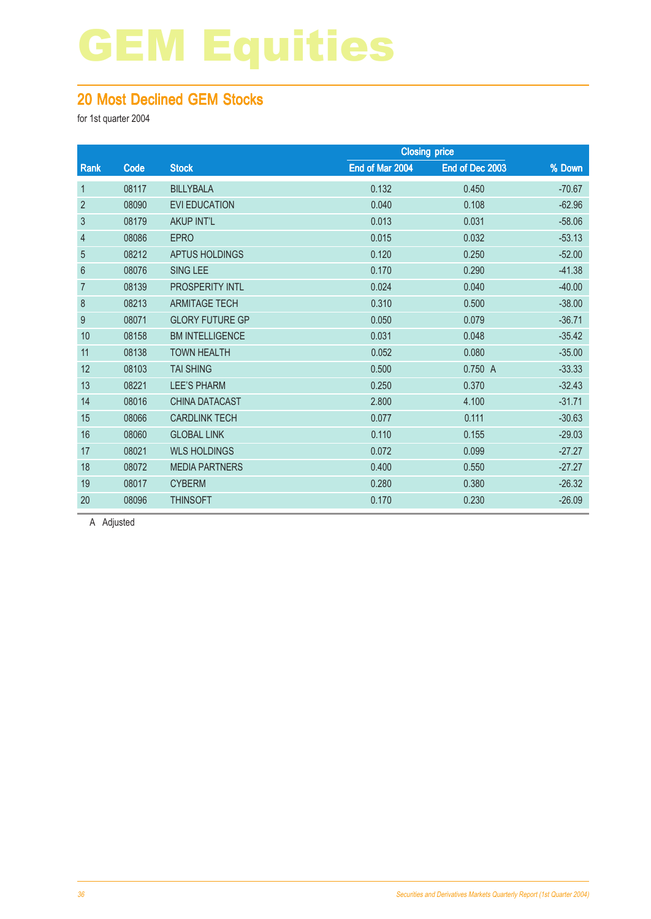#### 20 Most Declined GEM Stocks

for 1st quarter 2004

|                  |       |                        |                 | <b>Closing price</b> |          |  |
|------------------|-------|------------------------|-----------------|----------------------|----------|--|
| Rank             | Code  | <b>Stock</b>           | End of Mar 2004 | End of Dec 2003      | % Down   |  |
| $\mathbf{1}$     | 08117 | <b>BILLYBALA</b>       | 0.132           | 0.450                | $-70.67$ |  |
| $\overline{2}$   | 08090 | <b>EVI EDUCATION</b>   | 0.040           | 0.108                | $-62.96$ |  |
| $\mathfrak{S}$   | 08179 | <b>AKUP INT'L</b>      | 0.013           | 0.031                | $-58.06$ |  |
| $\overline{4}$   | 08086 | <b>EPRO</b>            | 0.015           | 0.032                | $-53.13$ |  |
| 5                | 08212 | APTUS HOLDINGS         | 0.120           | 0.250                | $-52.00$ |  |
| $6\,$            | 08076 | SING LEE               | 0.170           | 0.290                | $-41.38$ |  |
| $\overline{7}$   | 08139 | <b>PROSPERITY INTL</b> | 0.024           | 0.040                | $-40.00$ |  |
| 8                | 08213 | <b>ARMITAGE TECH</b>   | 0.310           | 0.500                | $-38.00$ |  |
| $\boldsymbol{9}$ | 08071 | <b>GLORY FUTURE GP</b> | 0.050           | 0.079                | $-36.71$ |  |
| 10               | 08158 | <b>BM INTELLIGENCE</b> | 0.031           | 0.048                | $-35.42$ |  |
| 11               | 08138 | <b>TOWN HEALTH</b>     | 0.052           | 0.080                | $-35.00$ |  |
| 12               | 08103 | <b>TAI SHING</b>       | 0.500           | 0.750 A              | $-33.33$ |  |
| 13               | 08221 | <b>LEE'S PHARM</b>     | 0.250           | 0.370                | $-32.43$ |  |
| 14               | 08016 | <b>CHINA DATACAST</b>  | 2.800           | 4.100                | $-31.71$ |  |
| 15               | 08066 | <b>CARDLINK TECH</b>   | 0.077           | 0.111                | $-30.63$ |  |
| 16               | 08060 | <b>GLOBAL LINK</b>     | 0.110           | 0.155                | $-29.03$ |  |
| 17               | 08021 | <b>WLS HOLDINGS</b>    | 0.072           | 0.099                | $-27.27$ |  |
| 18               | 08072 | <b>MEDIA PARTNERS</b>  | 0.400           | 0.550                | $-27.27$ |  |
| 19               | 08017 | <b>CYBERM</b>          | 0.280           | 0.380                | $-26.32$ |  |
| 20               | 08096 | <b>THINSOFT</b>        | 0.170           | 0.230                | $-26.09$ |  |
|                  |       |                        |                 |                      |          |  |

A Adjusted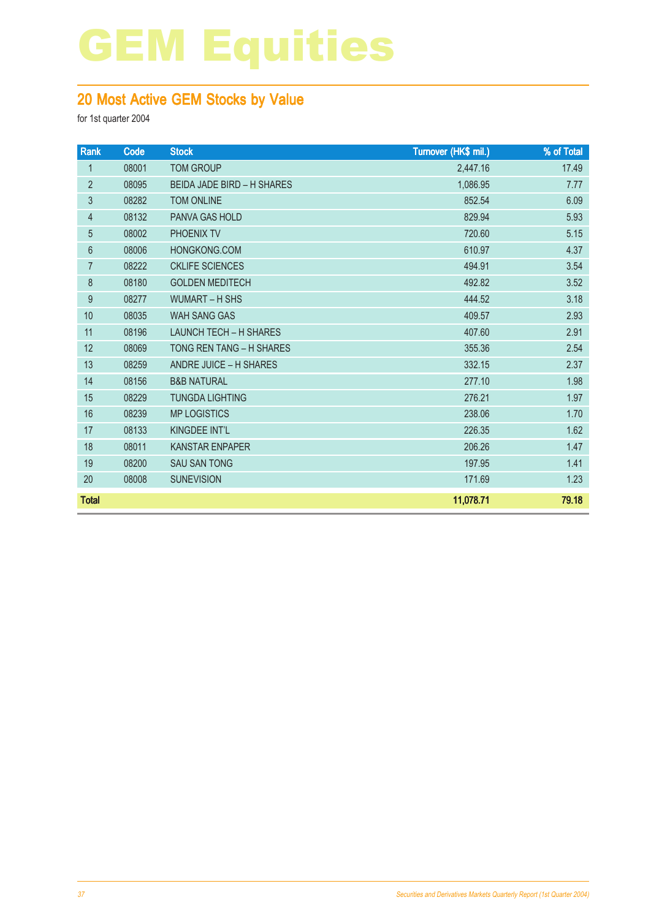### 20 Most Active GEM Stocks by Value

| Rank           | Code  | <b>Stock</b>                      | Turnover (HK\$ mil.) | % of Total |
|----------------|-------|-----------------------------------|----------------------|------------|
| $\mathbf{1}$   | 08001 | <b>TOM GROUP</b>                  | 2,447.16             | 17.49      |
| $\overline{2}$ | 08095 | <b>BEIDA JADE BIRD - H SHARES</b> | 1,086.95             | 7.77       |
| 3              | 08282 | <b>TOM ONLINE</b>                 | 852.54               | 6.09       |
| 4              | 08132 | PANVA GAS HOLD                    | 829.94               | 5.93       |
| 5              | 08002 | PHOENIX TV                        | 720.60               | 5.15       |
| $6\phantom{1}$ | 08006 | HONGKONG.COM                      | 610.97               | 4.37       |
| 7              | 08222 | <b>CKLIFE SCIENCES</b>            | 494.91               | 3.54       |
| $\bf 8$        | 08180 | <b>GOLDEN MEDITECH</b>            | 492.82               | 3.52       |
| $9\,$          | 08277 | <b>WUMART - H SHS</b>             | 444.52               | 3.18       |
| 10             | 08035 | <b>WAH SANG GAS</b>               | 409.57               | 2.93       |
| 11             | 08196 | <b>LAUNCH TECH - H SHARES</b>     | 407.60               | 2.91       |
| 12             | 08069 | TONG REN TANG - H SHARES          | 355.36               | 2.54       |
| 13             | 08259 | ANDRE JUICE - H SHARES            | 332.15               | 2.37       |
| 14             | 08156 | <b>B&amp;B NATURAL</b>            | 277.10               | 1.98       |
| 15             | 08229 | <b>TUNGDA LIGHTING</b>            | 276.21               | 1.97       |
| 16             | 08239 | <b>MP LOGISTICS</b>               | 238.06               | 1.70       |
| 17             | 08133 | KINGDEE INT'L                     | 226.35               | 1.62       |
| 18             | 08011 | <b>KANSTAR ENPAPER</b>            | 206.26               | 1.47       |
| 19             | 08200 | <b>SAU SAN TONG</b>               | 197.95               | 1.41       |
| 20             | 08008 | <b>SUNEVISION</b>                 | 171.69               | 1.23       |
| <b>Total</b>   |       |                                   | 11,078.71            | 79.18      |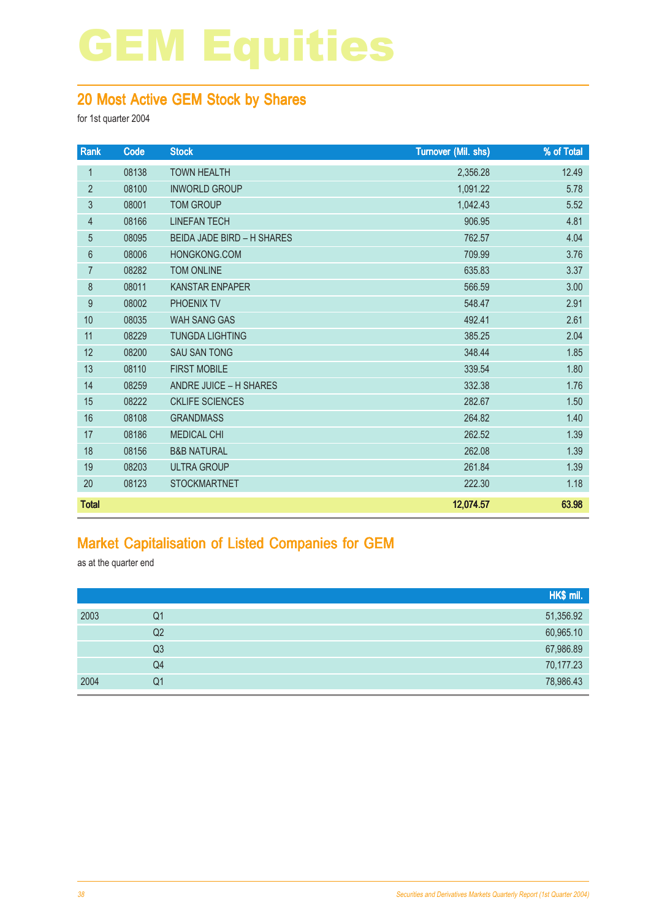#### 20 Most Active GEM Stock by Shares

for 1st quarter 2004

| Rank             | Code  | <b>Stock</b>                      | Turnover (Mil. shs) | % of Total |
|------------------|-------|-----------------------------------|---------------------|------------|
| $\mathbf{1}$     | 08138 | <b>TOWN HEALTH</b>                | 2,356.28            | 12.49      |
| $\overline{2}$   | 08100 | <b>INWORLD GROUP</b>              | 1,091.22            | 5.78       |
| 3                | 08001 | <b>TOM GROUP</b>                  | 1,042.43            | 5.52       |
| 4                | 08166 | <b>LINEFAN TECH</b>               | 906.95              | 4.81       |
| 5                | 08095 | <b>BEIDA JADE BIRD - H SHARES</b> | 762.57              | 4.04       |
| $\boldsymbol{6}$ | 08006 | HONGKONG.COM                      | 709.99              | 3.76       |
| $\overline{7}$   | 08282 | <b>TOM ONLINE</b>                 | 635.83              | 3.37       |
| $\,8\,$          | 08011 | <b>KANSTAR ENPAPER</b>            | 566.59              | 3.00       |
| $9\,$            | 08002 | <b>PHOENIX TV</b>                 | 548.47              | 2.91       |
| 10               | 08035 | <b>WAH SANG GAS</b>               | 492.41              | 2.61       |
| 11               | 08229 | <b>TUNGDA LIGHTING</b>            | 385.25              | 2.04       |
| 12               | 08200 | <b>SAU SAN TONG</b>               | 348.44              | 1.85       |
| 13               | 08110 | <b>FIRST MOBILE</b>               | 339.54              | 1.80       |
| 14               | 08259 | ANDRE JUICE - H SHARES            | 332.38              | 1.76       |
| 15               | 08222 | <b>CKLIFE SCIENCES</b>            | 282.67              | 1.50       |
| 16               | 08108 | <b>GRANDMASS</b>                  | 264.82              | 1.40       |
| 17               | 08186 | <b>MEDICAL CHI</b>                | 262.52              | 1.39       |
| 18               | 08156 | <b>B&amp;B NATURAL</b>            | 262.08              | 1.39       |
| 19               | 08203 | <b>ULTRA GROUP</b>                | 261.84              | 1.39       |
| 20               | 08123 | <b>STOCKMARTNET</b>               | 222.30              | 1.18       |
| <b>Total</b>     |       |                                   | 12,074.57           | 63.98      |

### Market Capitalisation of Listed Companies for GEM

as at the quarter end

|      |                | HK\$ mil. |
|------|----------------|-----------|
| 2003 | Q1             | 51,356.92 |
|      | Q2             | 60,965.10 |
|      | Q <sub>3</sub> | 67,986.89 |
|      | Q4             | 70,177.23 |
| 2004 | Q1             | 78,986.43 |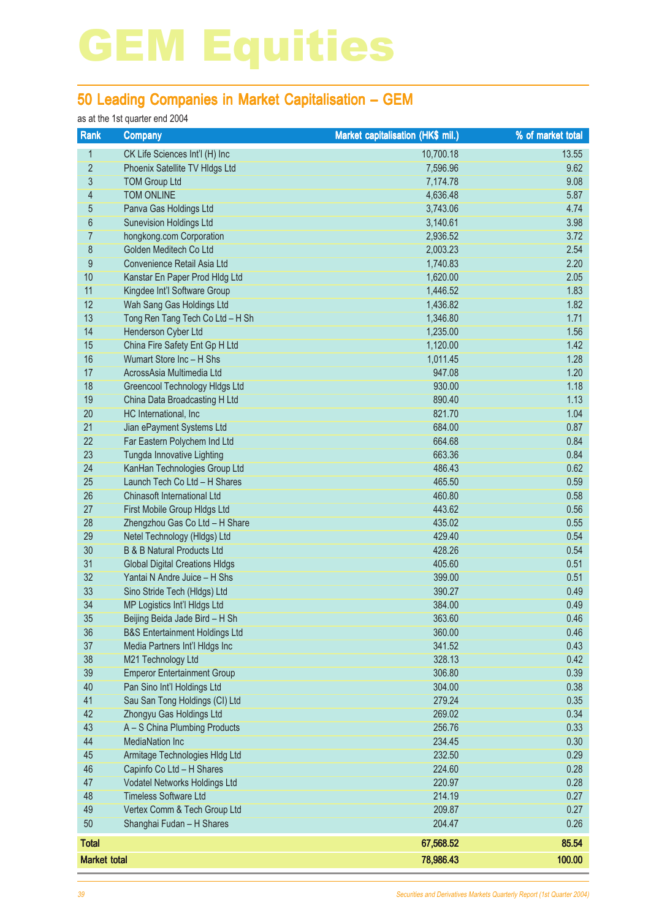### 50 Leading Companies in Market Capitalisation – GEM

#### as at the 1st quarter end 2004

| Rank                | <b>Company</b>                            | <b>Market capitalisation (HK\$ mil.)</b> | % of market total |
|---------------------|-------------------------------------------|------------------------------------------|-------------------|
| 1                   | CK Life Sciences Int'l (H) Inc            | 10,700.18                                | 13.55             |
| $\overline{2}$      | Phoenix Satellite TV Hldgs Ltd            | 7,596.96                                 | 9.62              |
| 3                   | <b>TOM Group Ltd</b>                      | 7,174.78                                 | 9.08              |
| $\overline{4}$      | <b>TOM ONLINE</b>                         | 4,636.48                                 | 5.87              |
| 5                   | Panva Gas Holdings Ltd                    | 3,743.06                                 | 4.74              |
| 6                   | <b>Sunevision Holdings Ltd</b>            | 3,140.61                                 | 3.98              |
| 7                   | hongkong.com Corporation                  | 2,936.52                                 | 3.72              |
| 8                   | Golden Meditech Co Ltd                    | 2,003.23                                 | 2.54              |
| 9                   | Convenience Retail Asia Ltd               | 1,740.83                                 | 2.20              |
| 10                  | Kanstar En Paper Prod Hldg Ltd            | 1,620.00                                 | 2.05              |
| 11                  | Kingdee Int'l Software Group              | 1,446.52                                 | 1.83              |
| 12                  | Wah Sang Gas Holdings Ltd                 | 1,436.82                                 | 1.82              |
| 13                  | Tong Ren Tang Tech Co Ltd - H Sh          | 1,346.80                                 | 1.71              |
| 14                  | <b>Henderson Cyber Ltd</b>                | 1,235.00                                 | 1.56              |
| 15                  | China Fire Safety Ent Gp H Ltd            | 1,120.00                                 | 1.42              |
| 16                  | Wumart Store Inc - H Shs                  | 1,011.45                                 | 1.28              |
| 17                  | AcrossAsia Multimedia Ltd                 | 947.08                                   | 1.20              |
| 18                  | Greencool Technology Hidgs Ltd            | 930.00                                   | 1.18              |
| 19                  | China Data Broadcasting H Ltd             | 890.40                                   | 1.13              |
| 20                  | HC International, Inc.                    | 821.70                                   | 1.04              |
| 21                  | Jian ePayment Systems Ltd                 | 684.00                                   | 0.87              |
| 22                  | Far Eastern Polychem Ind Ltd              | 664.68                                   | 0.84              |
| 23                  | Tungda Innovative Lighting                | 663.36                                   | 0.84              |
| 24                  | KanHan Technologies Group Ltd             | 486.43                                   | 0.62              |
| 25                  | Launch Tech Co Ltd - H Shares             | 465.50                                   | 0.59              |
| 26                  | Chinasoft International Ltd               | 460.80                                   | 0.58              |
| 27                  | First Mobile Group HIdgs Ltd              | 443.62                                   | 0.56              |
| 28                  | Zhengzhou Gas Co Ltd - H Share            | 435.02                                   | 0.55              |
| 29                  | Netel Technology (HIdgs) Ltd              | 429.40                                   | 0.54              |
| 30                  | <b>B &amp; B Natural Products Ltd</b>     | 428.26                                   | 0.54              |
| 31                  | <b>Global Digital Creations HIdgs</b>     | 405.60                                   | 0.51              |
| 32                  | Yantai N Andre Juice - H Shs              | 399.00                                   | 0.51              |
| 33                  | Sino Stride Tech (Hldgs) Ltd              | 390.27                                   | 0.49              |
| 34                  | MP Logistics Int'l HIdgs Ltd              | 384.00                                   | 0.49              |
| 35                  | Beijing Beida Jade Bird - H Sh            | 363.60                                   | 0.46              |
| 36                  | <b>B&amp;S Entertainment Holdings Ltd</b> | 360.00                                   | 0.46              |
| 37                  | Media Partners Int'l Hldgs Inc            | 341.52                                   | 0.43              |
| 38                  | M21 Technology Ltd                        | 328.13                                   | 0.42              |
| 39                  | <b>Emperor Entertainment Group</b>        | 306.80                                   | 0.39              |
| 40                  | Pan Sino Int'l Holdings Ltd               | 304.00                                   | 0.38              |
| 41                  | Sau San Tong Holdings (CI) Ltd            | 279.24                                   | 0.35              |
| 42                  | Zhongyu Gas Holdings Ltd                  | 269.02                                   | 0.34              |
| 43                  | A - S China Plumbing Products             | 256.76                                   | 0.33              |
| 44                  | <b>MediaNation Inc</b>                    | 234.45                                   | 0.30              |
| 45                  | Armitage Technologies HIdg Ltd            | 232.50                                   | 0.29              |
| 46                  | Capinfo Co Ltd - H Shares                 | 224.60                                   | 0.28              |
| 47                  | Vodatel Networks Holdings Ltd             | 220.97                                   | 0.28              |
| 48                  | <b>Timeless Software Ltd</b>              | 214.19                                   | 0.27              |
| 49                  | Vertex Comm & Tech Group Ltd              | 209.87                                   | 0.27              |
| 50                  | Shanghai Fudan - H Shares                 | 204.47                                   | 0.26              |
|                     |                                           |                                          |                   |
| <b>Total</b>        |                                           | 67,568.52                                | 85.54             |
| <b>Market total</b> |                                           | 78,986.43                                | 100.00            |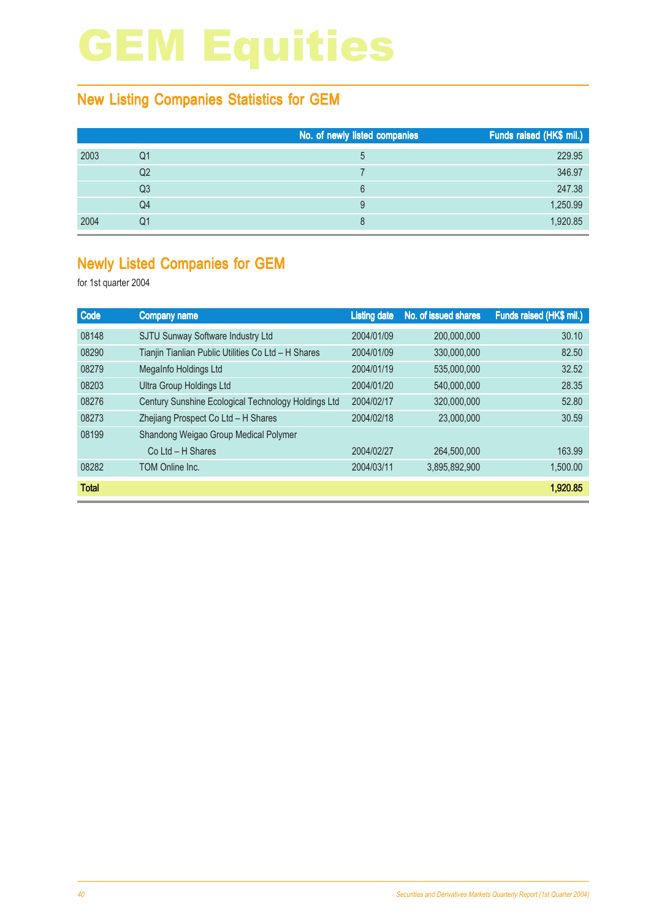### New Listing Companies Statistics for GEM

|      |                | No. of newly listed companies | Funds raised (HK\$ mil.) |
|------|----------------|-------------------------------|--------------------------|
| 2003 | Q1             | $\mathbf b$                   | 229.95                   |
|      | Q <sub>2</sub> |                               | 346.97                   |
|      | Q3             | 6                             | 247.38                   |
|      | Q4             | 9                             | 1,250.99                 |
| 2004 | Q1             | 8                             | 1,920.85                 |

### Newly Listed Companies for GEM

| Code         | <b>Company name</b>                                 | <b>Listing date</b> | No. of issued shares | Funds raised (HK\$ mil.) |
|--------------|-----------------------------------------------------|---------------------|----------------------|--------------------------|
| 08148        | SJTU Sunway Software Industry Ltd                   | 2004/01/09          | 200,000,000          | 30.10                    |
| 08290        | Tianjin Tianlian Public Utilities Co Ltd - H Shares | 2004/01/09          | 330,000,000          | 82.50                    |
| 08279        | MegaInfo Holdings Ltd                               | 2004/01/19          | 535,000,000          | 32.52                    |
| 08203        | Ultra Group Holdings Ltd                            | 2004/01/20          | 540,000,000          | 28.35                    |
| 08276        | Century Sunshine Ecological Technology Holdings Ltd | 2004/02/17          | 320,000,000          | 52.80                    |
| 08273        | Zhejiang Prospect Co Ltd - H Shares                 | 2004/02/18          | 23,000,000           | 30.59                    |
| 08199        | Shandong Weigao Group Medical Polymer               |                     |                      |                          |
|              | $Co$ Ltd $- H$ Shares                               | 2004/02/27          | 264,500,000          | 163.99                   |
| 08282        | <b>TOM Online Inc.</b>                              | 2004/03/11          | 3,895,892,900        | 1.500.00                 |
| <b>Total</b> |                                                     |                     |                      | 1,920.85                 |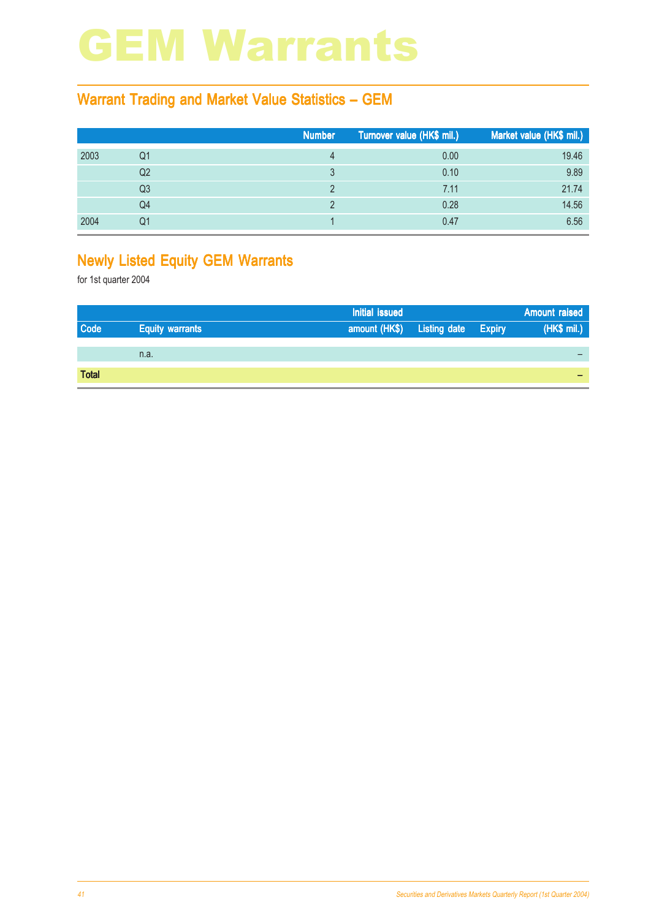### GEM Warrants

#### Warrant Trading and Market Value Statistics – GEM

|      |    | Number | Turnover value (HK\$ mil.) | Market value (HK\$ mil.) |
|------|----|--------|----------------------------|--------------------------|
| 2003 | Q1 |        | 0.00                       | 19.46                    |
|      | Q2 |        | 0.10                       | 9.89                     |
|      | Q3 |        | 7.11                       | 21.74                    |
|      | Q4 |        | 0.28                       | 14.56                    |
| 2004 | Q1 |        | 0.47                       | 6.56                     |

### Newly Listed Equity GEM Warrants

|              |                        | Initial issued                    |  | Amount raised |
|--------------|------------------------|-----------------------------------|--|---------------|
| Code         | <b>Equity warrants</b> | amount (HK\$) Listing date Expiry |  | (HK\$ mil.)   |
|              |                        |                                   |  |               |
|              | n.a.                   |                                   |  |               |
|              |                        |                                   |  |               |
| <b>Total</b> |                        |                                   |  |               |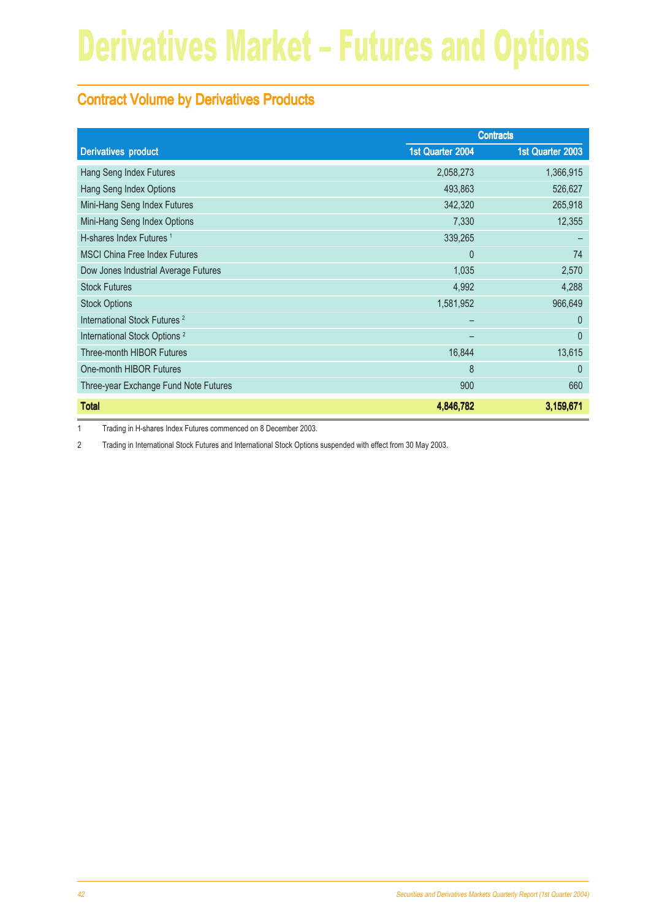### Contract Volume by Derivatives Products

|                                          | <b>Contracts</b> |                  |
|------------------------------------------|------------------|------------------|
| <b>Derivatives product</b>               | 1st Quarter 2004 | 1st Quarter 2003 |
| Hang Seng Index Futures                  | 2,058,273        | 1,366,915        |
| Hang Seng Index Options                  | 493,863          | 526,627          |
| Mini-Hang Seng Index Futures             | 342,320          | 265,918          |
| Mini-Hang Seng Index Options             | 7,330            | 12,355           |
| H-shares Index Futures <sup>1</sup>      | 339,265          |                  |
| <b>MSCI China Free Index Futures</b>     | $\overline{0}$   | 74               |
| Dow Jones Industrial Average Futures     | 1,035            | 2,570            |
| <b>Stock Futures</b>                     | 4,992            | 4,288            |
| <b>Stock Options</b>                     | 1,581,952        | 966,649          |
| International Stock Futures <sup>2</sup> |                  | $\theta$         |
| International Stock Options <sup>2</sup> |                  | $\theta$         |
| <b>Three-month HIBOR Futures</b>         | 16,844           | 13,615           |
| One-month HIBOR Futures                  | 8                | $\mathbf{0}$     |
| Three-year Exchange Fund Note Futures    | 900              | 660              |
| <b>Total</b>                             | 4,846,782        | 3,159,671        |

1 Trading in H-shares Index Futures commenced on 8 December 2003.

2 Trading in International Stock Futures and International Stock Options suspended with effect from 30 May 2003.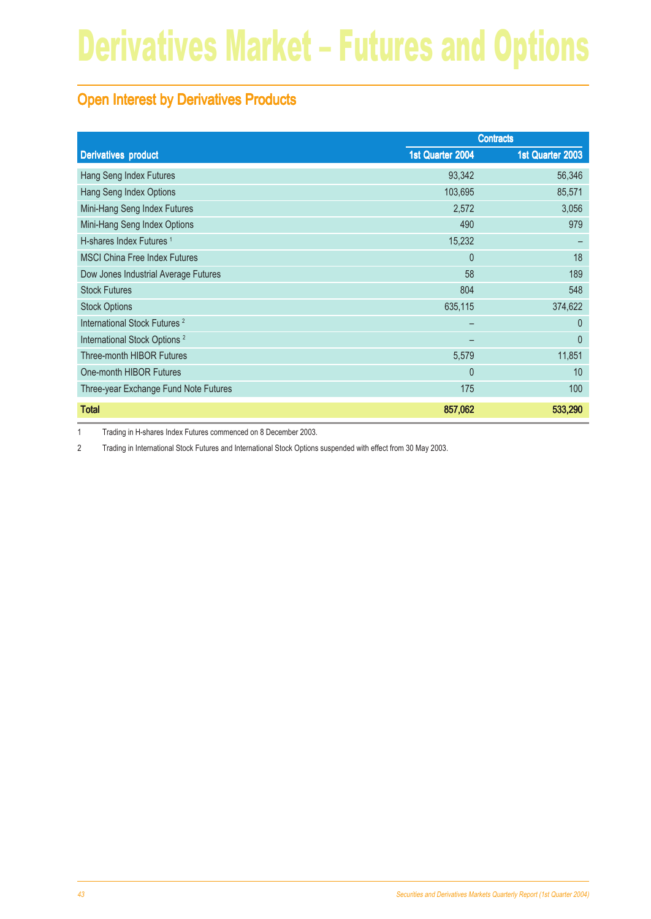### Open Interest by Derivatives Products

|                                          | <b>Contracts</b> |                  |
|------------------------------------------|------------------|------------------|
| <b>Derivatives product</b>               | 1st Quarter 2004 | 1st Quarter 2003 |
| Hang Seng Index Futures                  | 93,342           | 56,346           |
| Hang Seng Index Options                  | 103,695          | 85,571           |
| Mini-Hang Seng Index Futures             | 2,572            | 3,056            |
| Mini-Hang Seng Index Options             | 490              | 979              |
| H-shares Index Futures <sup>1</sup>      | 15,232           |                  |
| <b>MSCI China Free Index Futures</b>     | $\mathbf{0}$     | 18               |
| Dow Jones Industrial Average Futures     | 58               | 189              |
| <b>Stock Futures</b>                     | 804              | 548              |
| <b>Stock Options</b>                     | 635,115          | 374,622          |
| International Stock Futures <sup>2</sup> |                  | $\mathbf{0}$     |
| International Stock Options <sup>2</sup> |                  | $\mathbf{0}$     |
| Three-month HIBOR Futures                | 5,579            | 11,851           |
| One-month HIBOR Futures                  | $\mathbf{0}$     | 10               |
| Three-year Exchange Fund Note Futures    | 175              | 100              |
| <b>Total</b>                             | 857,062          | 533,290          |

1 Trading in H-shares Index Futures commenced on 8 December 2003.

2 Trading in International Stock Futures and International Stock Options suspended with effect from 30 May 2003.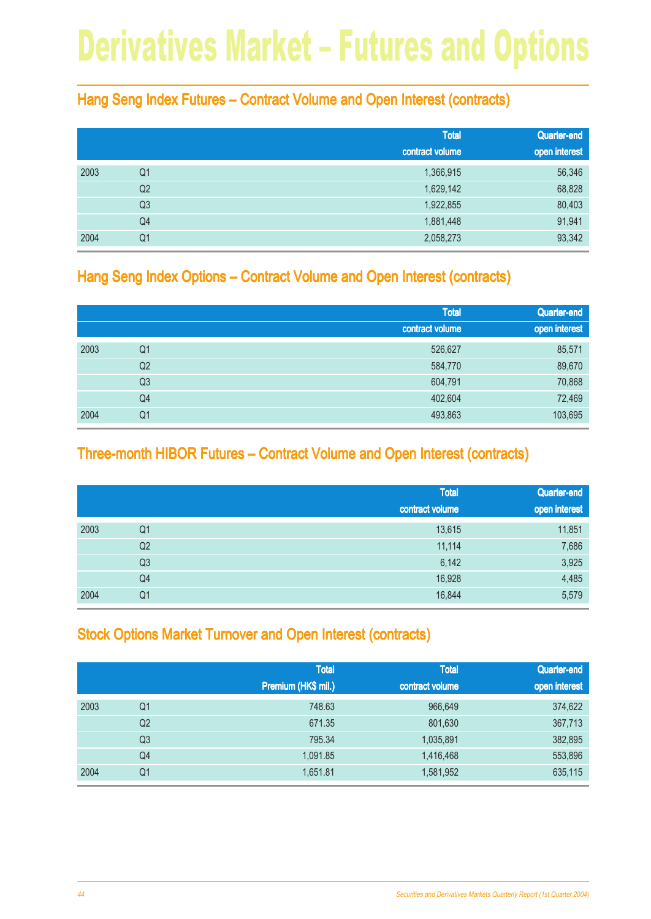#### Hang Seng Index Futures – Contract Volume and Open Interest (contracts)

|      |                | <b>Total</b>    | Quarter-end   |
|------|----------------|-----------------|---------------|
|      |                | contract volume | open interest |
| 2003 | Q <sub>1</sub> | 1,366,915       | 56,346        |
|      | Q <sub>2</sub> | 1,629,142       | 68,828        |
|      | Q <sub>3</sub> | 1,922,855       | 80,403        |
|      | Q4             | 1,881,448       | 91,941        |
| 2004 | Q <sub>1</sub> | 2,058,273       | 93,342        |

#### Hang Seng Index Options – Contract Volume and Open Interest (contracts)

|      |                | <b>Total</b>    | Quarter-end   |
|------|----------------|-----------------|---------------|
|      |                | contract volume | open interest |
| 2003 | Q1             | 526,627         | 85,571        |
|      | Q <sub>2</sub> | 584,770         | 89,670        |
|      | Q <sub>3</sub> | 604,791         | 70,868        |
|      | Q4             | 402,604         | 72,469        |
| 2004 | Q <sub>1</sub> | 493,863         | 103,695       |

#### Three-month HIBOR Futures – Contract Volume and Open Interest (contracts)

|      |                | <b>Total</b><br>contract volume | Quarter-end<br>open interest |
|------|----------------|---------------------------------|------------------------------|
| 2003 | Q1             | 13,615                          | 11,851                       |
|      | Q <sub>2</sub> | 11,114                          | 7,686                        |
|      | Q <sub>3</sub> | 6,142                           | 3,925                        |
|      | Q4             | 16,928                          | 4,485                        |
| 2004 | Q1             | 16,844                          | 5,579                        |

### Stock Options Market Turnover and Open Interest (contracts)

|      |                | <b>Total</b>        | <b>Total</b>    | Quarter-end   |
|------|----------------|---------------------|-----------------|---------------|
|      |                | Premium (HK\$ mil.) | contract volume | open interest |
| 2003 | Q <sub>1</sub> | 748.63              | 966,649         | 374,622       |
|      | Q2             | 671.35              | 801,630         | 367,713       |
|      | Q3             | 795.34              | 1,035,891       | 382,895       |
|      | Q <sub>4</sub> | 1,091.85            | 1,416,468       | 553,896       |
| 2004 | Q <sub>1</sub> | 1,651.81            | 1,581,952       | 635,115       |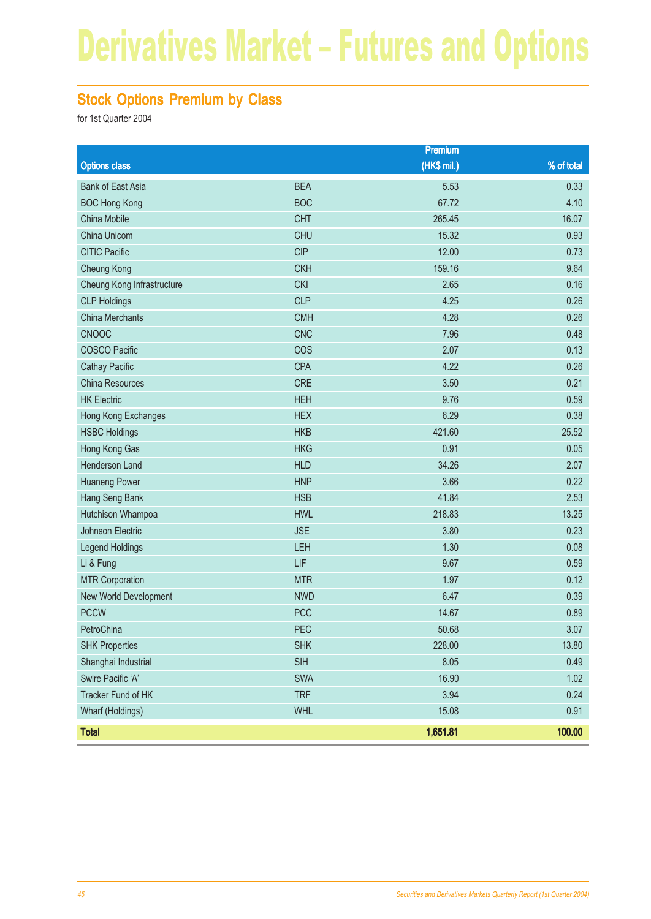### Stock Options Premium by Class

|                            |            | <b>Premium</b> |            |
|----------------------------|------------|----------------|------------|
| <b>Options class</b>       |            | (HK\$ mil.)    | % of total |
| <b>Bank of East Asia</b>   | <b>BEA</b> | 5.53           | 0.33       |
| <b>BOC Hong Kong</b>       | <b>BOC</b> | 67.72          | 4.10       |
| China Mobile               | <b>CHT</b> | 265.45         | 16.07      |
| China Unicom               | <b>CHU</b> | 15.32          | 0.93       |
| <b>CITIC Pacific</b>       | <b>CIP</b> | 12.00          | 0.73       |
| <b>Cheung Kong</b>         | <b>CKH</b> | 159.16         | 9.64       |
| Cheung Kong Infrastructure | <b>CKI</b> | 2.65           | 0.16       |
| <b>CLP Holdings</b>        | <b>CLP</b> | 4.25           | 0.26       |
| <b>China Merchants</b>     | <b>CMH</b> | 4.28           | 0.26       |
| CNOOC                      | <b>CNC</b> | 7.96           | 0.48       |
| <b>COSCO Pacific</b>       | COS        | 2.07           | 0.13       |
| <b>Cathay Pacific</b>      | <b>CPA</b> | 4.22           | 0.26       |
| <b>China Resources</b>     | <b>CRE</b> | 3.50           | 0.21       |
| <b>HK Electric</b>         | <b>HEH</b> | 9.76           | 0.59       |
| Hong Kong Exchanges        | <b>HEX</b> | 6.29           | 0.38       |
| <b>HSBC Holdings</b>       | <b>HKB</b> | 421.60         | 25.52      |
| Hong Kong Gas              | <b>HKG</b> | 0.91           | 0.05       |
| Henderson Land             | <b>HLD</b> | 34.26          | 2.07       |
| <b>Huaneng Power</b>       | <b>HNP</b> | 3.66           | 0.22       |
| Hang Seng Bank             | <b>HSB</b> | 41.84          | 2.53       |
| Hutchison Whampoa          | <b>HWL</b> | 218.83         | 13.25      |
| Johnson Electric           | <b>JSE</b> | 3.80           | 0.23       |
| Legend Holdings            | LEH        | 1.30           | 0.08       |
| Li & Fung                  | LIF        | 9.67           | 0.59       |
| <b>MTR Corporation</b>     | <b>MTR</b> | 1.97           | 0.12       |
| New World Development      | <b>NWD</b> | 6.47           | 0.39       |
| <b>PCCW</b>                | <b>PCC</b> | 14.67          | 0.89       |
| PetroChina                 | PEC        | 50.68          | 3.07       |
| <b>SHK Properties</b>      | <b>SHK</b> | 228.00         | 13.80      |
| Shanghai Industrial        | SIH        | 8.05           | 0.49       |
| Swire Pacific 'A'          | <b>SWA</b> | 16.90          | 1.02       |
| Tracker Fund of HK         | <b>TRF</b> | 3.94           | 0.24       |
| Wharf (Holdings)           | <b>WHL</b> | 15.08          | 0.91       |
| <b>Total</b>               |            | 1,651.81       | 100.00     |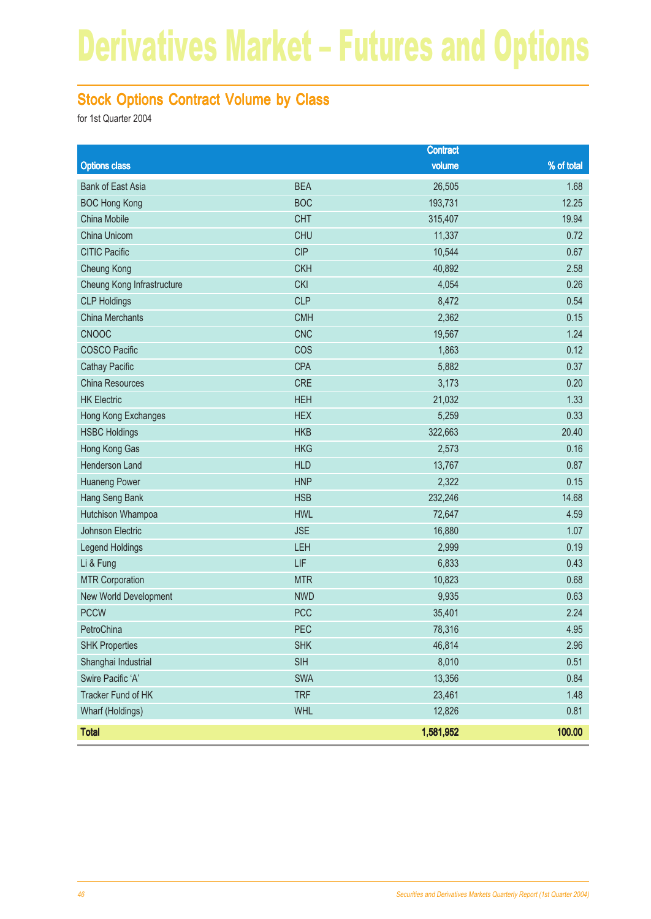### Stock Options Contract Volume by Class

|                            |            | <b>Contract</b> |            |
|----------------------------|------------|-----------------|------------|
| <b>Options class</b>       |            | volume          | % of total |
| <b>Bank of East Asia</b>   | <b>BEA</b> | 26,505          | 1.68       |
| <b>BOC Hong Kong</b>       | <b>BOC</b> | 193,731         | 12.25      |
| China Mobile               | <b>CHT</b> | 315,407         | 19.94      |
| China Unicom               | <b>CHU</b> | 11,337          | 0.72       |
| <b>CITIC Pacific</b>       | <b>CIP</b> | 10,544          | 0.67       |
| Cheung Kong                | <b>CKH</b> | 40,892          | 2.58       |
| Cheung Kong Infrastructure | <b>CKI</b> | 4,054           | 0.26       |
| <b>CLP Holdings</b>        | <b>CLP</b> | 8,472           | 0.54       |
| <b>China Merchants</b>     | <b>CMH</b> | 2,362           | 0.15       |
| CNOOC                      | <b>CNC</b> | 19,567          | 1.24       |
| <b>COSCO Pacific</b>       | COS        | 1,863           | 0.12       |
| <b>Cathay Pacific</b>      | <b>CPA</b> | 5,882           | 0.37       |
| China Resources            | <b>CRE</b> | 3,173           | 0.20       |
| <b>HK Electric</b>         | <b>HEH</b> | 21,032          | 1.33       |
| Hong Kong Exchanges        | <b>HEX</b> | 5,259           | 0.33       |
| <b>HSBC Holdings</b>       | <b>HKB</b> | 322,663         | 20.40      |
| Hong Kong Gas              | <b>HKG</b> | 2,573           | 0.16       |
| Henderson Land             | <b>HLD</b> | 13,767          | 0.87       |
| <b>Huaneng Power</b>       | <b>HNP</b> | 2,322           | 0.15       |
| Hang Seng Bank             | <b>HSB</b> | 232,246         | 14.68      |
| Hutchison Whampoa          | <b>HWL</b> | 72,647          | 4.59       |
| Johnson Electric           | <b>JSE</b> | 16,880          | 1.07       |
| Legend Holdings            | <b>LEH</b> | 2,999           | 0.19       |
| Li & Fung                  | LIF        | 6,833           | 0.43       |
| <b>MTR Corporation</b>     | <b>MTR</b> | 10,823          | 0.68       |
| New World Development      | <b>NWD</b> | 9,935           | 0.63       |
| <b>PCCW</b>                | <b>PCC</b> | 35,401          | 2.24       |
| PetroChina                 | PEC        | 78,316          | 4.95       |
| <b>SHK Properties</b>      | <b>SHK</b> | 46,814          | 2.96       |
| Shanghai Industrial        | <b>SIH</b> | 8,010           | 0.51       |
| Swire Pacific 'A'          | <b>SWA</b> | 13,356          | 0.84       |
| Tracker Fund of HK         | <b>TRF</b> | 23,461          | 1.48       |
| Wharf (Holdings)           | <b>WHL</b> | 12,826          | 0.81       |
| <b>Total</b>               |            | 1,581,952       | 100.00     |